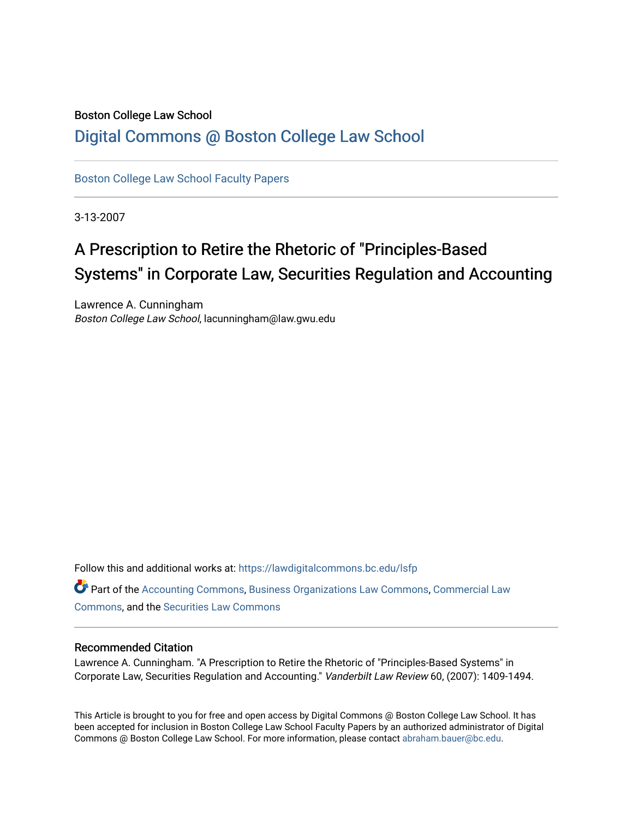# Boston College Law School [Digital Commons @ Boston College Law School](https://lawdigitalcommons.bc.edu/)

[Boston College Law School Faculty Papers](https://lawdigitalcommons.bc.edu/lsfp) 

3-13-2007

# A Prescription to Retire the Rhetoric of "Principles-Based Systems" in Corporate Law, Securities Regulation and Accounting

Lawrence A. Cunningham Boston College Law School, lacunningham@law.gwu.edu

Follow this and additional works at: [https://lawdigitalcommons.bc.edu/lsfp](https://lawdigitalcommons.bc.edu/lsfp?utm_source=lawdigitalcommons.bc.edu%2Flsfp%2F195&utm_medium=PDF&utm_campaign=PDFCoverPages) 

Part of the [Accounting Commons](http://network.bepress.com/hgg/discipline/625?utm_source=lawdigitalcommons.bc.edu%2Flsfp%2F195&utm_medium=PDF&utm_campaign=PDFCoverPages), [Business Organizations Law Commons,](http://network.bepress.com/hgg/discipline/900?utm_source=lawdigitalcommons.bc.edu%2Flsfp%2F195&utm_medium=PDF&utm_campaign=PDFCoverPages) [Commercial Law](http://network.bepress.com/hgg/discipline/586?utm_source=lawdigitalcommons.bc.edu%2Flsfp%2F195&utm_medium=PDF&utm_campaign=PDFCoverPages)  [Commons](http://network.bepress.com/hgg/discipline/586?utm_source=lawdigitalcommons.bc.edu%2Flsfp%2F195&utm_medium=PDF&utm_campaign=PDFCoverPages), and the [Securities Law Commons](http://network.bepress.com/hgg/discipline/619?utm_source=lawdigitalcommons.bc.edu%2Flsfp%2F195&utm_medium=PDF&utm_campaign=PDFCoverPages) 

# Recommended Citation

Lawrence A. Cunningham. "A Prescription to Retire the Rhetoric of "Principles-Based Systems" in Corporate Law, Securities Regulation and Accounting." Vanderbilt Law Review 60, (2007): 1409-1494.

This Article is brought to you for free and open access by Digital Commons @ Boston College Law School. It has been accepted for inclusion in Boston College Law School Faculty Papers by an authorized administrator of Digital Commons @ Boston College Law School. For more information, please contact [abraham.bauer@bc.edu.](mailto:abraham.bauer@bc.edu)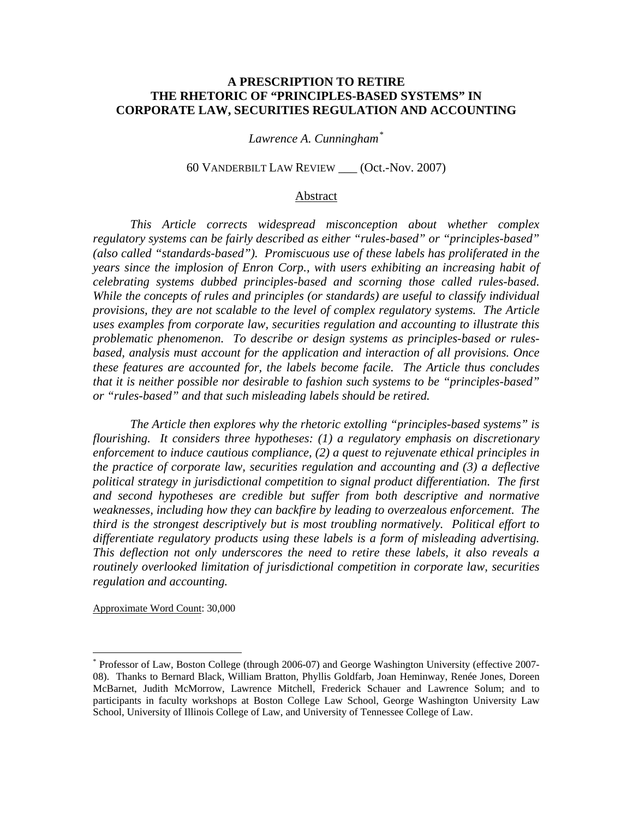# **A PRESCRIPTION TO RETIRE THE RHETORIC OF "PRINCIPLES-BASED SYSTEMS" IN CORPORATE LAW, SECURITIES REGULATION AND ACCOUNTING**

# *Lawrence A. Cunningham[\\*](#page-1-0)*

# 60 VANDERBILT LAW REVIEW \_\_\_ (Oct.-Nov. 2007)

#### Abstract

 *This Article corrects widespread misconception about whether complex regulatory systems can be fairly described as either "rules-based" or "principles-based" (also called "standards-based"). Promiscuous use of these labels has proliferated in the years since the implosion of Enron Corp., with users exhibiting an increasing habit of celebrating systems dubbed principles-based and scorning those called rules-based. While the concepts of rules and principles (or standards) are useful to classify individual provisions, they are not scalable to the level of complex regulatory systems. The Article uses examples from corporate law, securities regulation and accounting to illustrate this problematic phenomenon. To describe or design systems as principles-based or rulesbased, analysis must account for the application and interaction of all provisions. Once these features are accounted for, the labels become facile. The Article thus concludes that it is neither possible nor desirable to fashion such systems to be "principles-based" or "rules-based" and that such misleading labels should be retired.* 

 *The Article then explores why the rhetoric extolling "principles-based systems" is flourishing. It considers three hypotheses: (1) a regulatory emphasis on discretionary enforcement to induce cautious compliance, (2) a quest to rejuvenate ethical principles in the practice of corporate law, securities regulation and accounting and (3) a deflective political strategy in jurisdictional competition to signal product differentiation. The first and second hypotheses are credible but suffer from both descriptive and normative weaknesses, including how they can backfire by leading to overzealous enforcement. The third is the strongest descriptively but is most troubling normatively. Political effort to differentiate regulatory products using these labels is a form of misleading advertising. This deflection not only underscores the need to retire these labels, it also reveals a routinely overlooked limitation of jurisdictional competition in corporate law, securities regulation and accounting.* 

Approximate Word Count: 30,000

<span id="page-1-0"></span><sup>\*</sup> Professor of Law, Boston College (through 2006-07) and George Washington University (effective 2007- 08). Thanks to Bernard Black, William Bratton, Phyllis Goldfarb, Joan Heminway, Renée Jones, Doreen McBarnet, Judith McMorrow, Lawrence Mitchell, Frederick Schauer and Lawrence Solum; and to participants in faculty workshops at Boston College Law School, George Washington University Law School, University of Illinois College of Law, and University of Tennessee College of Law.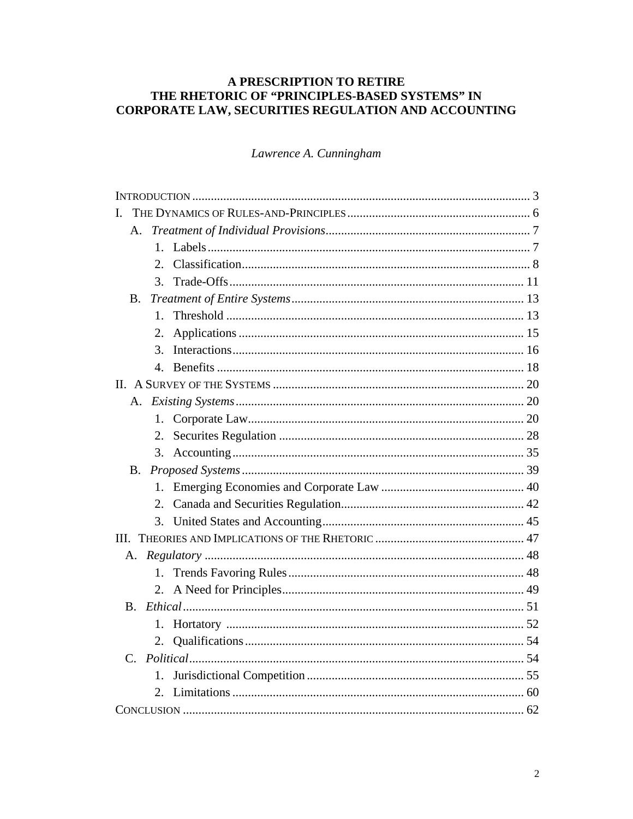# A PRESCRIPTION TO RETIRE THE RHETORIC OF "PRINCIPLES-BASED SYSTEMS" IN CORPORATE LAW, SECURITIES REGULATION AND ACCOUNTING

Lawrence A. Cunningham

| Ι.             |  |
|----------------|--|
| А.             |  |
|                |  |
| 2.             |  |
| 3 <sub>1</sub> |  |
| В.             |  |
| $1_{-}$        |  |
| 2.             |  |
| $\mathcal{E}$  |  |
|                |  |
|                |  |
|                |  |
| 1.             |  |
| 2.             |  |
|                |  |
|                |  |
| $1_{-}$        |  |
| 2.             |  |
|                |  |
|                |  |
|                |  |
| $1_{-}$        |  |
| 2.             |  |
| B.             |  |
| 1.             |  |
| 2.             |  |
|                |  |
| $1_{-}$        |  |
|                |  |
|                |  |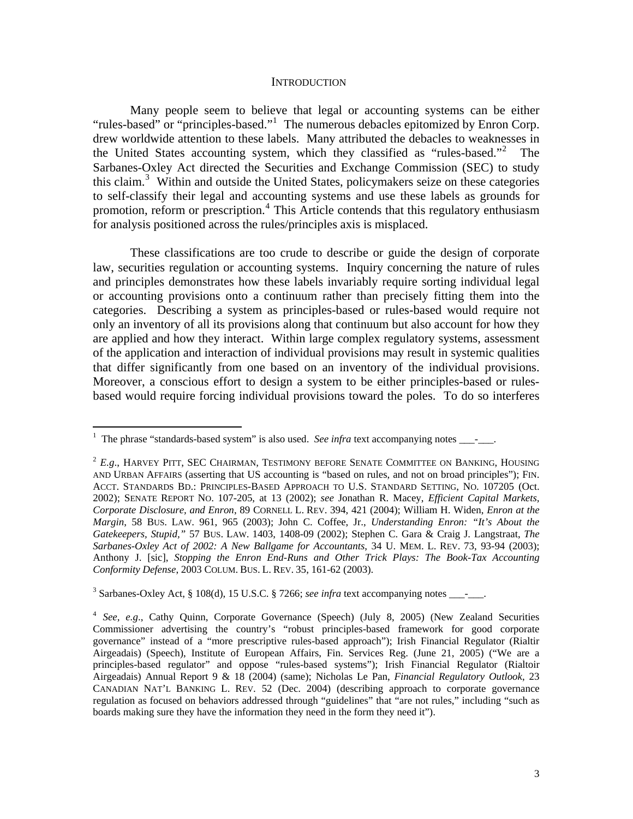#### **INTRODUCTION**

 Many people seem to believe that legal or accounting systems can be either "rules-based" or "principles-based."<sup>[1](#page-3-0)</sup> The numerous debacles epitomized by Enron Corp. drew worldwide attention to these labels. Many attributed the debacles to weaknesses in the United States accounting system, which they classified as "rules-based."[2](#page-3-1) The Sarbanes-Oxley Act directed the Securities and Exchange Commission (SEC) to study this claim.<sup>[3](#page-3-2)</sup> Within and outside the United States, policymakers seize on these categories to self-classify their legal and accounting systems and use these labels as grounds for promotion, reform or prescription.<sup>[4](#page-3-3)</sup> This Article contends that this regulatory enthusiasm for analysis positioned across the rules/principles axis is misplaced.

 These classifications are too crude to describe or guide the design of corporate law, securities regulation or accounting systems. Inquiry concerning the nature of rules and principles demonstrates how these labels invariably require sorting individual legal or accounting provisions onto a continuum rather than precisely fitting them into the categories. Describing a system as principles-based or rules-based would require not only an inventory of all its provisions along that continuum but also account for how they are applied and how they interact. Within large complex regulatory systems, assessment of the application and interaction of individual provisions may result in systemic qualities that differ significantly from one based on an inventory of the individual provisions. Moreover, a conscious effort to design a system to be either principles-based or rulesbased would require forcing individual provisions toward the poles. To do so interferes

<span id="page-3-2"></span> $3$  Sarbanes-Oxley Act, § 108(d), 15 U.S.C. § 7266; see infra text accompanying notes  $\frac{1}{\sqrt{2}}$ .

<span id="page-3-0"></span><sup>&</sup>lt;sup>1</sup> The phrase "standards-based system" is also used. *See infra* text accompanying notes \_\_\_\_\_\_.

<span id="page-3-1"></span> $2$   $E.g.,$  HARVEY PITT, SEC CHAIRMAN, TESTIMONY BEFORE SENATE COMMITTEE ON BANKING, HOUSING AND URBAN AFFAIRS (asserting that US accounting is "based on rules, and not on broad principles"); FIN. ACCT. STANDARDS BD.: PRINCIPLES-BASED APPROACH TO U.S. STANDARD SETTING, NO. 107205 (Oct. 2002); SENATE REPORT NO. 107-205, at 13 (2002); *see* Jonathan R. Macey, *Efficient Capital Markets, Corporate Disclosure, and Enron*, 89 CORNELL L. REV. 394, 421 (2004); William H. Widen, *Enron at the Margin*, 58 BUS. LAW. 961, 965 (2003); John C. Coffee, Jr., *Understanding Enron: "It's About the Gatekeepers, Stupid,"* 57 BUS. LAW. 1403, 1408-09 (2002); Stephen C. Gara & Craig J. Langstraat, *The Sarbanes-Oxley Act of 2002: A New Ballgame for Accountants*, 34 U. MEM. L. REV. 73, 93-94 (2003); Anthony J. [sic], *Stopping the Enron End-Runs and Other Trick Plays: The Book-Tax Accounting Conformity Defense*, 2003 COLUM. BUS. L. REV. 35, 161-62 (2003).

<span id="page-3-3"></span><sup>4</sup> *See*, *e.g*., Cathy Quinn, Corporate Governance (Speech) (July 8, 2005) (New Zealand Securities Commissioner advertising the country's "robust principles-based framework for good corporate governance" instead of a "more prescriptive rules-based approach"); Irish Financial Regulator (Rialtir Airgeadais) (Speech), Institute of European Affairs, Fin. Services Reg. (June 21, 2005) ("We are a principles-based regulator" and oppose "rules-based systems"); Irish Financial Regulator (Rialtoir Airgeadais) Annual Report 9 & 18 (2004) (same); Nicholas Le Pan, *Financial Regulatory Outlook*, 23 CANADIAN NAT'L BANKING L. REV. 52 (Dec. 2004) (describing approach to corporate governance regulation as focused on behaviors addressed through "guidelines" that "are not rules," including "such as boards making sure they have the information they need in the form they need it").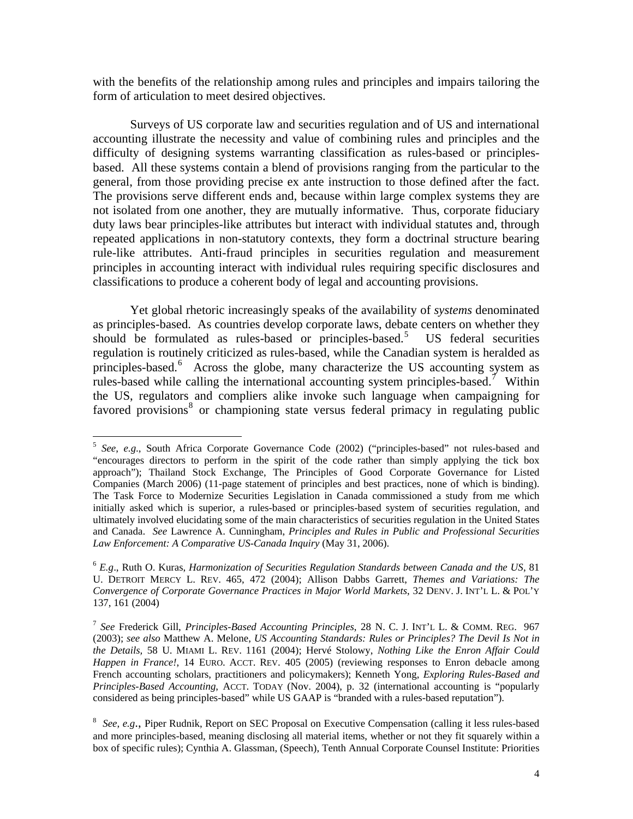with the benefits of the relationship among rules and principles and impairs tailoring the form of articulation to meet desired objectives.

 Surveys of US corporate law and securities regulation and of US and international accounting illustrate the necessity and value of combining rules and principles and the difficulty of designing systems warranting classification as rules-based or principlesbased. All these systems contain a blend of provisions ranging from the particular to the general, from those providing precise ex ante instruction to those defined after the fact. The provisions serve different ends and, because within large complex systems they are not isolated from one another, they are mutually informative. Thus, corporate fiduciary duty laws bear principles-like attributes but interact with individual statutes and, through repeated applications in non-statutory contexts, they form a doctrinal structure bearing rule-like attributes. Anti-fraud principles in securities regulation and measurement principles in accounting interact with individual rules requiring specific disclosures and classifications to produce a coherent body of legal and accounting provisions.

 Yet global rhetoric increasingly speaks of the availability of *systems* denominated as principles-based. As countries develop corporate laws, debate centers on whether they should be formulated as rules-based or principles-based.<sup>[5](#page-4-0)</sup> US federal securities regulation is routinely criticized as rules-based, while the Canadian system is heralded as principles-based.<sup>[6](#page-4-1)</sup> Across the globe, many characterize the US accounting system as rules-based while calling the international accounting system principles-based.<sup>[7](#page-4-2)</sup> Within the US, regulators and compliers alike invoke such language when campaigning for favored provisions<sup>[8](#page-4-3)</sup> or championing state versus federal primacy in regulating public

<span id="page-4-0"></span><sup>5</sup> *See*, *e.g*., South Africa Corporate Governance Code (2002) ("principles-based" not rules-based and "encourages directors to perform in the spirit of the code rather than simply applying the tick box approach"); Thailand Stock Exchange, The Principles of Good Corporate Governance for Listed Companies (March 2006) (11-page statement of principles and best practices, none of which is binding). The Task Force to Modernize Securities Legislation in Canada commissioned a study from me which initially asked which is superior, a rules-based or principles-based system of securities regulation, and ultimately involved elucidating some of the main characteristics of securities regulation in the United States and Canada. *See* Lawrence A. Cunningham, *Principles and Rules in Public and Professional Securities Law Enforcement: A Comparative US-Canada Inquiry* (May 31, 2006).

<span id="page-4-1"></span><sup>6</sup> *E.g*., Ruth O. Kuras, *Harmonization of Securities Regulation Standards between Canada and the US*, 81 U. DETROIT MERCY L. REV. 465, 472 (2004); Allison Dabbs Garrett, *Themes and Variations: The Convergence of Corporate Governance Practices in Major World Markets*, 32 DENV. J. INT'L L. & POL'Y 137, 161 (2004)

<span id="page-4-2"></span><sup>7</sup> *See* Frederick Gill, *Principles-Based Accounting Principles*, 28 N. C. J. INT'L L. & COMM. REG. 967 (2003); *see also* Matthew A. Melone, *US Accounting Standards: Rules or Principles? The Devil Is Not in the Details,* 58 U. MIAMI L. REV. 1161 (2004); Hervé Stolowy, *Nothing Like the Enron Affair Could Happen in France!*, 14 EURO. ACCT. REV. 405 (2005) (reviewing responses to Enron debacle among French accounting scholars, practitioners and policymakers); Kenneth Yong, *Exploring Rules-Based and Principles-Based Accounting*, ACCT. TODAY (Nov. 2004), p. 32 (international accounting is "popularly considered as being principles-based" while US GAAP is "branded with a rules-based reputation").

<span id="page-4-3"></span><sup>8</sup> *See*, *e.g*., Piper Rudnik, Report on SEC Proposal on Executive Compensation (calling it less rules-based and more principles-based, meaning disclosing all material items, whether or not they fit squarely within a box of specific rules); Cynthia A. Glassman, (Speech), Tenth Annual Corporate Counsel Institute: Priorities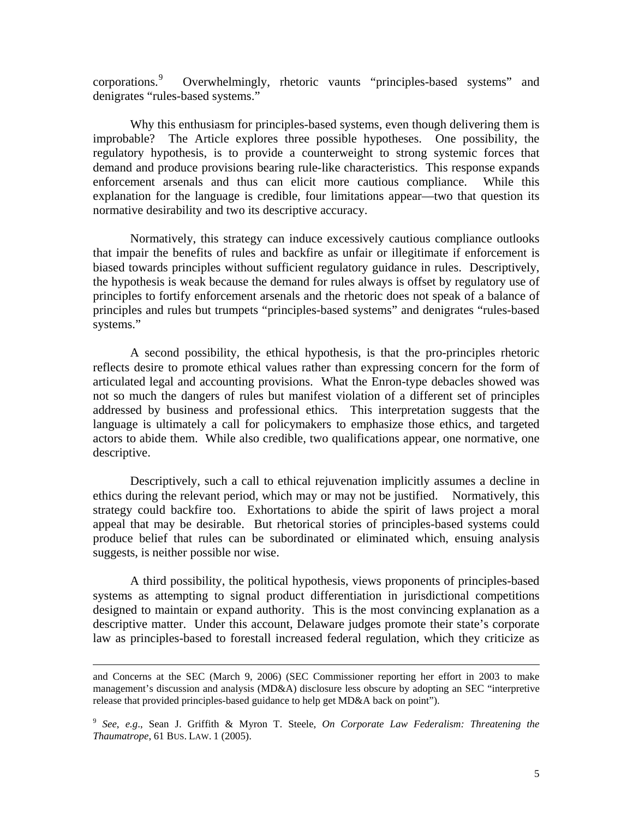corporations.<sup>[9](#page-5-0)</sup> Overwhelmingly, rhetoric vaunts "principles-based systems" and denigrates "rules-based systems."

 Why this enthusiasm for principles-based systems, even though delivering them is improbable? The Article explores three possible hypotheses. One possibility, the regulatory hypothesis, is to provide a counterweight to strong systemic forces that demand and produce provisions bearing rule-like characteristics. This response expands enforcement arsenals and thus can elicit more cautious compliance. While this explanation for the language is credible, four limitations appear—two that question its normative desirability and two its descriptive accuracy.

 Normatively, this strategy can induce excessively cautious compliance outlooks that impair the benefits of rules and backfire as unfair or illegitimate if enforcement is biased towards principles without sufficient regulatory guidance in rules. Descriptively, the hypothesis is weak because the demand for rules always is offset by regulatory use of principles to fortify enforcement arsenals and the rhetoric does not speak of a balance of principles and rules but trumpets "principles-based systems" and denigrates "rules-based systems."

 A second possibility, the ethical hypothesis, is that the pro-principles rhetoric reflects desire to promote ethical values rather than expressing concern for the form of articulated legal and accounting provisions. What the Enron-type debacles showed was not so much the dangers of rules but manifest violation of a different set of principles addressed by business and professional ethics. This interpretation suggests that the language is ultimately a call for policymakers to emphasize those ethics, and targeted actors to abide them. While also credible, two qualifications appear, one normative, one descriptive.

 Descriptively, such a call to ethical rejuvenation implicitly assumes a decline in ethics during the relevant period, which may or may not be justified. Normatively, this strategy could backfire too. Exhortations to abide the spirit of laws project a moral appeal that may be desirable. But rhetorical stories of principles-based systems could produce belief that rules can be subordinated or eliminated which, ensuing analysis suggests, is neither possible nor wise.

 A third possibility, the political hypothesis, views proponents of principles-based systems as attempting to signal product differentiation in jurisdictional competitions designed to maintain or expand authority. This is the most convincing explanation as a descriptive matter. Under this account, Delaware judges promote their state's corporate law as principles-based to forestall increased federal regulation, which they criticize as

and Concerns at the SEC (March 9, 2006) (SEC Commissioner reporting her effort in 2003 to make management's discussion and analysis (MD&A) disclosure less obscure by adopting an SEC "interpretive release that provided principles-based guidance to help get MD&A back on point").

<span id="page-5-0"></span><sup>9</sup> *See*, *e.g*., Sean J. Griffith & Myron T. Steele, *On Corporate Law Federalism: Threatening the Thaumatrope*, 61 BUS. LAW. 1 (2005).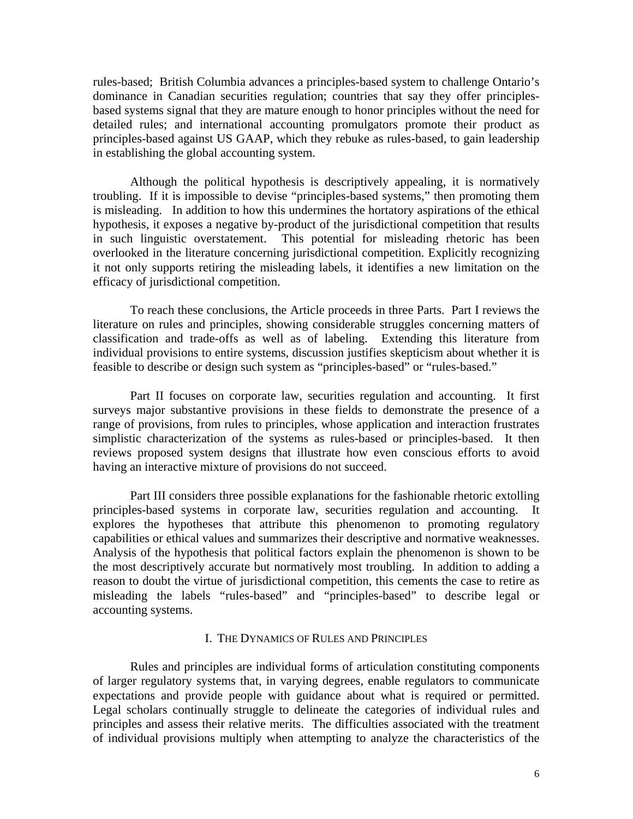rules-based; British Columbia advances a principles-based system to challenge Ontario's dominance in Canadian securities regulation; countries that say they offer principlesbased systems signal that they are mature enough to honor principles without the need for detailed rules; and international accounting promulgators promote their product as principles-based against US GAAP, which they rebuke as rules-based, to gain leadership in establishing the global accounting system.

 Although the political hypothesis is descriptively appealing, it is normatively troubling. If it is impossible to devise "principles-based systems," then promoting them is misleading. In addition to how this undermines the hortatory aspirations of the ethical hypothesis, it exposes a negative by-product of the jurisdictional competition that results in such linguistic overstatement. This potential for misleading rhetoric has been overlooked in the literature concerning jurisdictional competition. Explicitly recognizing it not only supports retiring the misleading labels, it identifies a new limitation on the efficacy of jurisdictional competition.

 To reach these conclusions, the Article proceeds in three Parts. Part I reviews the literature on rules and principles, showing considerable struggles concerning matters of classification and trade-offs as well as of labeling. Extending this literature from individual provisions to entire systems, discussion justifies skepticism about whether it is feasible to describe or design such system as "principles-based" or "rules-based."

 Part II focuses on corporate law, securities regulation and accounting. It first surveys major substantive provisions in these fields to demonstrate the presence of a range of provisions, from rules to principles, whose application and interaction frustrates simplistic characterization of the systems as rules-based or principles-based. It then reviews proposed system designs that illustrate how even conscious efforts to avoid having an interactive mixture of provisions do not succeed.

 Part III considers three possible explanations for the fashionable rhetoric extolling principles-based systems in corporate law, securities regulation and accounting. It explores the hypotheses that attribute this phenomenon to promoting regulatory capabilities or ethical values and summarizes their descriptive and normative weaknesses. Analysis of the hypothesis that political factors explain the phenomenon is shown to be the most descriptively accurate but normatively most troubling. In addition to adding a reason to doubt the virtue of jurisdictional competition, this cements the case to retire as misleading the labels "rules-based" and "principles-based" to describe legal or accounting systems.

# I. THE DYNAMICS OF RULES AND PRINCIPLES

 Rules and principles are individual forms of articulation constituting components of larger regulatory systems that, in varying degrees, enable regulators to communicate expectations and provide people with guidance about what is required or permitted. Legal scholars continually struggle to delineate the categories of individual rules and principles and assess their relative merits. The difficulties associated with the treatment of individual provisions multiply when attempting to analyze the characteristics of the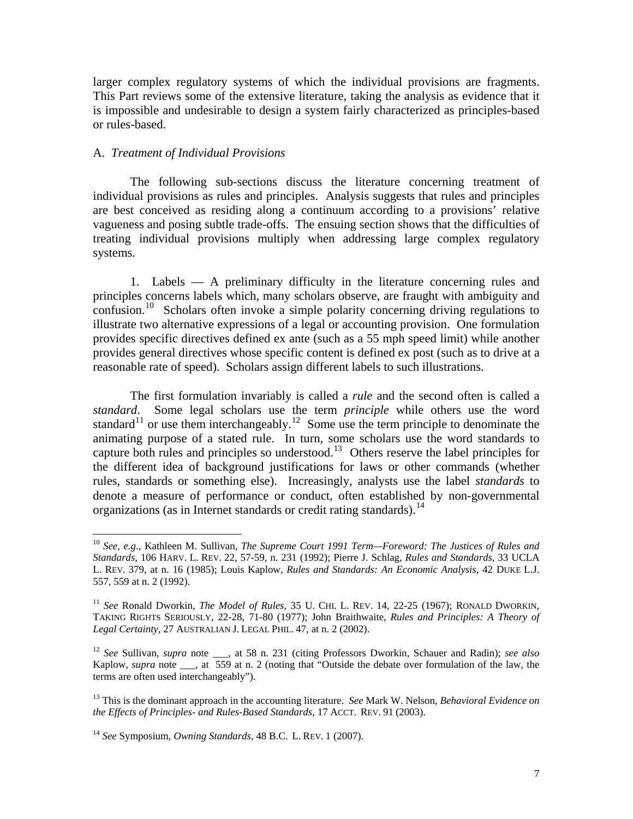larger complex regulatory systems of which the individual provisions are fragments. This Part reviews some of the extensive literature, taking the analysis as evidence that it is impossible and undesirable to design a system fairly characterized as principles-based or rules-based.

# A. *Treatment of Individual Provisions*

 $\overline{a}$ 

 The following sub-sections discuss the literature concerning treatment of individual provisions as rules and principles. Analysis suggests that rules and principles are best conceived as residing along a continuum according to a provisions' relative vagueness and posing subtle trade-offs. The ensuing section shows that the difficulties of treating individual provisions multiply when addressing large complex regulatory systems.

 1. Labels — A preliminary difficulty in the literature concerning rules and principles concerns labels which, many scholars observe, are fraught with ambiguity and confusion.<sup>[10](#page-7-0)</sup> Scholars often invoke a simple polarity concerning driving regulations to illustrate two alternative expressions of a legal or accounting provision. One formulation provides specific directives defined ex ante (such as a 55 mph speed limit) while another provides general directives whose specific content is defined ex post (such as to drive at a reasonable rate of speed). Scholars assign different labels to such illustrations.

 The first formulation invariably is called a *rule* and the second often is called a *standard*. Some legal scholars use the term *principle* while others use the word standard<sup>[11](#page-7-1)</sup> or use them interchangeably.<sup>[12](#page-7-2)</sup> Some use the term principle to denominate the animating purpose of a stated rule. In turn, some scholars use the word standards to capture both rules and principles so understood.<sup>[13](#page-7-3)</sup> Others reserve the label principles for the different idea of background justifications for laws or other commands (whether rules, standards or something else). Increasingly, analysts use the label *standards* to denote a measure of performance or conduct, often established by non-governmental organizations (as in Internet standards or credit rating standards).  $14$ 

<span id="page-7-0"></span><sup>10</sup> *See, e.g*.*,* Kathleen M. Sullivan, *The Supreme Court 1991 Term—Foreword: The Justices of Rules and Standards*, 106 HARV. L. REV. 22, 57-59, n. 231 (1992); Pierre J. Schlag, *Rules and Standards*, 33 UCLA L. REV. 379, at n. 16 (1985); Louis Kaplow, *Rules and Standards: An Economic Analysis*, 42 DUKE L.J. 557, 559 at n. 2 (1992).

<span id="page-7-1"></span><sup>11</sup> *See* Ronald Dworkin, *The Model of Rules,* 35 U. CHI. L. REV. 14, 22-25 (1967); RONALD DWORKIN, TAKING RIGHTS SERIOUSLY, 22-28, 71-80 (1977); John Braithwaite, *Rules and Principles: A Theory of Legal Certainty*, 27 AUSTRALIAN J. LEGAL PHIL. 47, at n. 2 (2002).

<span id="page-7-2"></span><sup>&</sup>lt;sup>12</sup> *See* Sullivan, *supra* note \_\_\_, at 58 n. 231 (citing Professors Dworkin, Schauer and Radin); *see also* Kaplow, *supra* note <sub>\_\_\_</sub>, at 559 at n. 2 (noting that "Outside the debate over formulation of the law, the terms are often used interchangeably").

<span id="page-7-3"></span><sup>13</sup> This is the dominant approach in the accounting literature. *See* Mark W. Nelson, *Behavioral Evidence on the Effects of Principles- and Rules-Based Standards*, 17 ACCT. REV. 91 (2003).

<span id="page-7-4"></span><sup>14</sup> *See* Symposium, *Owning Standards*, 48 B.C. L. REV. 1 (2007).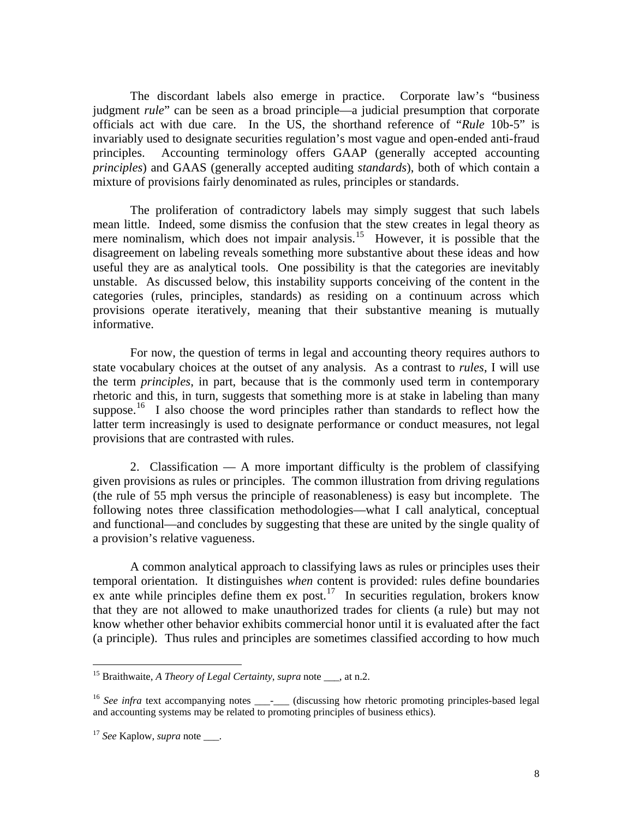The discordant labels also emerge in practice. Corporate law's "business judgment *rule*" can be seen as a broad principle—a judicial presumption that corporate officials act with due care. In the US, the shorthand reference of "*Rule* 10b-5" is invariably used to designate securities regulation's most vague and open-ended anti-fraud principles. Accounting terminology offers GAAP (generally accepted accounting *principles*) and GAAS (generally accepted auditing *standards*), both of which contain a mixture of provisions fairly denominated as rules, principles or standards.

 The proliferation of contradictory labels may simply suggest that such labels mean little. Indeed, some dismiss the confusion that the stew creates in legal theory as mere nominalism, which does not impair analysis.<sup>[15](#page-8-0)</sup> However, it is possible that the disagreement on labeling reveals something more substantive about these ideas and how useful they are as analytical tools. One possibility is that the categories are inevitably unstable. As discussed below, this instability supports conceiving of the content in the categories (rules, principles, standards) as residing on a continuum across which provisions operate iteratively, meaning that their substantive meaning is mutually informative.

 For now, the question of terms in legal and accounting theory requires authors to state vocabulary choices at the outset of any analysis. As a contrast to *rules*, I will use the term *principles*, in part, because that is the commonly used term in contemporary rhetoric and this, in turn, suggests that something more is at stake in labeling than many suppose.<sup>[16](#page-8-1)</sup> I also choose the word principles rather than standards to reflect how the latter term increasingly is used to designate performance or conduct measures, not legal provisions that are contrasted with rules.

 2. Classification — A more important difficulty is the problem of classifying given provisions as rules or principles. The common illustration from driving regulations (the rule of 55 mph versus the principle of reasonableness) is easy but incomplete. The following notes three classification methodologies—what I call analytical, conceptual and functional—and concludes by suggesting that these are united by the single quality of a provision's relative vagueness.

 A common analytical approach to classifying laws as rules or principles uses their temporal orientation. It distinguishes *when* content is provided: rules define boundaries ex ante while principles define them ex post.<sup>[17](#page-8-2)</sup> In securities regulation, brokers know that they are not allowed to make unauthorized trades for clients (a rule) but may not know whether other behavior exhibits commercial honor until it is evaluated after the fact (a principle). Thus rules and principles are sometimes classified according to how much

<span id="page-8-0"></span><sup>&</sup>lt;sup>15</sup> Braithwaite, *A Theory of Legal Certainty*, *supra* note , at n.2.

<span id="page-8-1"></span><sup>&</sup>lt;sup>16</sup> See infra text accompanying notes \_\_\_\_\_\_ (discussing how rhetoric promoting principles-based legal and accounting systems may be related to promoting principles of business ethics).

<span id="page-8-2"></span><sup>&</sup>lt;sup>17</sup> See Kaplow, *supra* note \_\_\_\_.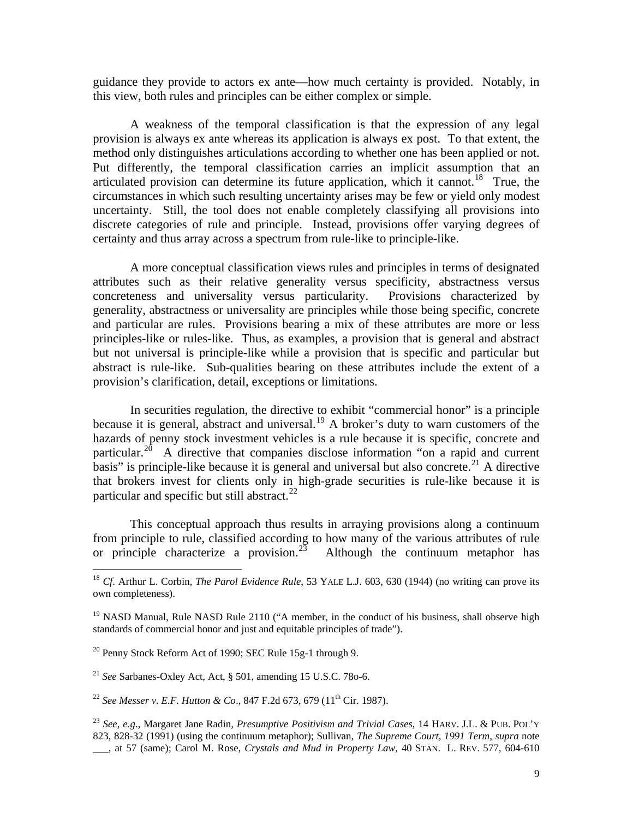guidance they provide to actors ex ante—how much certainty is provided. Notably, in this view, both rules and principles can be either complex or simple.

 A weakness of the temporal classification is that the expression of any legal provision is always ex ante whereas its application is always ex post. To that extent, the method only distinguishes articulations according to whether one has been applied or not. Put differently, the temporal classification carries an implicit assumption that an articulated provision can determine its future application, which it cannot.<sup>[18](#page-9-0)</sup> True, the circumstances in which such resulting uncertainty arises may be few or yield only modest uncertainty. Still, the tool does not enable completely classifying all provisions into discrete categories of rule and principle. Instead, provisions offer varying degrees of certainty and thus array across a spectrum from rule-like to principle-like.

 A more conceptual classification views rules and principles in terms of designated attributes such as their relative generality versus specificity, abstractness versus concreteness and universality versus particularity. Provisions characterized by generality, abstractness or universality are principles while those being specific, concrete and particular are rules. Provisions bearing a mix of these attributes are more or less principles-like or rules-like. Thus, as examples, a provision that is general and abstract but not universal is principle-like while a provision that is specific and particular but abstract is rule-like. Sub-qualities bearing on these attributes include the extent of a provision's clarification, detail, exceptions or limitations.

 In securities regulation, the directive to exhibit "commercial honor" is a principle because it is general, abstract and universal.<sup>[19](#page-9-1)</sup> A broker's duty to warn customers of the hazards of penny stock investment vehicles is a rule because it is specific, concrete and particular.<sup>[20](#page-9-2)</sup> A directive that companies disclose information "on a rapid and current" basis" is principle-like because it is general and universal but also concrete.<sup>[21](#page-9-3)</sup> A directive that brokers invest for clients only in high-grade securities is rule-like because it is particular and specific but still abstract.<sup>[22](#page-9-4)</sup>

 This conceptual approach thus results in arraying provisions along a continuum from principle to rule, classified according to how many of the various attributes of rule or principle characterize a provision.<sup>[23](#page-9-5)</sup> Although the continuum metaphor has

<span id="page-9-0"></span><sup>&</sup>lt;sup>18</sup> *Cf.* Arthur L. Corbin, *The Parol Evidence Rule*, 53 YALE L.J. 603, 630 (1944) (no writing can prove its own completeness).

<span id="page-9-1"></span> $19$  NASD Manual, Rule NASD Rule 2110 ("A member, in the conduct of his business, shall observe high standards of commercial honor and just and equitable principles of trade").

<span id="page-9-2"></span> $20$  Penny Stock Reform Act of 1990; SEC Rule 15g-1 through 9.

<span id="page-9-3"></span><sup>21</sup> *See* Sarbanes-Oxley Act, Act, § 501, amending 15 U.S.C. 78o-6.

<span id="page-9-4"></span><sup>&</sup>lt;sup>22</sup> See Messer v. E.F. Hutton & Co., 847 F.2d 673, 679 (11<sup>th</sup> Cir. 1987).

<span id="page-9-5"></span><sup>23</sup> *See*, *e.g*., Margaret Jane Radin, *Presumptive Positivism and Trivial Cases*, 14 HARV. J.L. & PUB. POL'Y 823, 828-32 (1991) (using the continuum metaphor); Sullivan, *The Supreme Court, 1991 Term, supra* note \_\_\_, at 57 (same); Carol M. Rose, *Crystals and Mud in Property Law*, 40 STAN. L. REV. 577, 604-610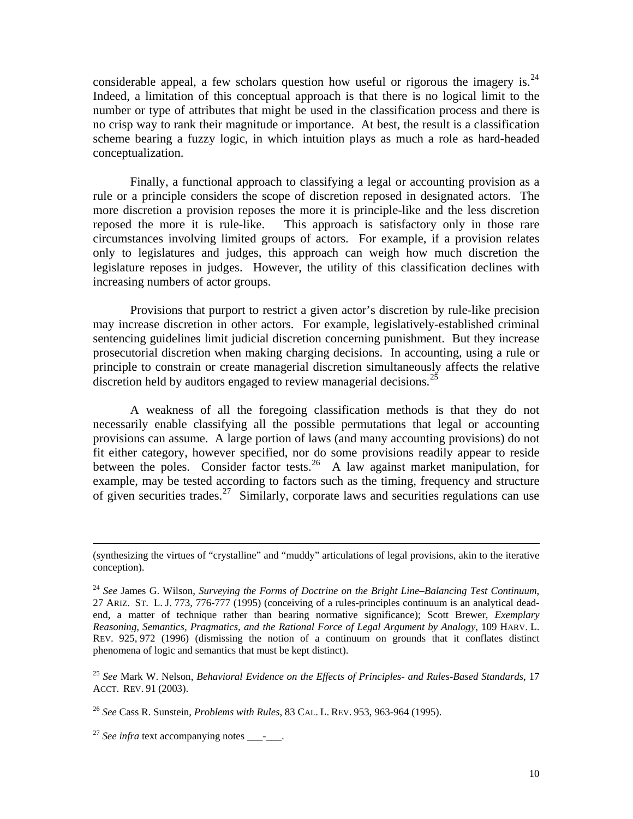considerable appeal, a few scholars question how useful or rigorous the imagery is.<sup>24</sup> Indeed, a limitation of this conceptual approach is that there is no logical limit to the number or type of attributes that might be used in the classification process and there is no crisp way to rank their magnitude or importance. At best, the result is a classification scheme bearing a fuzzy logic, in which intuition plays as much a role as hard-headed conceptualization.

 Finally, a functional approach to classifying a legal or accounting provision as a rule or a principle considers the scope of discretion reposed in designated actors. The more discretion a provision reposes the more it is principle-like and the less discretion reposed the more it is rule-like. This approach is satisfactory only in those rare circumstances involving limited groups of actors. For example, if a provision relates only to legislatures and judges, this approach can weigh how much discretion the legislature reposes in judges. However, the utility of this classification declines with increasing numbers of actor groups.

 Provisions that purport to restrict a given actor's discretion by rule-like precision may increase discretion in other actors. For example, legislatively-established criminal sentencing guidelines limit judicial discretion concerning punishment. But they increase prosecutorial discretion when making charging decisions. In accounting, using a rule or principle to constrain or create managerial discretion simultaneously affects the relative discretion held by auditors engaged to review managerial decisions.<sup>[25](#page-10-1)</sup>

 A weakness of all the foregoing classification methods is that they do not necessarily enable classifying all the possible permutations that legal or accounting provisions can assume. A large portion of laws (and many accounting provisions) do not fit either category, however specified, nor do some provisions readily appear to reside between the poles. Consider factor tests.<sup>[26](#page-10-2)</sup> A law against market manipulation, for example, may be tested according to factors such as the timing, frequency and structure of given securities trades.<sup>[27](#page-10-3)</sup> Similarly, corporate laws and securities regulations can use

<span id="page-10-1"></span><sup>25</sup> *See* Mark W. Nelson, *Behavioral Evidence on the Effects of Principles- and Rules-Based Standards*, 17 ACCT. REV. 91 (2003).

 <sup>(</sup>synthesizing the virtues of "crystalline" and "muddy" articulations of legal provisions, akin to the iterative conception).

<span id="page-10-0"></span><sup>24</sup> *See* James G. Wilson, *Surveying the Forms of Doctrine on the Bright Line–Balancing Test Continuum*, 27 ARIZ. ST. L. J. 773, 776-777 (1995) (conceiving of a rules-principles continuum is an analytical deadend, a matter of technique rather than bearing normative significance); Scott Brewer, *Exemplary Reasoning, Semantics, Pragmatics, and the Rational Force of Legal Argument by Analogy*, 109 HARV. L. REV. 925, 972 (1996) (dismissing the notion of a continuum on grounds that it conflates distinct phenomena of logic and semantics that must be kept distinct).

<span id="page-10-2"></span><sup>26</sup> *See* Cass R. Sunstein, *Problems with Rules*, 83 CAL. L. REV. 953, 963-964 (1995).

<span id="page-10-3"></span><sup>&</sup>lt;sup>27</sup> See infra text accompanying notes \_\_\_\_\_\_.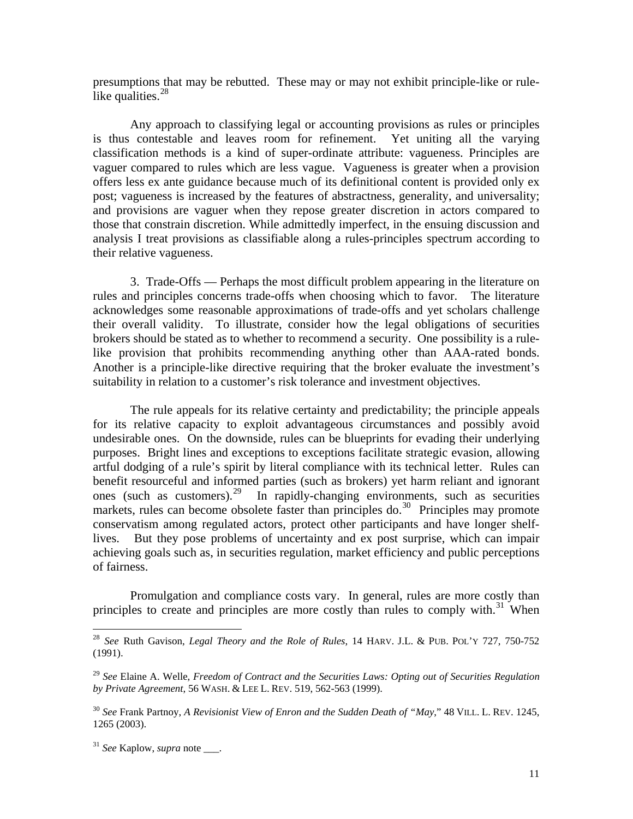presumptions that may be rebutted. These may or may not exhibit principle-like or rulelike qualities. $^{28}$  $^{28}$  $^{28}$ 

 Any approach to classifying legal or accounting provisions as rules or principles is thus contestable and leaves room for refinement. Yet uniting all the varying classification methods is a kind of super-ordinate attribute: vagueness. Principles are vaguer compared to rules which are less vague. Vagueness is greater when a provision offers less ex ante guidance because much of its definitional content is provided only ex post; vagueness is increased by the features of abstractness, generality, and universality; and provisions are vaguer when they repose greater discretion in actors compared to those that constrain discretion. While admittedly imperfect, in the ensuing discussion and analysis I treat provisions as classifiable along a rules-principles spectrum according to their relative vagueness.

 3. Trade-Offs — Perhaps the most difficult problem appearing in the literature on rules and principles concerns trade-offs when choosing which to favor. The literature acknowledges some reasonable approximations of trade-offs and yet scholars challenge their overall validity. To illustrate, consider how the legal obligations of securities brokers should be stated as to whether to recommend a security. One possibility is a rulelike provision that prohibits recommending anything other than AAA-rated bonds. Another is a principle-like directive requiring that the broker evaluate the investment's suitability in relation to a customer's risk tolerance and investment objectives.

 The rule appeals for its relative certainty and predictability; the principle appeals for its relative capacity to exploit advantageous circumstances and possibly avoid undesirable ones. On the downside, rules can be blueprints for evading their underlying purposes. Bright lines and exceptions to exceptions facilitate strategic evasion, allowing artful dodging of a rule's spirit by literal compliance with its technical letter. Rules can benefit resourceful and informed parties (such as brokers) yet harm reliant and ignorant ones (such as customers).[29](#page-11-1) In rapidly-changing environments, such as securities markets, rules can become obsolete faster than principles do.<sup>[30](#page-11-2)</sup> Principles may promote conservatism among regulated actors, protect other participants and have longer shelflives. But they pose problems of uncertainty and ex post surprise, which can impair achieving goals such as, in securities regulation, market efficiency and public perceptions of fairness.

 Promulgation and compliance costs vary. In general, rules are more costly than principles to create and principles are more costly than rules to comply with.<sup>[31](#page-11-3)</sup> When

<span id="page-11-0"></span><sup>28</sup> *See* Ruth Gavison, *Legal Theory and the Role of Rules*, 14 HARV. J.L. & PUB. POL'Y 727, 750-752 (1991).

<span id="page-11-1"></span><sup>29</sup> *See* Elaine A. Welle, *Freedom of Contract and the Securities Laws: Opting out of Securities Regulation by Private Agreement*, 56 WASH. & LEE L. REV. 519, 562-563 (1999).

<span id="page-11-2"></span><sup>30</sup> *See* Frank Partnoy, *A Revisionist View of Enron and the Sudden Death of "May*," 48 VILL. L. REV. 1245, 1265 (2003).

<span id="page-11-3"></span><sup>&</sup>lt;sup>31</sup> *See* Kaplow, *supra* note .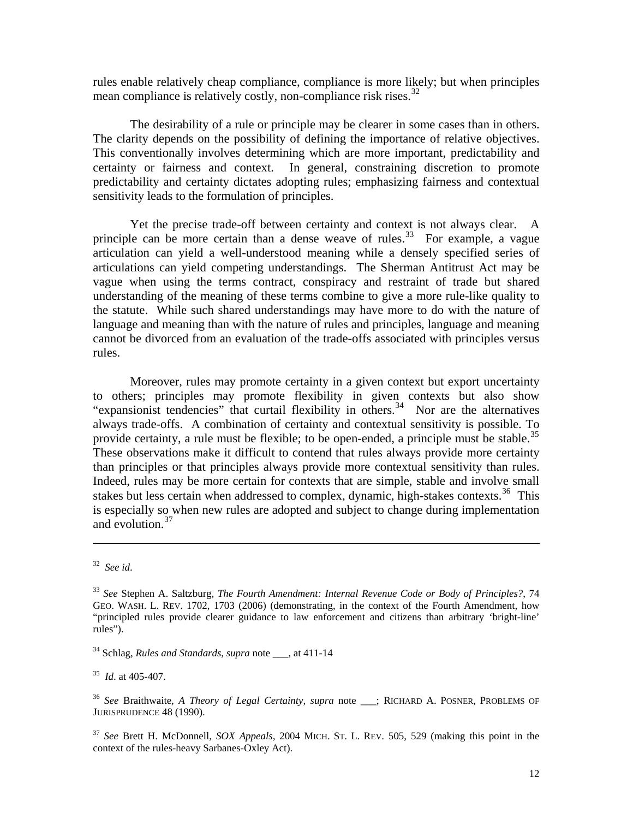rules enable relatively cheap compliance, compliance is more likely; but when principles mean compliance is relatively costly, non-compliance risk rises.<sup>[32](#page-12-0)</sup>

 The desirability of a rule or principle may be clearer in some cases than in others. The clarity depends on the possibility of defining the importance of relative objectives. This conventionally involves determining which are more important, predictability and certainty or fairness and context. In general, constraining discretion to promote predictability and certainty dictates adopting rules; emphasizing fairness and contextual sensitivity leads to the formulation of principles.

 Yet the precise trade-off between certainty and context is not always clear. A principle can be more certain than a dense weave of rules.<sup>[33](#page-12-1)</sup> For example, a vague articulation can yield a well-understood meaning while a densely specified series of articulations can yield competing understandings. The Sherman Antitrust Act may be vague when using the terms contract, conspiracy and restraint of trade but shared understanding of the meaning of these terms combine to give a more rule-like quality to the statute. While such shared understandings may have more to do with the nature of language and meaning than with the nature of rules and principles, language and meaning cannot be divorced from an evaluation of the trade-offs associated with principles versus rules.

 Moreover, rules may promote certainty in a given context but export uncertainty to others; principles may promote flexibility in given contexts but also show "expansionist tendencies" that curtail flexibility in others.<sup>[34](#page-12-2)</sup> Nor are the alternatives always trade-offs. A combination of certainty and contextual sensitivity is possible. To provide certainty, a rule must be flexible; to be open-ended, a principle must be stable.<sup>[35](#page-12-3)</sup> These observations make it difficult to contend that rules always provide more certainty than principles or that principles always provide more contextual sensitivity than rules. Indeed, rules may be more certain for contexts that are simple, stable and involve small stakes but less certain when addressed to complex, dynamic, high-stakes contexts.<sup>[36](#page-12-4)</sup> This is especially so when new rules are adopted and subject to change during implementation and evolution.<sup>[37](#page-12-5)</sup>

<span id="page-12-0"></span><sup>32</sup> *See id*.

<span id="page-12-1"></span><sup>33</sup> *See* Stephen A. Saltzburg, *The Fourth Amendment: Internal Revenue Code or Body of Principles?*, 74 GEO. WASH. L. REV. 1702, 1703 (2006) (demonstrating, in the context of the Fourth Amendment, how "principled rules provide clearer guidance to law enforcement and citizens than arbitrary 'bright-line' rules").

<span id="page-12-2"></span><sup>&</sup>lt;sup>34</sup> Schlag, *Rules and Standards*, *supra* note , at 411-14

<span id="page-12-3"></span><sup>35</sup> *Id*. at 405-407.

<span id="page-12-4"></span><sup>36</sup> *See* Braithwaite, *A Theory of Legal Certainty*, *supra* note \_\_\_; RICHARD A. POSNER, PROBLEMS OF JURISPRUDENCE 48 (1990).

<span id="page-12-5"></span><sup>37</sup> *See* Brett H. McDonnell, *SOX Appeals,* 2004 MICH. ST. L. REV. 505, 529 (making this point in the context of the rules-heavy Sarbanes-Oxley Act).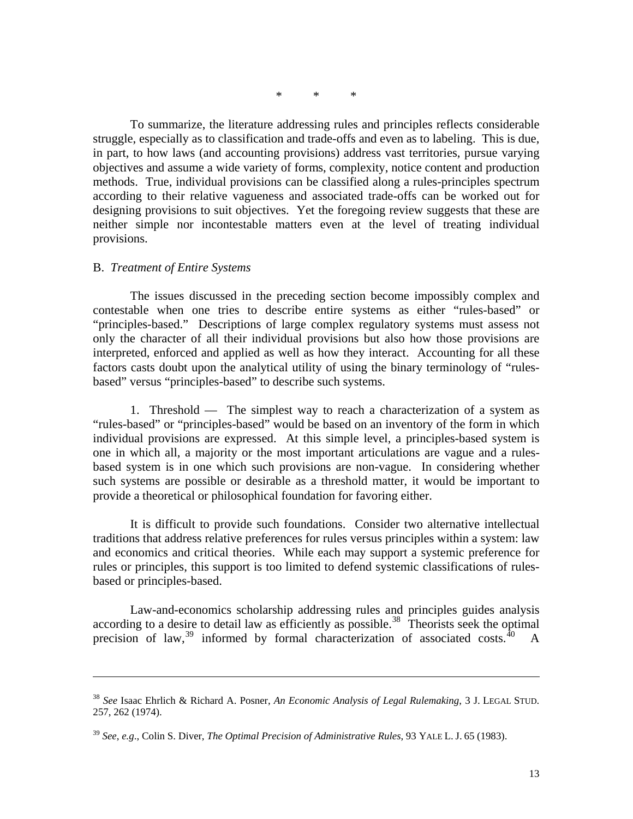\* \* \*

 To summarize, the literature addressing rules and principles reflects considerable struggle, especially as to classification and trade-offs and even as to labeling. This is due, in part, to how laws (and accounting provisions) address vast territories, pursue varying objectives and assume a wide variety of forms, complexity, notice content and production methods. True, individual provisions can be classified along a rules-principles spectrum according to their relative vagueness and associated trade-offs can be worked out for designing provisions to suit objectives. Yet the foregoing review suggests that these are neither simple nor incontestable matters even at the level of treating individual provisions.

## B. *Treatment of Entire Systems*

 $\overline{a}$ 

 The issues discussed in the preceding section become impossibly complex and contestable when one tries to describe entire systems as either "rules-based" or "principles-based." Descriptions of large complex regulatory systems must assess not only the character of all their individual provisions but also how those provisions are interpreted, enforced and applied as well as how they interact. Accounting for all these factors casts doubt upon the analytical utility of using the binary terminology of "rulesbased" versus "principles-based" to describe such systems.

 1. Threshold — The simplest way to reach a characterization of a system as "rules-based" or "principles-based" would be based on an inventory of the form in which individual provisions are expressed. At this simple level, a principles-based system is one in which all, a majority or the most important articulations are vague and a rulesbased system is in one which such provisions are non-vague. In considering whether such systems are possible or desirable as a threshold matter, it would be important to provide a theoretical or philosophical foundation for favoring either.

<span id="page-13-2"></span> It is difficult to provide such foundations. Consider two alternative intellectual traditions that address relative preferences for rules versus principles within a system: law and economics and critical theories. While each may support a systemic preference for rules or principles, this support is too limited to defend systemic classifications of rulesbased or principles-based.

 Law-and-economics scholarship addressing rules and principles guides analysis according to a desire to detail law as efficiently as possible.<sup>[38](#page-13-0)</sup> Theorists seek the optimal precision of law,  $39$  informed by formal characterization of associated costs.  $40$  A

<span id="page-13-0"></span><sup>38</sup> *See* Isaac Ehrlich & Richard A. Posner, *An Economic Analysis of Legal Rulemaking*, 3 J. LEGAL STUD. 257, 262 (1974).

<span id="page-13-1"></span><sup>39</sup> *See*, *e.g*., Colin S. Diver, *The Optimal Precision of Administrative Rules*, 93 YALE L. J. 65 (1983).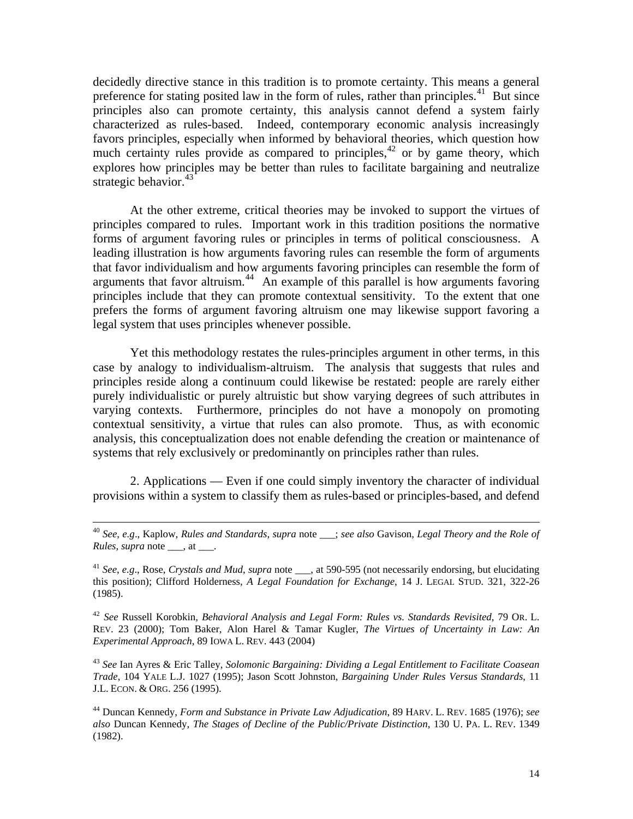decidedly directive stance in this tradition is to promote certainty. This means a general preference for stating posited law in the form of rules, rather than principles.<sup>[41](#page-14-0)</sup> But since principles also can promote certainty, this analysis cannot defend a system fairly characterized as rules-based. Indeed, contemporary economic analysis increasingly favors principles, especially when informed by behavioral theories, which question how much certainty rules provide as compared to principles, $42$  or by game theory, which explores how principles may be better than rules to facilitate bargaining and neutralize strategic behavior. $43$ 

 At the other extreme, critical theories may be invoked to support the virtues of principles compared to rules. Important work in this tradition positions the normative forms of argument favoring rules or principles in terms of political consciousness. A leading illustration is how arguments favoring rules can resemble the form of arguments that favor individualism and how arguments favoring principles can resemble the form of arguments that favor altruism.<sup>[44](#page-14-3)</sup> An example of this parallel is how arguments favoring principles include that they can promote contextual sensitivity. To the extent that one prefers the forms of argument favoring altruism one may likewise support favoring a legal system that uses principles whenever possible.

 Yet this methodology restates the rules-principles argument in other terms, in this case by analogy to individualism-altruism. The analysis that suggests that rules and principles reside along a continuum could likewise be restated: people are rarely either purely individualistic or purely altruistic but show varying degrees of such attributes in varying contexts. Furthermore, principles do not have a monopoly on promoting contextual sensitivity, a virtue that rules can also promote. Thus, as with economic analysis, this conceptualization does not enable defending the creation or maintenance of systems that rely exclusively or predominantly on principles rather than rules.

 2. Applications — Even if one could simply inventory the character of individual provisions within a system to classify them as rules-based or principles-based, and defend

<span id="page-14-1"></span><sup>42</sup> *See* Russell Korobkin, *Behavioral Analysis and Legal Form: Rules vs. Standards Revisited*, 79 OR. L. REV. 23 (2000); Tom Baker, Alon Harel & Tamar Kugler, *The Virtues of Uncertainty in Law: An Experimental Approach*, 89 IOWA L. REV. 443 (2004)

<span id="page-14-2"></span><sup>43</sup> *See* Ian Ayres & Eric Talley, *Solomonic Bargaining: Dividing a Legal Entitlement to Facilitate Coasean Trade*, 104 YALE L.J. 1027 (1995); Jason Scott Johnston, *Bargaining Under Rules Versus Standards*, 11 J.L. ECON. & ORG. 256 (1995).

<span id="page-14-3"></span>44 Duncan Kennedy, *Form and Substance in Private Law Adjudication*, 89 HARV. L. REV. 1685 (1976); *see also* Duncan Kennedy, *The Stages of Decline of the Public/Private Distinction*, 130 U. PA. L. REV. 1349 (1982).

 <sup>40</sup> *See*, *e.g*., Kaplow, *Rules and Standards*, *supra* note \_\_\_; *see also* Gavison, *Legal Theory and the Role of Rules, supra* note \_\_\_, at \_\_\_.

<span id="page-14-0"></span><sup>&</sup>lt;sup>41</sup> *See*, *e.g.*, Rose, *Crystals and Mud, supra* note , at 590-595 (not necessarily endorsing, but elucidating this position); Clifford Holderness, *A Legal Foundation for Exchange*, 14 J. LEGAL STUD. 321, 322-26 (1985).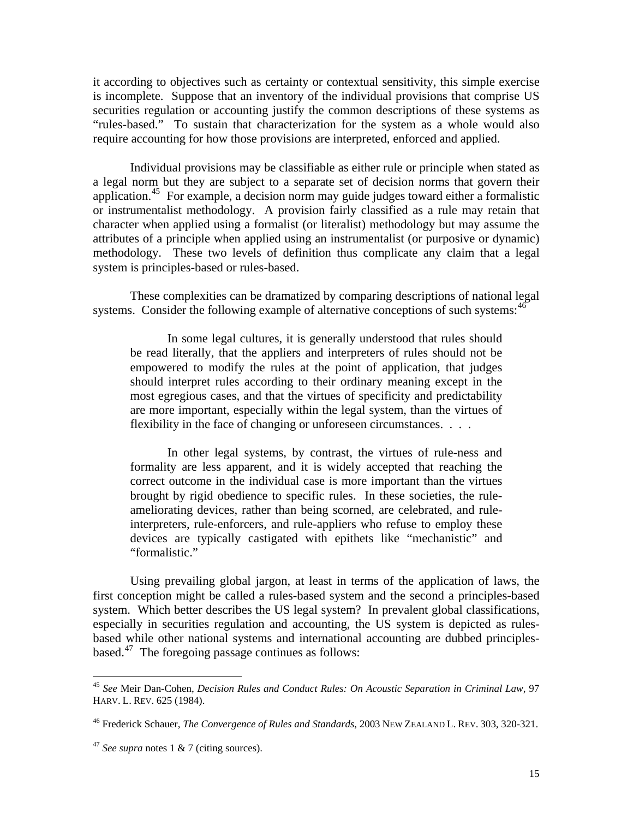it according to objectives such as certainty or contextual sensitivity, this simple exercise is incomplete. Suppose that an inventory of the individual provisions that comprise US securities regulation or accounting justify the common descriptions of these systems as "rules-based." To sustain that characterization for the system as a whole would also require accounting for how those provisions are interpreted, enforced and applied.

 Individual provisions may be classifiable as either rule or principle when stated as a legal norm but they are subject to a separate set of decision norms that govern their application.<sup>[45](#page-15-0)</sup> For example, a decision norm may guide judges toward either a formalistic or instrumentalist methodology. A provision fairly classified as a rule may retain that character when applied using a formalist (or literalist) methodology but may assume the attributes of a principle when applied using an instrumentalist (or purposive or dynamic) methodology. These two levels of definition thus complicate any claim that a legal system is principles-based or rules-based.

 These complexities can be dramatized by comparing descriptions of national legal systems. Consider the following example of alternative conceptions of such systems:  $46$ 

 In some legal cultures, it is generally understood that rules should be read literally, that the appliers and interpreters of rules should not be empowered to modify the rules at the point of application, that judges should interpret rules according to their ordinary meaning except in the most egregious cases, and that the virtues of specificity and predictability are more important, especially within the legal system, than the virtues of flexibility in the face of changing or unforeseen circumstances. . . .

 In other legal systems, by contrast, the virtues of rule-ness and formality are less apparent, and it is widely accepted that reaching the correct outcome in the individual case is more important than the virtues brought by rigid obedience to specific rules. In these societies, the ruleameliorating devices, rather than being scorned, are celebrated, and ruleinterpreters, rule-enforcers, and rule-appliers who refuse to employ these devices are typically castigated with epithets like "mechanistic" and "formalistic."

 Using prevailing global jargon, at least in terms of the application of laws, the first conception might be called a rules-based system and the second a principles-based system. Which better describes the US legal system? In prevalent global classifications, especially in securities regulation and accounting, the US system is depicted as rulesbased while other national systems and international accounting are dubbed principlesbased.[47](#page-15-2) The foregoing passage continues as follows:

<span id="page-15-0"></span><sup>45</sup> *See* Meir Dan-Cohen, *Decision Rules and Conduct Rules: On Acoustic Separation in Criminal Law*, 97 HARV. L. REV. 625 (1984).

<span id="page-15-1"></span><sup>46</sup> Frederick Schauer, *The Convergence of Rules and Standards*, 2003 NEW ZEALAND L. REV. 303, 320-321.

<span id="page-15-2"></span><sup>47</sup> *See supra* notes 1 & 7 (citing sources).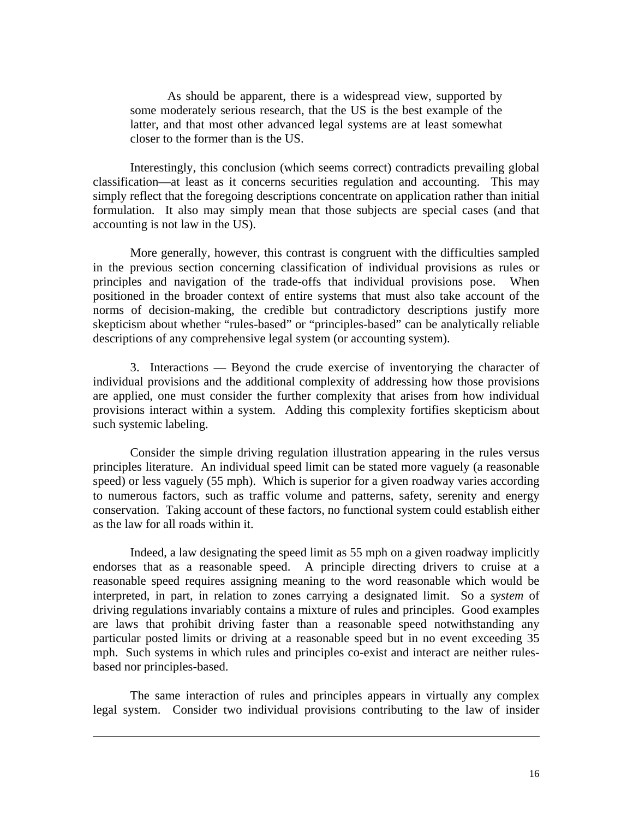As should be apparent, there is a widespread view, supported by some moderately serious research, that the US is the best example of the latter, and that most other advanced legal systems are at least somewhat closer to the former than is the US.

 Interestingly, this conclusion (which seems correct) contradicts prevailing global classification—at least as it concerns securities regulation and accounting. This may simply reflect that the foregoing descriptions concentrate on application rather than initial formulation. It also may simply mean that those subjects are special cases (and that accounting is not law in the US).

 More generally, however, this contrast is congruent with the difficulties sampled in the previous section concerning classification of individual provisions as rules or principles and navigation of the trade-offs that individual provisions pose. When positioned in the broader context of entire systems that must also take account of the norms of decision-making, the credible but contradictory descriptions justify more skepticism about whether "rules-based" or "principles-based" can be analytically reliable descriptions of any comprehensive legal system (or accounting system).

 3. Interactions — Beyond the crude exercise of inventorying the character of individual provisions and the additional complexity of addressing how those provisions are applied, one must consider the further complexity that arises from how individual provisions interact within a system. Adding this complexity fortifies skepticism about such systemic labeling.

 Consider the simple driving regulation illustration appearing in the rules versus principles literature. An individual speed limit can be stated more vaguely (a reasonable speed) or less vaguely (55 mph). Which is superior for a given roadway varies according to numerous factors, such as traffic volume and patterns, safety, serenity and energy conservation. Taking account of these factors, no functional system could establish either as the law for all roads within it.

 Indeed, a law designating the speed limit as 55 mph on a given roadway implicitly endorses that as a reasonable speed. A principle directing drivers to cruise at a reasonable speed requires assigning meaning to the word reasonable which would be interpreted, in part, in relation to zones carrying a designated limit. So a *system* of driving regulations invariably contains a mixture of rules and principles. Good examples are laws that prohibit driving faster than a reasonable speed notwithstanding any particular posted limits or driving at a reasonable speed but in no event exceeding 35 mph. Such systems in which rules and principles co-exist and interact are neither rulesbased nor principles-based.

 The same interaction of rules and principles appears in virtually any complex legal system. Consider two individual provisions contributing to the law of insider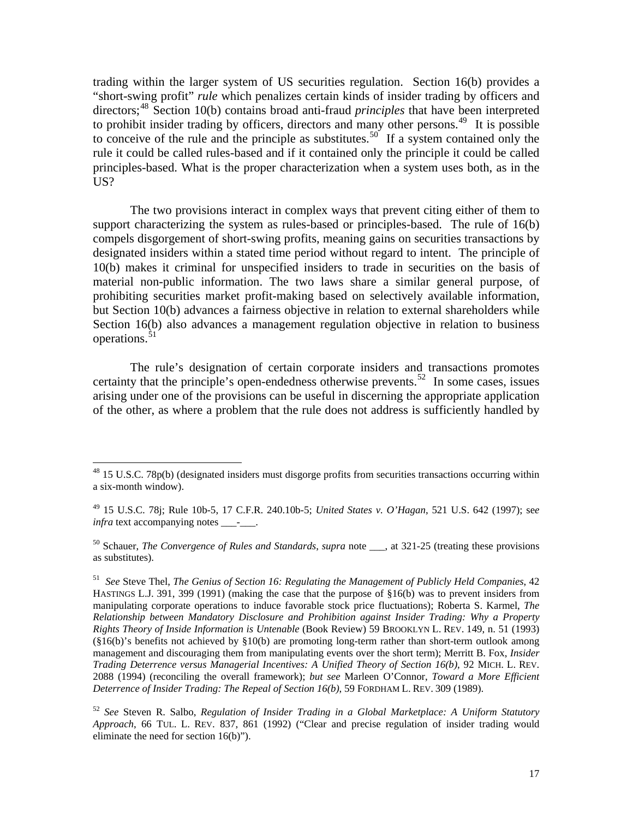trading within the larger system of US securities regulation. Section 16(b) provides a "short-swing profit" *rule* which penalizes certain kinds of insider trading by officers and directors;<sup>[48](#page-17-0)</sup> Section 10(b) contains broad anti-fraud *principles* that have been interpreted to prohibit insider trading by officers, directors and many other persons.<sup>[49](#page-17-1)</sup> It is possible to conceive of the rule and the principle as substitutes.<sup>[50](#page-17-2)</sup> If a system contained only the rule it could be called rules-based and if it contained only the principle it could be called principles-based. What is the proper characterization when a system uses both, as in the US?

 The two provisions interact in complex ways that prevent citing either of them to support characterizing the system as rules-based or principles-based. The rule of 16(b) compels disgorgement of short-swing profits, meaning gains on securities transactions by designated insiders within a stated time period without regard to intent. The principle of 10(b) makes it criminal for unspecified insiders to trade in securities on the basis of material non-public information. The two laws share a similar general purpose, of prohibiting securities market profit-making based on selectively available information, but Section 10(b) advances a fairness objective in relation to external shareholders while Section 16(b) also advances a management regulation objective in relation to business operations.<sup>[51](#page-17-3)</sup>

 The rule's designation of certain corporate insiders and transactions promotes certainty that the principle's open-endedness otherwise prevents.<sup>[52](#page-17-4)</sup> In some cases, issues arising under one of the provisions can be useful in discerning the appropriate application of the other, as where a problem that the rule does not address is sufficiently handled by

 $\overline{a}$ 

<span id="page-17-2"></span><sup>50</sup> Schauer, *The Convergence of Rules and Standards*, *supra* note , at 321-25 (treating these provisions as substitutes).

<span id="page-17-0"></span> $48$  15 U.S.C. 78p(b) (designated insiders must disgorge profits from securities transactions occurring within a six-month window).

<span id="page-17-1"></span><sup>49 15</sup> U.S.C. 78j; Rule 10b-5, 17 C.F.R. 240.10b-5; *United States v. O'Hagan*, 521 U.S. 642 (1997); se*e infra* text accompanying notes \_\_\_\_\_\_.

<span id="page-17-3"></span><sup>51</sup> *See* Steve Thel, *The Genius of Section 16: Regulating the Management of Publicly Held Companies*, 42 HASTINGS L.J. 391, 399 (1991) (making the case that the purpose of §16(b) was to prevent insiders from manipulating corporate operations to induce favorable stock price fluctuations); Roberta S. Karmel, *The Relationship between Mandatory Disclosure and Prohibition against Insider Trading: Why a Property Rights Theory of Inside Information is Untenable* (Book Review) 59 BROOKLYN L. REV. 149, n. 51 (1993) (§16(b)'s benefits not achieved by §10(b) are promoting long-term rather than short-term outlook among management and discouraging them from manipulating events over the short term); Merritt B. Fox, *[Insider](http://www.law.columbia.edu/fox?exclusive=filemgr.download&file_id=942180&rtcontentdisposition=filename%3DInsider%20Trading%20Deterrence%20-%20Mich%20law.pdf)  [Trading Deterrence versus Managerial Incentives: A Unified Theory of Section](http://www.law.columbia.edu/fox?exclusive=filemgr.download&file_id=942180&rtcontentdisposition=filename%3DInsider%20Trading%20Deterrence%20-%20Mich%20law.pdf) 16(b)*, 92 MICH. L. REV. 2088 (1994) (reconciling the overall framework); *but see* Marleen O'Connor, *Toward a More Efficient Deterrence of Insider Trading: The Repeal of Section 16(b)*, 59 FORDHAM L. REV. 309 (1989).

<span id="page-17-4"></span><sup>52</sup> *See* Steven R. Salbo, *Regulation of Insider Trading in a Global Marketplace: A Uniform Statutory Approach*, 66 TUL. L. REV. 837, 861 (1992) ("Clear and precise regulation of insider trading would eliminate the need for section 16(b)").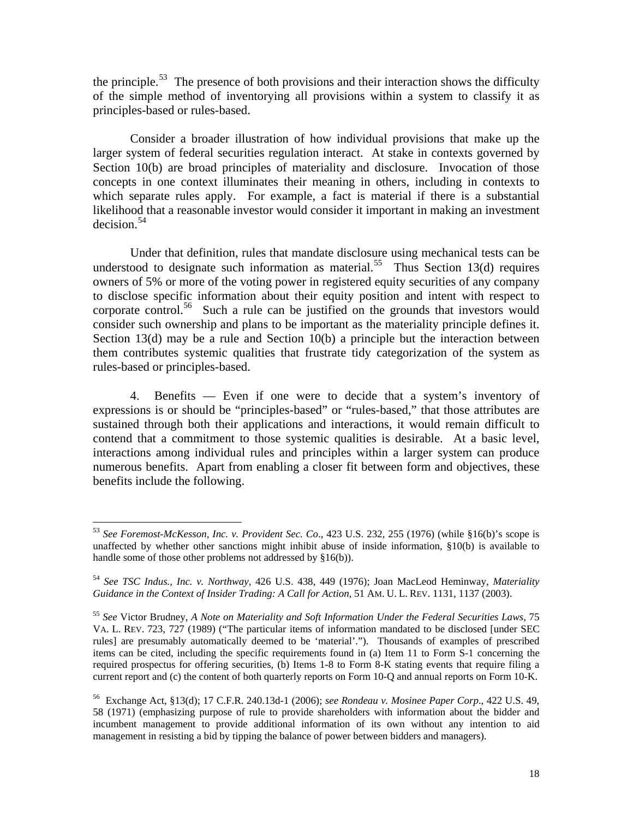the principle.<sup>[53](#page-18-0)</sup> The presence of both provisions and their interaction shows the difficulty of the simple method of inventorying all provisions within a system to classify it as principles-based or rules-based.

 Consider a broader illustration of how individual provisions that make up the larger system of federal securities regulation interact. At stake in contexts governed by Section 10(b) are broad principles of materiality and disclosure. Invocation of those concepts in one context illuminates their meaning in others, including in contexts to which separate rules apply. For example, a fact is material if there is a substantial likelihood that a reasonable investor would consider it important in making an investment  $decision.<sup>54</sup>$  $decision.<sup>54</sup>$  $decision.<sup>54</sup>$ 

 Under that definition, rules that mandate disclosure using mechanical tests can be understood to designate such information as material.<sup>[55](#page-18-2)</sup> Thus Section 13(d) requires owners of 5% or more of the voting power in registered equity securities of any company to disclose specific information about their equity position and intent with respect to corporate control.<sup>[56](#page-18-3)</sup> Such a rule can be justified on the grounds that investors would consider such ownership and plans to be important as the materiality principle defines it. Section 13(d) may be a rule and Section 10(b) a principle but the interaction between them contributes systemic qualities that frustrate tidy categorization of the system as rules-based or principles-based.

 4. Benefits — Even if one were to decide that a system's inventory of expressions is or should be "principles-based" or "rules-based," that those attributes are sustained through both their applications and interactions, it would remain difficult to contend that a commitment to those systemic qualities is desirable. At a basic level, interactions among individual rules and principles within a larger system can produce numerous benefits. Apart from enabling a closer fit between form and objectives, these benefits include the following.

<span id="page-18-0"></span><sup>53</sup> *See Foremost-McKesson, Inc. v. Provident Sec. Co*., 423 U.S. 232, 255 (1976) (while §16(b)'s scope is unaffected by whether other sanctions might inhibit abuse of inside information, §10(b) is available to handle some of those other problems not addressed by §16(b)).

<span id="page-18-1"></span><sup>54</sup> *See TSC Indus., Inc. v. Northway*, 426 U.S. 438, 449 (1976); Joan MacLeod Heminway, *Materiality Guidance in the Context of Insider Trading: A Call for Action*, 51 AM. U. L. REV. 1131, 1137 (2003).

<span id="page-18-2"></span><sup>55</sup> *See* Victor Brudney, *A Note on Materiality and Soft Information Under the Federal Securities Laws*, 75 VA. L. REV. 723, 727 (1989) ("The particular items of information mandated to be disclosed [under SEC rules] are presumably automatically deemed to be 'material'."). Thousands of examples of prescribed items can be cited, including the specific requirements found in (a) Item 11 to Form S-1 concerning the required prospectus for offering securities, (b) Items 1-8 to Form 8-K stating events that require filing a current report and (c) the content of both quarterly reports on Form 10-Q and annual reports on Form 10-K.

<span id="page-18-3"></span><sup>56</sup> Exchange Act, §13(d); 17 C.F.R. 240.13d-1 (2006); *see Rondeau v. Mosinee Paper Corp*., 422 U.S. 49, 58 (1971) (emphasizing purpose of rule to provide shareholders with information about the bidder and incumbent management to provide additional information of its own without any intention to aid management in resisting a bid by tipping the balance of power between bidders and managers).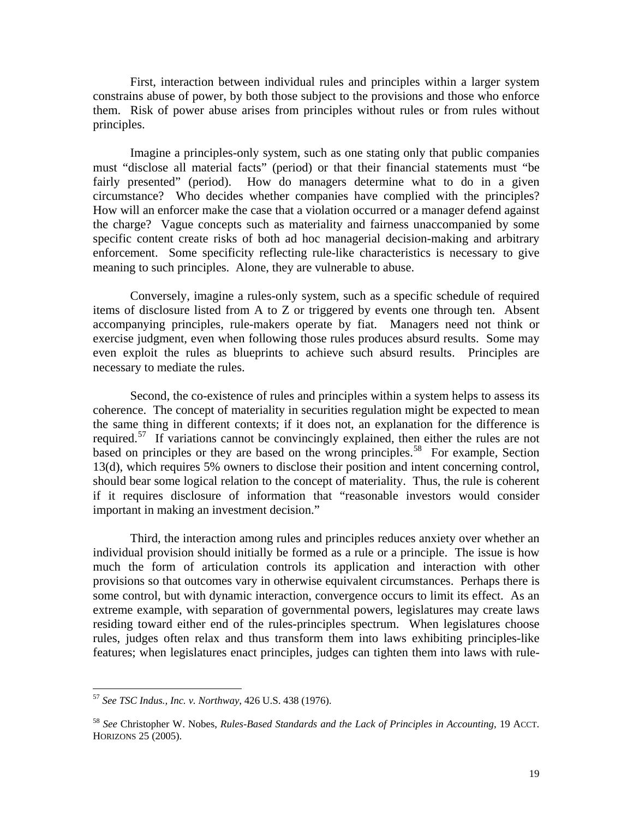First, interaction between individual rules and principles within a larger system constrains abuse of power, by both those subject to the provisions and those who enforce them. Risk of power abuse arises from principles without rules or from rules without principles.

 Imagine a principles-only system, such as one stating only that public companies must "disclose all material facts" (period) or that their financial statements must "be fairly presented" (period). How do managers determine what to do in a given circumstance? Who decides whether companies have complied with the principles? How will an enforcer make the case that a violation occurred or a manager defend against the charge? Vague concepts such as materiality and fairness unaccompanied by some specific content create risks of both ad hoc managerial decision-making and arbitrary enforcement. Some specificity reflecting rule-like characteristics is necessary to give meaning to such principles. Alone, they are vulnerable to abuse.

 Conversely, imagine a rules-only system, such as a specific schedule of required items of disclosure listed from A to Z or triggered by events one through ten. Absent accompanying principles, rule-makers operate by fiat. Managers need not think or exercise judgment, even when following those rules produces absurd results. Some may even exploit the rules as blueprints to achieve such absurd results. Principles are necessary to mediate the rules.

 Second, the co-existence of rules and principles within a system helps to assess its coherence. The concept of materiality in securities regulation might be expected to mean the same thing in different contexts; if it does not, an explanation for the difference is required.<sup>[57](#page-19-0)</sup> If variations cannot be convincingly explained, then either the rules are not based on principles or they are based on the wrong principles.<sup>[58](#page-19-1)</sup> For example, Section 13(d), which requires 5% owners to disclose their position and intent concerning control, should bear some logical relation to the concept of materiality. Thus, the rule is coherent if it requires disclosure of information that "reasonable investors would consider important in making an investment decision."

 Third, the interaction among rules and principles reduces anxiety over whether an individual provision should initially be formed as a rule or a principle. The issue is how much the form of articulation controls its application and interaction with other provisions so that outcomes vary in otherwise equivalent circumstances. Perhaps there is some control, but with dynamic interaction, convergence occurs to limit its effect. As an extreme example, with separation of governmental powers, legislatures may create laws residing toward either end of the rules-principles spectrum. When legislatures choose rules, judges often relax and thus transform them into laws exhibiting principles-like features; when legislatures enact principles, judges can tighten them into laws with rule-

<span id="page-19-0"></span><sup>57</sup> *See TSC Indus., Inc. v. Northway*, 426 U.S. 438 (1976).

<span id="page-19-1"></span><sup>58</sup> *See* Christopher W. Nobes, *Rules-Based Standards and the Lack of Principles in Accounting*, 19 ACCT. HORIZONS 25 (2005).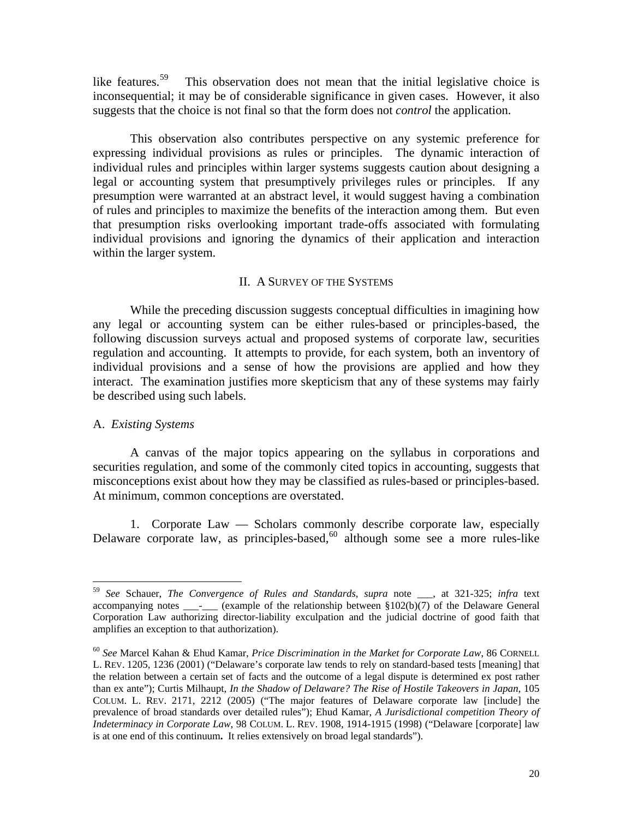like features.<sup>[59](#page-20-0)</sup> This observation does not mean that the initial legislative choice is inconsequential; it may be of considerable significance in given cases. However, it also suggests that the choice is not final so that the form does not *control* the application.

 This observation also contributes perspective on any systemic preference for expressing individual provisions as rules or principles. The dynamic interaction of individual rules and principles within larger systems suggests caution about designing a legal or accounting system that presumptively privileges rules or principles. If any presumption were warranted at an abstract level, it would suggest having a combination of rules and principles to maximize the benefits of the interaction among them. But even that presumption risks overlooking important trade-offs associated with formulating individual provisions and ignoring the dynamics of their application and interaction within the larger system.

# II. A SURVEY OF THE SYSTEMS

 While the preceding discussion suggests conceptual difficulties in imagining how any legal or accounting system can be either rules-based or principles-based, the following discussion surveys actual and proposed systems of corporate law, securities regulation and accounting. It attempts to provide, for each system, both an inventory of individual provisions and a sense of how the provisions are applied and how they interact. The examination justifies more skepticism that any of these systems may fairly be described using such labels.

# A. *Existing Systems*

 $\overline{a}$ 

 A canvas of the major topics appearing on the syllabus in corporations and securities regulation, and some of the commonly cited topics in accounting, suggests that misconceptions exist about how they may be classified as rules-based or principles-based. At minimum, common conceptions are overstated.

 1. Corporate Law — Scholars commonly describe corporate law, especially Delaware corporate law, as principles-based,  $60$  although some see a more rules-like

<span id="page-20-0"></span><sup>59</sup> *See* Schauer, *The Convergence of Rules and Standards*, *supra* note \_\_\_, at 321-325; *infra* text accompanying notes \_\_\_\_\_\_\_ (example of the relationship between §102(b)(7) of the Delaware General Corporation Law authorizing director-liability exculpation and the judicial doctrine of good faith that amplifies an exception to that authorization).

<span id="page-20-1"></span><sup>60</sup> *See* Marcel Kahan & Ehud Kamar, *Price Discrimination in the Market for Corporate Law*, 86 CORNELL L. REV. 1205, 1236 (2001) ("Delaware's corporate law tends to rely on standard-based tests [meaning] that the relation between a certain set of facts and the outcome of a legal dispute is determined ex post rather than ex ante"); Curtis Milhaupt, *In the Shadow of Delaware? The Rise of Hostile Takeovers in Japan*, 105 COLUM. L. REV. 2171, 2212 (2005) ("The major features of Delaware corporate law [include] the prevalence of broad standards over detailed rules"); Ehud Kamar, *A Jurisdictional competition Theory of Indeterminacy in Corporate Law*, 98 COLUM. L. REV. 1908, 1914-1915 (1998) ("Delaware [corporate] law is at one end of this continuum**.** It relies extensively on broad legal standards").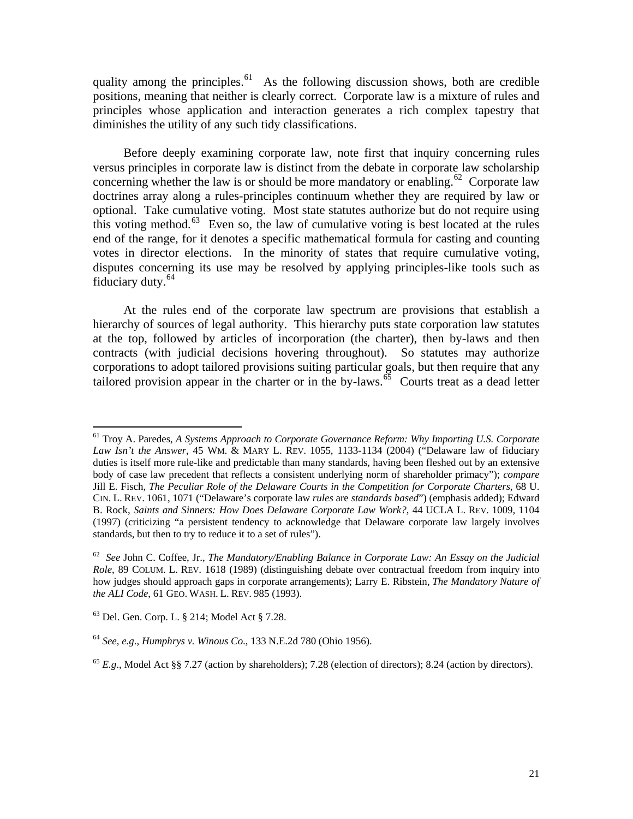quality among the principles.<sup>[61](#page-21-0)</sup> As the following discussion shows, both are credible positions, meaning that neither is clearly correct. Corporate law is a mixture of rules and principles whose application and interaction generates a rich complex tapestry that diminishes the utility of any such tidy classifications.

 Before deeply examining corporate law, note first that inquiry concerning rules versus principles in corporate law is distinct from the debate in corporate law scholarship concerning whether the law is or should be more mandatory or enabling.<sup>[62](#page-21-1)</sup> Corporate law doctrines array along a rules-principles continuum whether they are required by law or optional. Take cumulative voting. Most state statutes authorize but do not require using this voting method.<sup>[63](#page-21-2)</sup> Even so, the law of cumulative voting is best located at the rules end of the range, for it denotes a specific mathematical formula for casting and counting votes in director elections. In the minority of states that require cumulative voting, disputes concerning its use may be resolved by applying principles-like tools such as fiduciary duty.[64](#page-21-3)

 At the rules end of the corporate law spectrum are provisions that establish a hierarchy of sources of legal authority. This hierarchy puts state corporation law statutes at the top, followed by articles of incorporation (the charter), then by-laws and then contracts (with judicial decisions hovering throughout). So statutes may authorize corporations to adopt tailored provisions suiting particular goals, but then require that any tailored provision appear in the charter or in the by-laws. $\overline{65}$  $\overline{65}$  $\overline{65}$  Courts treat as a dead letter

<span id="page-21-0"></span><sup>61</sup> Troy A. Paredes, *A Systems Approach to Corporate Governance Reform: Why Importing U.S. Corporate Law Isn't the Answer*, 45 WM. & MARY L. REV. 1055, 1133-1134 (2004) ("Delaware law of fiduciary duties is itself more rule-like and predictable than many standards, having been fleshed out by an extensive body of case law precedent that reflects a consistent underlying norm of shareholder primacy"); *compare* Jill E. Fisch, *The Peculiar Role of the Delaware Courts in the Competition for Corporate Charters*, 68 U. CIN. L. REV. 1061, 1071 ("Delaware's corporate law *rules* are *standards based*") (emphasis added); Edward B. Rock, *Saints and Sinners: How Does Delaware Corporate Law Work?*, [44](http://www.lexis.com/research/buttonTFLink?_m=c47d7223cdb6cb26ce33b02e89c6ff08&_xfercite=%3ccite%20cc%3d%22USA%22%3e%3c%21%5bCDATA%5b45%20Wm%20and%20Mary%20L.%20Rev.%201055%5d%5d%3e%3c%2fcite%3e&_butType=3&_butStat=2&_butNum=389&_butInline=1&_butinfo=%3ccite%20cc%3d%22USA%22%3e%3c%21%5bCDATA%5b44%20UCLA%20L.%20Rev.%201009%2cat%201104%5d%5d%3e%3c%2fcite%3e&_fmtstr=FULL&docnum=1&_startdoc=1&wchp=dGLbVlz-zSkAA&_md5=7ebe8480a6b13be8df17c719dc3c464e) [UCLA](http://www.lexis.com/research/buttonTFLink?_m=c47d7223cdb6cb26ce33b02e89c6ff08&_xfercite=%3ccite%20cc%3d%22USA%22%3e%3c%21%5bCDATA%5b45%20Wm%20and%20Mary%20L.%20Rev.%201055%5d%5d%3e%3c%2fcite%3e&_butType=3&_butStat=2&_butNum=389&_butInline=1&_butinfo=%3ccite%20cc%3d%22USA%22%3e%3c%21%5bCDATA%5b44%20UCLA%20L.%20Rev.%201009%2cat%201104%5d%5d%3e%3c%2fcite%3e&_fmtstr=FULL&docnum=1&_startdoc=1&wchp=dGLbVlz-zSkAA&_md5=7ebe8480a6b13be8df17c719dc3c464e) [L.](http://www.lexis.com/research/buttonTFLink?_m=c47d7223cdb6cb26ce33b02e89c6ff08&_xfercite=%3ccite%20cc%3d%22USA%22%3e%3c%21%5bCDATA%5b45%20Wm%20and%20Mary%20L.%20Rev.%201055%5d%5d%3e%3c%2fcite%3e&_butType=3&_butStat=2&_butNum=389&_butInline=1&_butinfo=%3ccite%20cc%3d%22USA%22%3e%3c%21%5bCDATA%5b44%20UCLA%20L.%20Rev.%201009%2cat%201104%5d%5d%3e%3c%2fcite%3e&_fmtstr=FULL&docnum=1&_startdoc=1&wchp=dGLbVlz-zSkAA&_md5=7ebe8480a6b13be8df17c719dc3c464e) [REV.](http://www.lexis.com/research/buttonTFLink?_m=c47d7223cdb6cb26ce33b02e89c6ff08&_xfercite=%3ccite%20cc%3d%22USA%22%3e%3c%21%5bCDATA%5b45%20Wm%20and%20Mary%20L.%20Rev.%201055%5d%5d%3e%3c%2fcite%3e&_butType=3&_butStat=2&_butNum=389&_butInline=1&_butinfo=%3ccite%20cc%3d%22USA%22%3e%3c%21%5bCDATA%5b44%20UCLA%20L.%20Rev.%201009%2cat%201104%5d%5d%3e%3c%2fcite%3e&_fmtstr=FULL&docnum=1&_startdoc=1&wchp=dGLbVlz-zSkAA&_md5=7ebe8480a6b13be8df17c719dc3c464e) [1009, 1104](http://www.lexis.com/research/buttonTFLink?_m=c47d7223cdb6cb26ce33b02e89c6ff08&_xfercite=%3ccite%20cc%3d%22USA%22%3e%3c%21%5bCDATA%5b45%20Wm%20and%20Mary%20L.%20Rev.%201055%5d%5d%3e%3c%2fcite%3e&_butType=3&_butStat=2&_butNum=389&_butInline=1&_butinfo=%3ccite%20cc%3d%22USA%22%3e%3c%21%5bCDATA%5b44%20UCLA%20L.%20Rev.%201009%2cat%201104%5d%5d%3e%3c%2fcite%3e&_fmtstr=FULL&docnum=1&_startdoc=1&wchp=dGLbVlz-zSkAA&_md5=7ebe8480a6b13be8df17c719dc3c464e)  [\(1997\) \(criticizing "a persistent tendency to acknowledge that Delaware corporate law largely involves](http://www.lexis.com/research/buttonTFLink?_m=c47d7223cdb6cb26ce33b02e89c6ff08&_xfercite=%3ccite%20cc%3d%22USA%22%3e%3c%21%5bCDATA%5b45%20Wm%20and%20Mary%20L.%20Rev.%201055%5d%5d%3e%3c%2fcite%3e&_butType=3&_butStat=2&_butNum=389&_butInline=1&_butinfo=%3ccite%20cc%3d%22USA%22%3e%3c%21%5bCDATA%5b44%20UCLA%20L.%20Rev.%201009%2cat%201104%5d%5d%3e%3c%2fcite%3e&_fmtstr=FULL&docnum=1&_startdoc=1&wchp=dGLbVlz-zSkAA&_md5=7ebe8480a6b13be8df17c719dc3c464e)  [standards, but then to try to reduce it to a set of rules"\)](http://www.lexis.com/research/buttonTFLink?_m=c47d7223cdb6cb26ce33b02e89c6ff08&_xfercite=%3ccite%20cc%3d%22USA%22%3e%3c%21%5bCDATA%5b45%20Wm%20and%20Mary%20L.%20Rev.%201055%5d%5d%3e%3c%2fcite%3e&_butType=3&_butStat=2&_butNum=389&_butInline=1&_butinfo=%3ccite%20cc%3d%22USA%22%3e%3c%21%5bCDATA%5b44%20UCLA%20L.%20Rev.%201009%2cat%201104%5d%5d%3e%3c%2fcite%3e&_fmtstr=FULL&docnum=1&_startdoc=1&wchp=dGLbVlz-zSkAA&_md5=7ebe8480a6b13be8df17c719dc3c464e).

<span id="page-21-1"></span><sup>62</sup> *See* John C. Coffee, Jr., *The Mandatory/Enabling Balance in Corporate Law: An Essay on the Judicial Role*, 89 COLUM. L. REV. 1618 (1989) (distinguishing debate over contractual freedom from inquiry into how judges should approach gaps in corporate arrangements); Larry E. Ribstein, *The Mandatory Nature of the ALI Code*, 61 GEO. WASH. L. REV. 985 (1993).

<span id="page-21-2"></span> $63$  Del. Gen. Corp. L.  $\S 214$ : Model Act  $\S 7.28$ .

<span id="page-21-3"></span><sup>64</sup> *See*, *e.g*., *Humphrys v. Winous Co*., 133 N.E.2d 780 (Ohio 1956).

<span id="page-21-4"></span> $^{65}$  *E.g.*, Model Act §§ 7.27 (action by shareholders); 7.28 (election of directors); 8.24 (action by directors).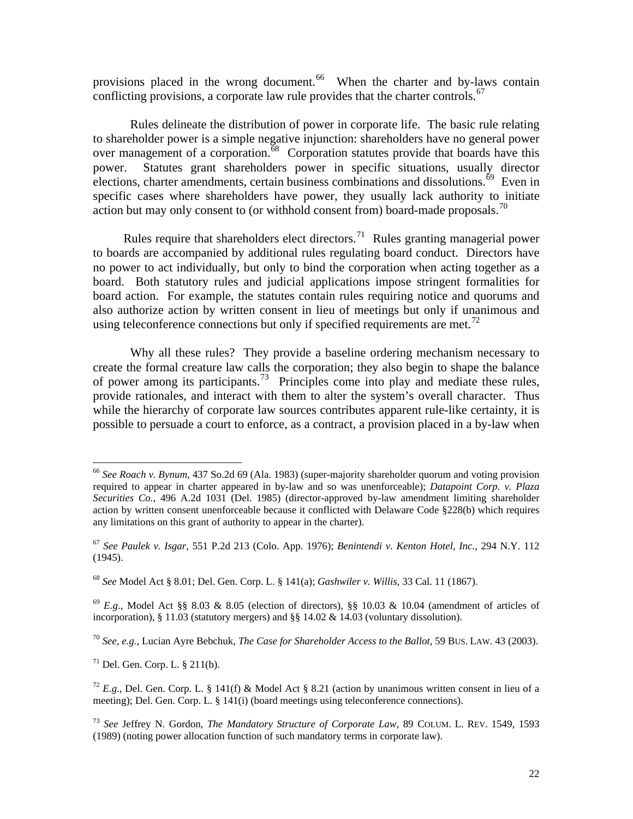provisions placed in the wrong document.<sup>[66](#page-22-0)</sup> When the charter and by-laws contain conflicting provisions, a corporate law rule provides that the charter controls.<sup>[67](#page-22-1)</sup>

 Rules delineate the distribution of power in corporate life. The basic rule relating to shareholder power is a simple negative injunction: shareholders have no general power over management of a corporation.<sup>[68](#page-22-2)</sup> Corporation statutes provide that boards have this power. Statutes grant shareholders power in specific situations, usually director elections, charter amendments, certain business combinations and dissolutions.<sup>[69](#page-22-3)</sup> Even in specific cases where shareholders have power, they usually lack authority to initiate action but may only consent to (or withhold consent from) board-made proposals.<sup>[70](#page-22-4)</sup>

Rules require that shareholders elect directors.<sup>[71](#page-22-5)</sup> Rules granting managerial power to boards are accompanied by additional rules regulating board conduct. Directors have no power to act individually, but only to bind the corporation when acting together as a board. Both statutory rules and judicial applications impose stringent formalities for board action. For example, the statutes contain rules requiring notice and quorums and also authorize action by written consent in lieu of meetings but only if unanimous and using teleconference connections but only if specified requirements are met.<sup>[72](#page-22-6)</sup>

 Why all these rules? They provide a baseline ordering mechanism necessary to create the formal creature law calls the corporation; they also begin to shape the balance of power among its participants.<sup>[73](#page-22-7)</sup> Principles come into play and mediate these rules, provide rationales, and interact with them to alter the system's overall character. Thus while the hierarchy of corporate law sources contributes apparent rule-like certainty, it is possible to persuade a court to enforce, as a contract, a provision placed in a by-law when

<span id="page-22-5"></span> $^{71}$  Del. Gen. Corp. L. § 211(b).

<span id="page-22-0"></span><sup>66</sup> *See Roach v. Bynum*, 437 So.2d 69 (Ala. 1983) (super-majority shareholder quorum and voting provision required to appear in charter appeared in by-law and so was unenforceable); *Datapoint Corp. v. Plaza Securities Co.*, 496 A.2d 1031 (Del. 1985) (director-approved by-law amendment limiting shareholder action by written consent unenforceable because it conflicted with Delaware Code §228(b) which requires any limitations on this grant of authority to appear in the charter).

<span id="page-22-1"></span><sup>67</sup> *See Paulek v. Isgar*, 551 P.2d 213 (Colo. App. 1976); *Benintendi v. Kenton Hotel, Inc.*, 294 N.Y. 112 (1945).

<span id="page-22-2"></span><sup>68</sup> *See* Model Act § 8.01; Del. Gen. Corp. L. § 141(a); *Gashwiler v. Willis*, 33 Cal. 11 (1867).

<span id="page-22-3"></span> $^{69}$  *E.g.*, Model Act §§ 8.03 & 8.05 (election of directors), §§ 10.03 & 10.04 (amendment of articles of incorporation), § 11.03 (statutory mergers) and §§ 14.02 & 14.03 (voluntary dissolution).

<span id="page-22-4"></span><sup>70</sup> *See, e.g.,* Lucian Ayre Bebchuk, *The Case for Shareholder Access to the Ballot,* 59 BUS. LAW. 43 (2003).

<span id="page-22-6"></span><sup>&</sup>lt;sup>72</sup> E.g., Del. Gen. Corp. L. § 141(f) & Model Act § 8.21 (action by unanimous written consent in lieu of a meeting); Del. Gen. Corp. L. § 141(i) (board meetings using teleconference connections).

<span id="page-22-7"></span><sup>73</sup> *See* Jeffrey N. Gordon, *The Mandatory Structure of Corporate Law*, 89 COLUM. L. REV. 1549, 1593 (1989) (noting power allocation function of such mandatory terms in corporate law).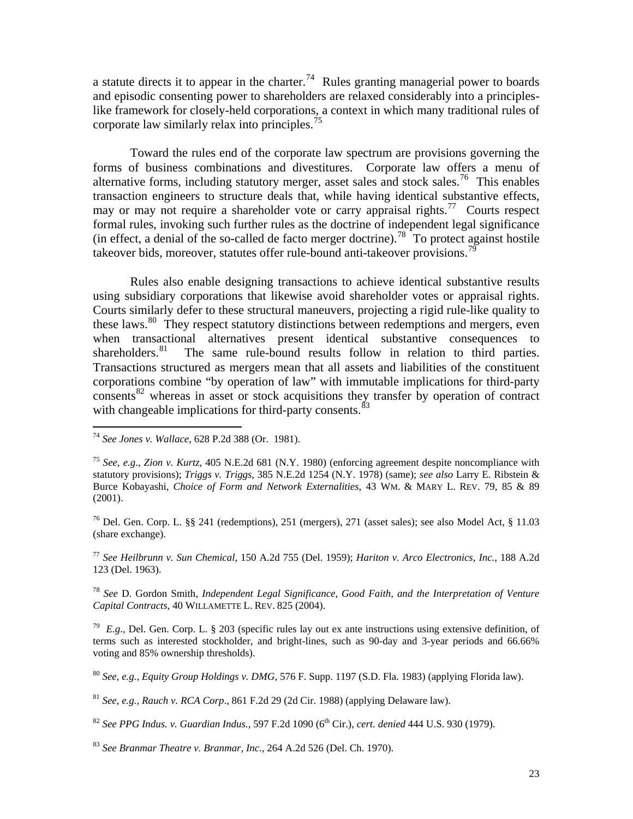a statute directs it to appear in the charter.<sup>[74](#page-23-0)</sup> Rules granting managerial power to boards and episodic consenting power to shareholders are relaxed considerably into a principleslike framework for closely-held corporations, a context in which many traditional rules of corporate law similarly relax into principles.<sup>[75](#page-23-1)</sup>

 Toward the rules end of the corporate law spectrum are provisions governing the forms of business combinations and divestitures. Corporate law offers a menu of alternative forms, including statutory merger, asset sales and stock sales.<sup>[76](#page-23-2)</sup> This enables transaction engineers to structure deals that, while having identical substantive effects, may or may not require a shareholder vote or carry appraisal rights.<sup>[77](#page-23-3)</sup> Courts respect formal rules, invoking such further rules as the doctrine of independent legal significance (in effect, a denial of the so-called de facto merger doctrine).<sup>[78](#page-23-4)</sup> To protect against hostile takeover bids, moreover, statutes offer rule-bound anti-takeover provisions.<sup>[79](#page-23-5)</sup>

 Rules also enable designing transactions to achieve identical substantive results using subsidiary corporations that likewise avoid shareholder votes or appraisal rights. Courts similarly defer to these structural maneuvers, projecting a rigid rule-like quality to these laws.<sup>[80](#page-23-6)</sup> They respect statutory distinctions between redemptions and mergers, even when transactional alternatives present identical substantive consequences to shareholders.<sup>81</sup> The same rule-bound results follow in relation to third parties. The same rule-bound results follow in relation to third parties. Transactions structured as mergers mean that all assets and liabilities of the constituent corporations combine "by operation of law" with immutable implications for third-party consents<sup>[82](#page-23-8)</sup> whereas in asset or stock acquisitions they transfer by operation of contract with changeable implications for third-party consents. $83$ 

 $\overline{a}$ 

<span id="page-23-2"></span><sup>76</sup> Del. Gen. Corp. L. §§ 241 (redemptions), 251 (mergers), 271 (asset sales); see also Model Act, § 11.03 (share exchange).

<span id="page-23-3"></span><sup>77</sup> *See Heilbrunn v. Sun Chemical*, 150 A.2d 755 (Del. 1959); *Hariton v. Arco Electronics, Inc.*, 188 A.2d 123 (Del. 1963).

<span id="page-23-4"></span><sup>78</sup> *See* D. Gordon Smith, *Independent Legal Significance, Good Faith, and the Interpretation of Venture Capital Contracts*, 40 WILLAMETTE L. REV. 825 (2004).

<span id="page-23-5"></span><sup>79</sup> *E.g.*, Del. Gen. Corp. L. § 203 (specific rules lay out ex ante instructions using extensive definition, of terms such as interested stockholder, and bright-lines, such as 90-day and 3-year periods and 66.66% voting and 85% ownership thresholds).

<span id="page-23-6"></span><sup>80</sup> *See*, *e.g.*, *Equity Group Holdings v. DMG*, 576 F. Supp. 1197 (S.D. Fla. 1983) (applying Florida law).

<span id="page-23-7"></span><sup>81</sup> *See*, *e.g.*, *Rauch v. RCA Corp*., 861 F.2d 29 (2d Cir. 1988) (applying Delaware law).

<span id="page-23-8"></span><sup>82</sup> *See PPG Indus. v. Guardian Indus.,* 597 F.2d 1090 (6th Cir.), *cert. denied* 444 U.S. 930 (1979).

<span id="page-23-9"></span><sup>83</sup> *See Branmar Theatre v. Branmar, Inc*., 264 A.2d 526 (Del. Ch. 1970).

<span id="page-23-0"></span><sup>74</sup> *See Jones v. Wallace*, 628 P.2d 388 (Or. 1981).

<span id="page-23-1"></span><sup>75</sup> *See*, *e.g*., *Zion v. Kurtz*, 405 N.E.2d 681 (N.Y. 1980) (enforcing agreement despite noncompliance with statutory provisions); *Triggs v. Triggs*, 385 N.E.2d 1254 (N.Y. 1978) (same); *see also* Larry E. Ribstein & Burce Kobayashi, *Choice of Form and Network Externalities*, 43 WM. & MARY L. REV. 79, 85 & 89 (2001).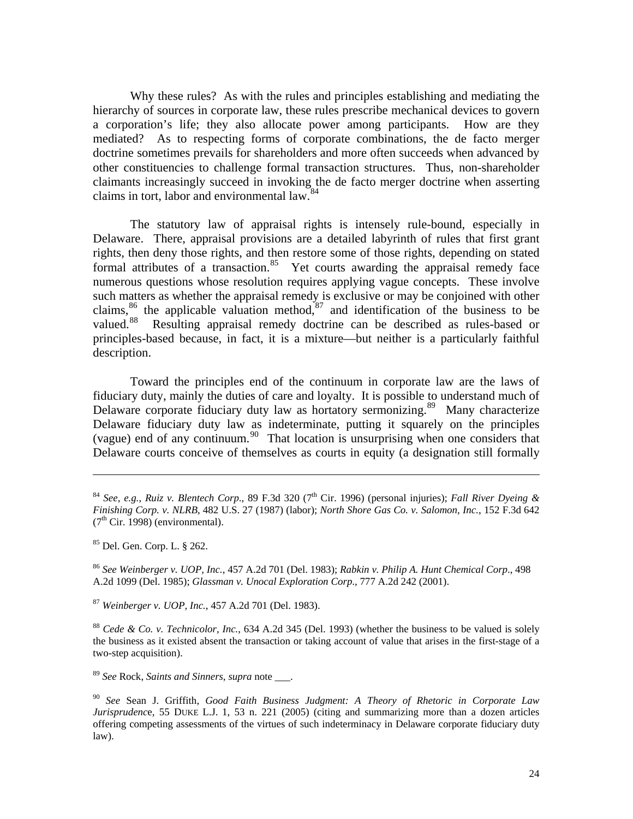Why these rules? As with the rules and principles establishing and mediating the hierarchy of sources in corporate law, these rules prescribe mechanical devices to govern a corporation's life; they also allocate power among participants. How are they mediated? As to respecting forms of corporate combinations, the de facto merger doctrine sometimes prevails for shareholders and more often succeeds when advanced by other constituencies to challenge formal transaction structures. Thus, non-shareholder claimants increasingly succeed in invoking the de facto merger doctrine when asserting claims in tort, labor and environmental law.<sup>[84](#page-24-0)</sup>

 The statutory law of appraisal rights is intensely rule-bound, especially in Delaware. There, appraisal provisions are a detailed labyrinth of rules that first grant rights, then deny those rights, and then restore some of those rights, depending on stated formal attributes of a transaction. $85$  Yet courts awarding the appraisal remedy face numerous questions whose resolution requires applying vague concepts. These involve such matters as whether the appraisal remedy is exclusive or may be conjoined with other claims, $86$  the applicable valuation method, $87$  and identification of the business to be valued.<sup>[88](#page-24-4)</sup> Resulting appraisal remedy doctrine can be described as rules-based or principles-based because, in fact, it is a mixture—but neither is a particularly faithful description.

 Toward the principles end of the continuum in corporate law are the laws of fiduciary duty, mainly the duties of care and loyalty. It is possible to understand much of Delaware corporate fiduciary duty law as hortatory sermonizing.<sup>[89](#page-24-5)</sup> Many characterize Delaware fiduciary duty law as indeterminate, putting it squarely on the principles (vague) end of any continuum.[90](#page-24-6) That location is unsurprising when one considers that Delaware courts conceive of themselves as courts in equity (a designation still formally

<span id="page-24-1"></span>85 Del. Gen. Corp. L. § 262.

 $\overline{a}$ 

<span id="page-24-2"></span><sup>86</sup> *See Weinberger v. UOP, Inc.*, 457 A.2d 701 (Del. 1983); *Rabkin v. Philip A. Hunt Chemical Corp*., 498 A.2d 1099 (Del. 1985); *Glassman v. Unocal Exploration Corp*., 777 A.2d 242 (2001).

<span id="page-24-3"></span><sup>87</sup> *Weinberger v. UOP, Inc.*, 457 A.2d 701 (Del. 1983).

<span id="page-24-4"></span><sup>88</sup> *Cede & Co. v. Technicolor, Inc.*, 634 A.2d 345 (Del. 1993) (whether the business to be valued is solely the business as it existed absent the transaction or taking account of value that arises in the first-stage of a two-step acquisition).

<span id="page-24-5"></span><sup>89</sup> *See* Rock, *Saints and Sinners*, *supra* note \_\_\_.

<span id="page-24-6"></span><sup>90</sup> *See* Sean J. Griffith, *Good Faith Business Judgment: A Theory of Rhetoric in Corporate Law Jurisprudenc*e, 55 DUKE L.J. 1, 53 n. 221 (2005) (citing and summarizing more than a dozen articles offering competing assessments of the virtues of such indeterminacy in Delaware corporate fiduciary duty law).

<span id="page-24-0"></span><sup>&</sup>lt;sup>84</sup> *See*, *e.g.*, *Ruiz v. Blentech Corp.*, 89 F.3d 320 (7<sup>th</sup> Cir. 1996) (personal injuries); *Fall River Dyeing & Finishing Corp. v. NLRB*, 482 U.S. 27 (1987) (labor); *North Shore Gas Co. v. Salomon, Inc.*, 152 F.3d 642  $(7<sup>th</sup> Cir. 1998)$  (environmental).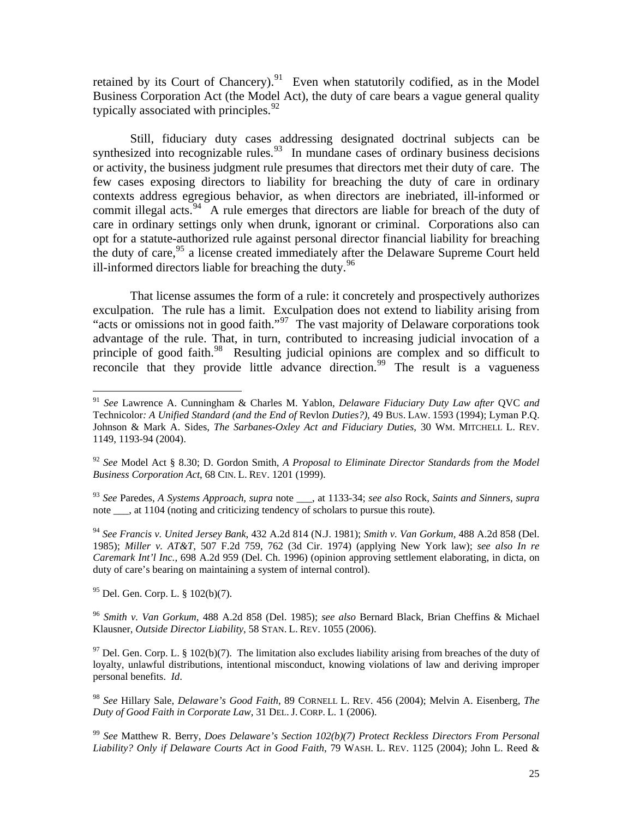retained by its Court of Chancery).<sup>[91](#page-25-0)</sup> Even when statutorily codified, as in the Model Business Corporation Act (the Model Act), the duty of care bears a vague general quality typically associated with principles. $92$ 

 Still, fiduciary duty cases addressing designated doctrinal subjects can be synthesized into recognizable rules. $93$  In mundane cases of ordinary business decisions or activity, the business judgment rule presumes that directors met their duty of care. The few cases exposing directors to liability for breaching the duty of care in ordinary contexts address egregious behavior, as when directors are inebriated, ill-informed or commit illegal acts. $94$  A rule emerges that directors are liable for breach of the duty of care in ordinary settings only when drunk, ignorant or criminal. Corporations also can opt for a statute-authorized rule against personal director financial liability for breaching the duty of care, <sup>[95](#page-25-4)</sup> a license created immediately after the Delaware Supreme Court held ill-informed directors liable for breaching the duty.  $96$ 

 That license assumes the form of a rule: it concretely and prospectively authorizes exculpation. The rule has a limit. Exculpation does not extend to liability arising from "acts or omissions not in good faith."[97](#page-25-6) The vast majority of Delaware corporations took advantage of the rule. That, in turn, contributed to increasing judicial invocation of a principle of good faith.<sup>[98](#page-25-7)</sup> Resulting judicial opinions are complex and so difficult to reconcile that they provide little advance direction.<sup>[99](#page-25-8)</sup> The result is a vagueness

<span id="page-25-2"></span><sup>93</sup> *See* Paredes, *A Systems Approach*, *supra* note \_\_\_, at 1133-34; *see also* Rock, *Saints and Sinners*, *supra* note , at 1104 (noting and criticizing tendency of scholars to pursue this route).

<span id="page-25-3"></span><sup>94</sup> *See Francis v. United Jersey Bank*, 432 A.2d 814 (N.J. 1981); *Smith v. Van Gorkum*, 488 A.2d 858 (Del. 1985); *Miller v. AT&T*, 507 F.2d 759, 762 (3d Cir. 1974) (applying New York law); *see also In re Caremark Int'l Inc.*, 698 A.2d 959 (Del. Ch. 1996) (opinion approving settlement elaborating, in dicta, on duty of care's bearing on maintaining a system of internal control).

<span id="page-25-4"></span>95 Del. Gen. Corp. L. § 102(b)(7).

 $\overline{a}$ 

<span id="page-25-5"></span><sup>96</sup> *Smith v. Van Gorkum*, 488 A.2d 858 (Del. 1985); *see also* Bernard Black, Brian Cheffins & Michael Klausner, *Outside Director Liability*, 58 STAN. L. REV. 1055 (2006).

<span id="page-25-6"></span> $97$  Del. Gen. Corp. L. § 102(b)(7). The limitation also excludes liability arising from breaches of the duty of loyalty, unlawful distributions, intentional misconduct, knowing violations of law and deriving improper personal benefits. *Id*.

<span id="page-25-7"></span><sup>98</sup> *See* Hillary Sale, *Delaware's Good Faith*, 89 CORNELL L. REV. 456 (2004); Melvin A. Eisenberg, *The Duty of Good Faith in Corporate Law*, 31 DEL. J. CORP. L. 1 (2006).

<span id="page-25-8"></span><sup>99</sup> *See* Matthew R. Berry, *Does Delaware's Section 102(b)(7) Protect Reckless Directors From Personal Liability? Only if Delaware Courts Act in Good Faith*, 79 WASH. L. REV. 1125 (2004); John L. Reed &

<span id="page-25-0"></span><sup>91</sup> *See* Lawrence A. Cunningham & Charles M. Yablon, *Delaware Fiduciary Duty Law after* QVC *and*  Technicolor*: A Unified Standard (and the End of* Revlon *Duties?),* 49 BUS. LAW. 1593 (1994); Lyman P.Q. Johnson & Mark A. Sides, *The Sarbanes-Oxley Act and Fiduciary Duties*, 30 WM. MITCHELL L. REV. 1149, 1193-94 (2004).

<span id="page-25-1"></span><sup>92</sup> *See* Model Act § 8.30; D. Gordon Smith, *A Proposal to Eliminate Director Standards from the Model Business Corporation Act*, 68 CIN. L. REV. 1201 (1999).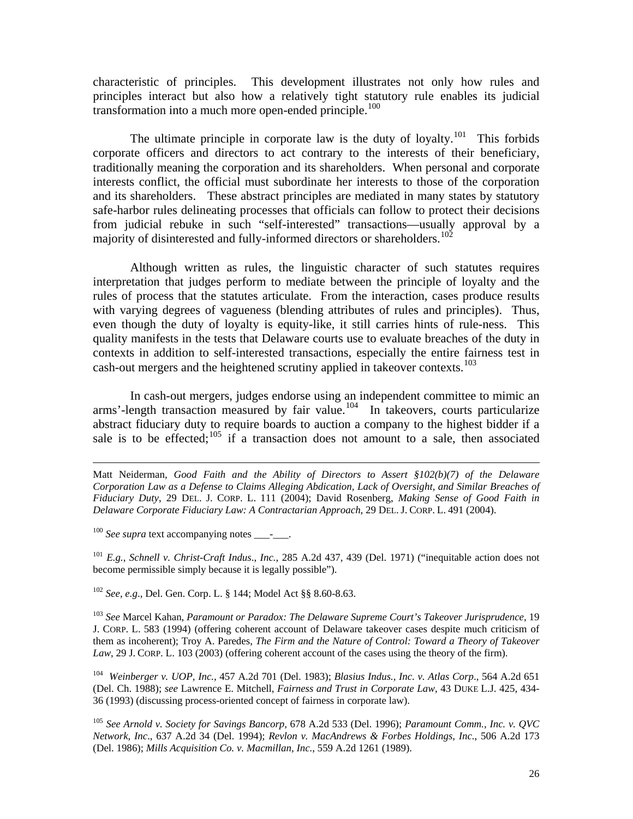characteristic of principles. This development illustrates not only how rules and principles interact but also how a relatively tight statutory rule enables its judicial transformation into a much more open-ended principle.<sup>[100](#page-26-0)</sup>

The ultimate principle in corporate law is the duty of loyalty.<sup>[101](#page-26-1)</sup> This forbids corporate officers and directors to act contrary to the interests of their beneficiary, traditionally meaning the corporation and its shareholders. When personal and corporate interests conflict, the official must subordinate her interests to those of the corporation and its shareholders. These abstract principles are mediated in many states by statutory safe-harbor rules delineating processes that officials can follow to protect their decisions from judicial rebuke in such "self-interested" transactions—usually approval by a majority of disinterested and fully-informed directors or shareholders.<sup>[102](#page-26-2)</sup>

 Although written as rules, the linguistic character of such statutes requires interpretation that judges perform to mediate between the principle of loyalty and the rules of process that the statutes articulate. From the interaction, cases produce results with varying degrees of vagueness (blending attributes of rules and principles). Thus, even though the duty of loyalty is equity-like, it still carries hints of rule-ness. This quality manifests in the tests that Delaware courts use to evaluate breaches of the duty in contexts in addition to self-interested transactions, especially the entire fairness test in cash-out mergers and the heightened scrutiny applied in takeover contexts.<sup>[103](#page-26-3)</sup>

 In cash-out mergers, judges endorse using an independent committee to mimic an  $arms'$ -length transaction measured by fair value.<sup>[104](#page-26-4)</sup> In takeovers, courts particularize abstract fiduciary duty to require boards to auction a company to the highest bidder if a sale is to be effected;<sup>[105](#page-26-5)</sup> if a transaction does not amount to a sale, then associated

<span id="page-26-0"></span><sup>100</sup> See supra text accompanying notes - .

<span id="page-26-1"></span><sup>101</sup> *E.g.*, *Schnell v. Christ-Craft Indus*., *Inc.*, 285 A.2d 437, 439 (Del. 1971) ("inequitable action does not become permissible simply because it is legally possible").

<span id="page-26-2"></span><sup>102</sup> *See*, *e.g*., Del. Gen. Corp. L. § 144; Model Act §§ 8.60-8.63.

<span id="page-26-3"></span><sup>103</sup> *See* Marcel Kahan, *Paramount or Paradox: The Delaware Supreme Court's Takeover Jurisprudence*, 19 J. CORP. L. 583 (1994) (offering coherent account of Delaware takeover cases despite much criticism of them as incoherent); Troy A. Paredes, *The Firm and the Nature of Control: Toward a Theory of Takeover Law*, 29 J. CORP. L. 103 (2003) (offering coherent account of the cases using the theory of the firm).

<span id="page-26-4"></span>104 *Weinberger v. UOP, Inc.*, 457 A.2d 701 (Del. 1983); *Blasius Indus., Inc. v. Atlas Corp*., 564 A.2d 651 (Del. Ch. 1988); *see* Lawrence E. Mitchell, *Fairness and Trust in Corporate Law*, 43 DUKE L.J. 425, 434- 36 (1993) (discussing process-oriented concept of fairness in corporate law).

<span id="page-26-5"></span><sup>105</sup> *See Arnold v. Society for Savings Bancorp*, 678 A.2d 533 (Del. 1996); *Paramount Comm., Inc. v. QVC Network, Inc*., 637 A.2d 34 (Del. 1994); *Revlon v. MacAndrews & Forbes Holdings, Inc.*, 506 A.2d 173 (Del. 1986); *Mills Acquisition Co. v. Macmillan, Inc.*, 559 A.2d 1261 (1989).

Matt Neiderman, *Good Faith and the Ability of Directors to Assert §102(b)(7) of the Delaware Corporation Law as a Defense to Claims Alleging Abdication, Lack of Oversight, and Similar Breaches of Fiduciary Duty*, 29 DEL. J. CORP. L. 111 (2004); David Rosenberg, *Making Sense of Good Faith in Delaware Corporate Fiduciary Law: A Contractarian Approach*, 29 DEL.J. CORP. L. 491 (2004).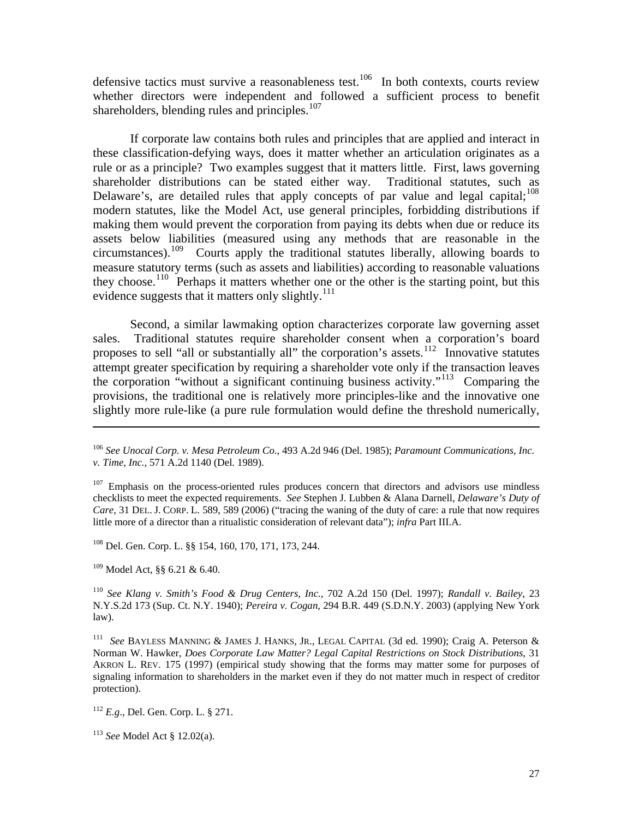defensive tactics must survive a reasonableness test.<sup>[106](#page-27-0)</sup> In both contexts, courts review whether directors were independent and followed a sufficient process to benefit shareholders, blending rules and principles.<sup>[107](#page-27-1)</sup>

 If corporate law contains both rules and principles that are applied and interact in these classification-defying ways, does it matter whether an articulation originates as a rule or as a principle? Two examples suggest that it matters little. First, laws governing shareholder distributions can be stated either way. Traditional statutes, such as Delaware's, are detailed rules that apply concepts of par value and legal capital;  $^{108}$  $^{108}$  $^{108}$ modern statutes, like the Model Act, use general principles, forbidding distributions if making them would prevent the corporation from paying its debts when due or reduce its assets below liabilities (measured using any methods that are reasonable in the circumstances).<sup>[109](#page-27-3)</sup> Courts apply the traditional statutes liberally, allowing boards to measure statutory terms (such as assets and liabilities) according to reasonable valuations they choose.<sup>[110](#page-27-4)</sup> Perhaps it matters whether one or the other is the starting point, but this evidence suggests that it matters only slightly.<sup>[111](#page-27-5)</sup>

 Second, a similar lawmaking option characterizes corporate law governing asset sales. Traditional statutes require shareholder consent when a corporation's board proposes to sell "all or substantially all" the corporation's assets.<sup>[112](#page-27-6)</sup> Innovative statutes attempt greater specification by requiring a shareholder vote only if the transaction leaves the corporation "without a significant continuing business activity."<sup>[113](#page-27-7)</sup> Comparing the provisions, the traditional one is relatively more principles-like and the innovative one slightly more rule-like (a pure rule formulation would define the threshold numerically,

<span id="page-27-2"></span>108 Del. Gen. Corp. L. §§ 154, 160, 170, 171, 173, 244.

<span id="page-27-3"></span>109 Model Act, §§ 6.21 & 6.40.

 $\overline{a}$ 

<span id="page-27-4"></span><sup>110</sup> *See Klang v. Smith's Food & Drug Centers, Inc.*, 702 A.2d 150 (Del. 1997); *Randall v. Bailey*, 23 N.Y.S.2d 173 (Sup. Ct. N.Y. 1940); *Pereira v. Cogan*, 294 B.R. 449 (S.D.N.Y. 2003) (applying New York law).

<span id="page-27-5"></span>111 *See* BAYLESS MANNING & JAMES J. HANKS, JR., LEGAL CAPITAL (3d ed. 1990); Craig A. Peterson & Norman W. Hawker, *Does Corporate Law Matter? Legal Capital Restrictions on Stock Distributions*, 31 AKRON L. REV. 175 (1997) (empirical study showing that the forms may matter some for purposes of signaling information to shareholders in the market even if they do not matter much in respect of creditor protection).

<span id="page-27-6"></span><sup>112</sup> *E.g*., Del. Gen. Corp. L. § 271.

<span id="page-27-7"></span><sup>113</sup> *See* Model Act § 12.02(a).

<span id="page-27-0"></span><sup>106</sup> *See Unocal Corp. v. Mesa Petroleum Co*., 493 A.2d 946 (Del. 1985); *Paramount Communications, Inc. v. Time, Inc.*, 571 A.2d 1140 (Del. 1989).

<span id="page-27-1"></span> $107$  Emphasis on the process-oriented rules produces concern that directors and advisors use mindless checklists to meet the expected requirements. *See* Stephen J. Lubben & Alana Darnell, *Delaware's Duty of Care*, 31 DEL. J. CORP. L. 589, 589 (2006) ("tracing the waning of the duty of care: a rule that now requires little more of a director than a ritualistic consideration of relevant data"); *infra* Part III.A.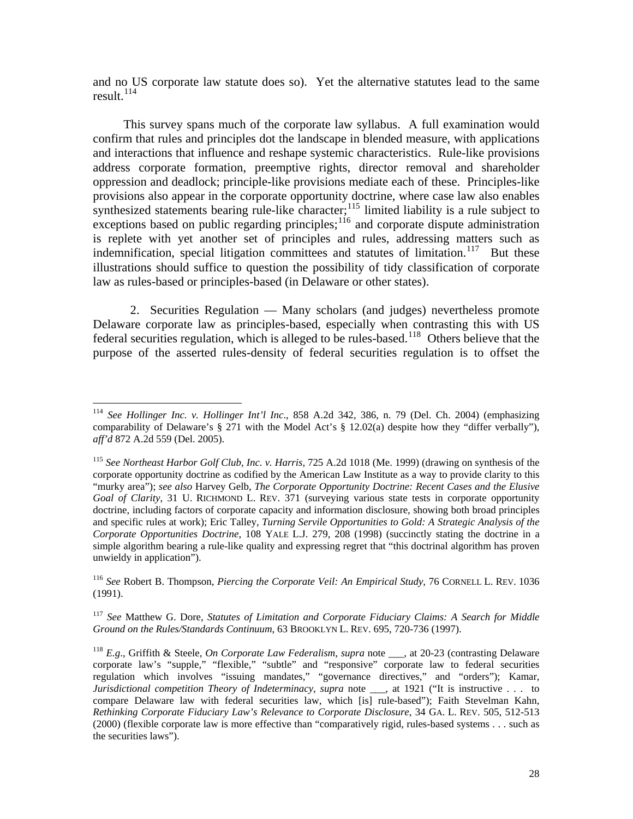and no US corporate law statute does so). Yet the alternative statutes lead to the same result. $^{114}$  $^{114}$  $^{114}$ 

 This survey spans much of the corporate law syllabus. A full examination would confirm that rules and principles dot the landscape in blended measure, with applications and interactions that influence and reshape systemic characteristics. Rule-like provisions address corporate formation, preemptive rights, director removal and shareholder oppression and deadlock; principle-like provisions mediate each of these. Principles-like provisions also appear in the corporate opportunity doctrine, where case law also enables synthesized statements bearing rule-like character; $^{115}$  $^{115}$  $^{115}$  limited liability is a rule subject to exceptions based on public regarding principles;<sup>[116](#page-28-2)</sup> and corporate dispute administration is replete with yet another set of principles and rules, addressing matters such as indemnification, special litigation committees and statutes of limitation.<sup>[117](#page-28-3)</sup> But these illustrations should suffice to question the possibility of tidy classification of corporate law as rules-based or principles-based (in Delaware or other states).

 2. Securities Regulation — Many scholars (and judges) nevertheless promote Delaware corporate law as principles-based, especially when contrasting this with US federal securities regulation, which is alleged to be rules-based.<sup>[118](#page-28-4)</sup> Others believe that the purpose of the asserted rules-density of federal securities regulation is to offset the

 $\overline{a}$ 

<span id="page-28-2"></span><sup>116</sup> *See* Robert B. Thompson, *Piercing the Corporate Veil: An Empirical Study*, 76 CORNELL L. REV. 1036 (1991).

<span id="page-28-3"></span><sup>117</sup> *See* Matthew G. Dore, *Statutes of Limitation and Corporate Fiduciary Claims: A Search for Middle Ground on the Rules/Standards Continuum*, 63 BROOKLYN L. REV. 695, 720-736 (1997).

<span id="page-28-0"></span><sup>114</sup> *See Hollinger Inc. v. Hollinger Int'l Inc*., 858 A.2d 342, 386, n. 79 (Del. Ch. 2004) (emphasizing comparability of Delaware's § 271 with the Model Act's § 12.02(a) despite how they "differ verbally"), *aff'd* 872 A.2d 559 (Del. 2005).

<span id="page-28-1"></span><sup>115</sup> *See Northeast Harbor Golf Club, Inc. v. Harris,* 725 A.2d 1018 (Me. 1999) (drawing on synthesis of the corporate opportunity doctrine as codified by the American Law Institute as a way to provide clarity to this "murky area"); *see also* Harvey Gelb, *The Corporate Opportunity Doctrine: Recent Cases and the Elusive Goal of Clarity*, 31 U. RICHMOND L. REV. 371 (surveying various state tests in corporate opportunity doctrine, including factors of corporate capacity and information disclosure, showing both broad principles and specific rules at work); Eric Talley, *Turning Servile Opportunities to Gold: A Strategic Analysis of the Corporate Opportunities Doctrine*, 108 YALE L.J. 279, 208 (1998) (succinctly stating the doctrine in a simple algorithm bearing a rule-like quality and expressing regret that "this doctrinal algorithm has proven unwieldy in application").

<span id="page-28-4"></span><sup>&</sup>lt;sup>118</sup> E.g., Griffith & Steele, *On Corporate Law Federalism*, *supra* note , at 20-23 (contrasting Delaware corporate law's "supple," "flexible," "subtle" and "responsive" corporate law to federal securities regulation which involves "issuing mandates," "governance directives," and "orders"); Kamar, *Jurisdictional competition Theory of Indeterminacy*, *supra* note \_\_\_, at 1921 ("It is instructive . . . to compare Delaware law with federal securities law, which [is] rule-based"); Faith Stevelman Kahn, *Rethinking Corporate Fiduciary Law's Relevance to Corporate Disclosure*, 34 GA. L. REV. 505, 512-513 (2000) (flexible corporate law is more effective than "comparatively rigid, rules-based systems . . . such as the securities laws").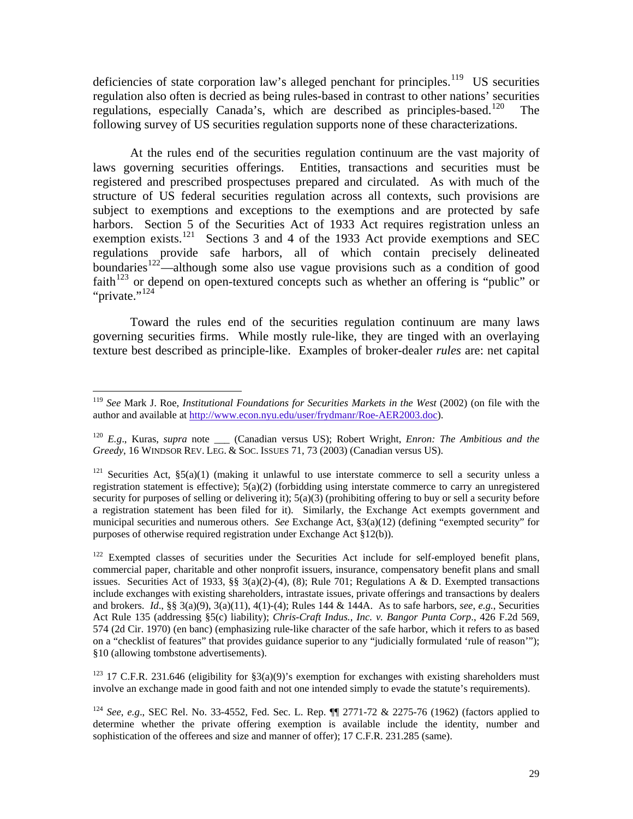deficiencies of state corporation law's alleged penchant for principles.<sup>119</sup> US securities regulation also often is decried as being rules-based in contrast to other nations' securities regulations, especially Canada's, which are described as principles-based.<sup>[120](#page-29-1)</sup> The following survey of US securities regulation supports none of these characterizations.

 At the rules end of the securities regulation continuum are the vast majority of laws governing securities offerings. Entities, transactions and securities must be registered and prescribed prospectuses prepared and circulated. As with much of the structure of US federal securities regulation across all contexts, such provisions are subject to exemptions and exceptions to the exemptions and are protected by safe harbors. Section 5 of the Securities Act of 1933 Act requires registration unless an exemption exists.<sup>[121](#page-29-2)</sup> Sections 3 and 4 of the 1933 Act provide exemptions and SEC regulations provide safe harbors, all of which contain precisely delineated boundaries<sup>[122](#page-29-3)</sup>—although some also use vague provisions such as a condition of good faith<sup>[123](#page-29-4)</sup> or depend on open-textured concepts such as whether an offering is "public" or "private."<sup>[124](#page-29-5)</sup>

 Toward the rules end of the securities regulation continuum are many laws governing securities firms. While mostly rule-like, they are tinged with an overlaying texture best described as principle-like. Examples of broker-dealer *rules* are: net capital

<span id="page-29-4"></span><sup>123</sup> 17 C.F.R. 231.646 (eligibility for  $\S3(a)(9)$ 's exemption for exchanges with existing shareholders must involve an exchange made in good faith and not one intended simply to evade the statute's requirements).

<span id="page-29-0"></span> $\overline{a}$ <sup>119</sup> *See* Mark J. Roe, *Institutional Foundations for Securities Markets in the West* (2002) (on file with the author and available at<http://www.econ.nyu.edu/user/frydmanr/Roe-AER2003.doc>).

<span id="page-29-1"></span><sup>&</sup>lt;sup>120</sup> E.g., Kuras, *supra* note \_\_\_ (Canadian versus US); Robert Wright, *Enron: The Ambitious and the Greedy*, 16 WINDSOR REV. LEG. & SOC. ISSUES 71, 73 (2003) (Canadian versus US).

<span id="page-29-2"></span><sup>&</sup>lt;sup>121</sup> Securities Act,  $\S5(a)(1)$  (making it unlawful to use interstate commerce to sell a security unless a registration statement is effective);  $5(a)(2)$  (forbidding using interstate commerce to carry an unregistered security for purposes of selling or delivering it); 5(a)(3) (prohibiting offering to buy or sell a security before a registration statement has been filed for it). Similarly, the Exchange Act exempts government and municipal securities and numerous others. *See* Exchange Act, §3(a)(12) (defining "exempted security" for purposes of otherwise required registration under Exchange Act §12(b)).

<span id="page-29-3"></span><sup>&</sup>lt;sup>122</sup> Exempted classes of securities under the Securities Act include for self-employed benefit plans, commercial paper, charitable and other nonprofit issuers, insurance, compensatory benefit plans and small issues. Securities Act of 1933,  $\S$ § 3(a)(2)-(4), (8); Rule 701; Regulations A & D. Exempted transactions include exchanges with existing shareholders, intrastate issues, private offerings and transactions by dealers and brokers. *Id*., §§ 3(a)(9), 3(a)(11), 4(1)-(4); Rules 144 & 144A. As to safe harbors, *see*, *e.g.*, Securities Act Rule 135 (addressing §5(c) liability); *Chris-Craft Indus., Inc. v. Bangor Punta Corp*., 426 F.2d 569, 574 (2d Cir. 1970) (en banc) (emphasizing rule-like character of the safe harbor, which it refers to as based on a "checklist of features" that provides guidance superior to any "judicially formulated 'rule of reason'"); §10 (allowing tombstone advertisements).

<span id="page-29-5"></span><sup>124</sup> *See*, *e.g*., SEC Rel. No. 33-4552, Fed. Sec. L. Rep. ¶¶ 2771-72 & 2275-76 (1962) (factors applied to determine whether the private offering exemption is available include the identity, number and sophistication of the offerees and size and manner of offer); 17 C.F.R. 231.285 (same).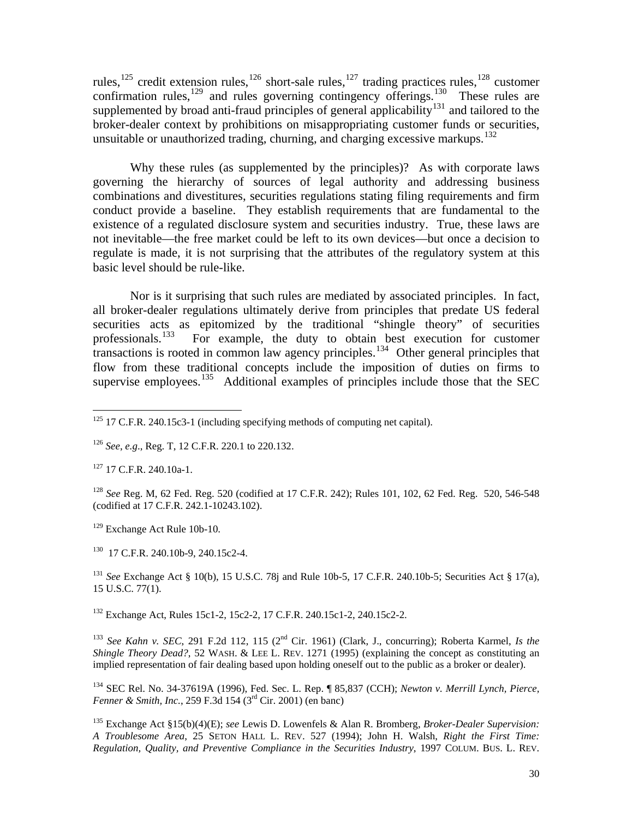rules,<sup>[125](#page-30-0)</sup> credit extension rules,<sup>[126](#page-30-1)</sup> short-sale rules,<sup>127</sup> trading practices rules,<sup>[128](#page-30-3)</sup> customer confirmation rules, $129$  and rules governing contingency offerings. $130$  These rules are supplemented by broad anti-fraud principles of general applicability<sup>[131](#page-30-6)</sup> and tailored to the broker-dealer context by prohibitions on misappropriating customer funds or securities, unsuitable or unauthorized trading, churning, and charging excessive markups.<sup>[132](#page-30-7)</sup>

 Why these rules (as supplemented by the principles)? As with corporate laws governing the hierarchy of sources of legal authority and addressing business combinations and divestitures, securities regulations stating filing requirements and firm conduct provide a baseline. They establish requirements that are fundamental to the existence of a regulated disclosure system and securities industry. True, these laws are not inevitable—the free market could be left to its own devices—but once a decision to regulate is made, it is not surprising that the attributes of the regulatory system at this basic level should be rule-like.

 Nor is it surprising that such rules are mediated by associated principles. In fact, all broker-dealer regulations ultimately derive from principles that predate US federal securities acts as epitomized by the traditional "shingle theory" of securities professionals.<sup>133</sup> For example, the duty to obtain best execution for customer For example, the duty to obtain best execution for customer transactions is rooted in common law agency principles.<sup>[134](#page-30-9)</sup> Other general principles that flow from these traditional concepts include the imposition of duties on firms to supervise employees.<sup>[135](#page-30-10)</sup> Additional examples of principles include those that the SEC

<span id="page-30-2"></span> $127$  17 C.F.R. 240.10a-1.

 $\overline{a}$ 

<span id="page-30-3"></span><sup>128</sup> *See* Reg. M, 62 Fed. Reg. 520 (codified at 17 C.F.R. 242); Rules 101, 102, 62 Fed. Reg. 520, 546-548 (codified at 17 C.F.R. 242.1-10243.102).

<span id="page-30-4"></span>129 Exchange Act Rule 10b-10.

<span id="page-30-5"></span>130 17 C.F.R. 240.10b-9, 240.15c2-4.

<span id="page-30-6"></span><sup>131</sup> *See* Exchange Act § 10(b), 15 U.S.C. 78j and Rule 10b-5, 17 C.F.R. 240.10b-5; Securities Act § 17(a), 15 U.S.C. 77(1).

<span id="page-30-7"></span>132 Exchange Act, Rules 15c1-2, 15c2-2, 17 C.F.R. 240.15c1-2, 240.15c2-2.

<span id="page-30-8"></span><sup>133</sup> *See Kahn v. SEC*, 291 F.2d 112, 115 (2nd Cir. 1961) (Clark, J., concurring); Roberta Karmel, *Is the Shingle Theory Dead?*, 52 WASH. & LEE L. REV. 1271 (1995) (explaining the concept as constituting an implied representation of fair dealing based upon holding oneself out to the public as a broker or dealer).

<span id="page-30-9"></span>134 SEC Rel. No. 34-37619A (1996), Fed. Sec. L. Rep. ¶ 85,837 (CCH); *Newton v. Merrill Lynch, Pierce, Fenner & Smith, Inc.*, 259 F.3d 154 (3rd Cir. 2001) (en banc)

<span id="page-30-0"></span> $125$  17 C.F.R. 240.15c3-1 (including specifying methods of computing net capital).

<span id="page-30-1"></span><sup>126</sup> *See*, *e.g*., Reg. T, 12 C.F.R. 220.1 to 220.132.

<span id="page-30-10"></span><sup>135</sup> Exchange Act §15(b)(4)(E); *see* Lewis D. Lowenfels & Alan R. Bromberg, *Broker-Dealer Supervision: A Troublesome Area*, 25 SETON HALL L. REV. 527 (1994); John H. Walsh, *Right the First Time: Regulation, Quality, and Preventive Compliance in the Securities Industry*, 1997 COLUM. BUS. L. REV.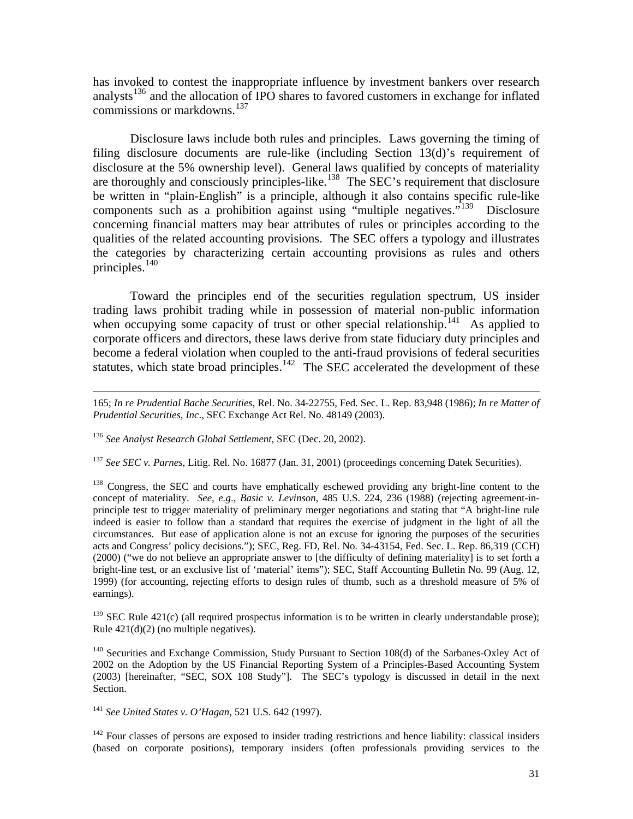has invoked to contest the inappropriate influence by investment bankers over research analysts<sup>[136](#page-31-0)</sup> and the allocation of IPO shares to favored customers in exchange for inflated commissions or markdowns.<sup>[137](#page-31-1)</sup>

 Disclosure laws include both rules and principles. Laws governing the timing of filing disclosure documents are rule-like (including Section 13(d)'s requirement of disclosure at the 5% ownership level). General laws qualified by concepts of materiality are thoroughly and consciously principles-like.<sup>[138](#page-31-2)</sup> The SEC's requirement that disclosure be written in "plain-English" is a principle, although it also contains specific rule-like components such as a prohibition against using "multiple negatives."<sup>[139](#page-31-3)</sup> Disclosure concerning financial matters may bear attributes of rules or principles according to the qualities of the related accounting provisions. The SEC offers a typology and illustrates the categories by characterizing certain accounting provisions as rules and others principles. $140$ 

 Toward the principles end of the securities regulation spectrum, US insider trading laws prohibit trading while in possession of material non-public information when occupying some capacity of trust or other special relationship.<sup>[141](#page-31-5)</sup> As applied to corporate officers and directors, these laws derive from state fiduciary duty principles and become a federal violation when coupled to the anti-fraud provisions of federal securities statutes, which state broad principles.<sup>[142](#page-31-6)</sup> The SEC accelerated the development of these

 165; *In re Prudential Bache Securities*, Rel. No. 34-22755, Fed. Sec. L. Rep. 83,948 (1986); *In re Matter of Prudential Securities, Inc*., SEC Exchange Act Rel. No. 48149 (2003).

<span id="page-31-0"></span><sup>136</sup> *See Analyst Research Global Settlement*, SEC (Dec. 20, 2002).

<span id="page-31-1"></span><sup>137</sup> *See SEC v. Parnes*, Litig. Rel. No. 16877 (Jan. 31, 2001) (proceedings concerning Datek Securities).

<span id="page-31-2"></span><sup>138</sup> Congress, the SEC and courts have emphatically eschewed providing any bright-line content to the concept of materiality. *See*, *e.g*., *Basic v. Levinson*, 485 U.S. 224, 236 (1988) (rejecting agreement-inprinciple test to trigger materiality of preliminary merger negotiations and stating that "A bright-line rule indeed is easier to follow than a standard that requires the exercise of judgment in the light of all the circumstances. But ease of application alone is not an excuse for ignoring the purposes of the securities acts and Congress' policy decisions."); SEC, Reg. FD, Rel. No. 34-43154, Fed. Sec. L. Rep. 86,319 (CCH) (2000) ("we do not believe an appropriate answer to [the difficulty of defining materiality] is to set forth a bright-line test, or an exclusive list of 'material' items"); SEC, Staff Accounting Bulletin No. 99 (Aug. 12, 1999) (for accounting, rejecting efforts to design rules of thumb, such as a threshold measure of 5% of earnings).

<span id="page-31-3"></span> $139$  SEC Rule 421(c) (all required prospectus information is to be written in clearly understandable prose); Rule 421(d)(2) (no multiple negatives).

<span id="page-31-4"></span><sup>140</sup> Securities and Exchange Commission, Study Pursuant to Section 108(d) of the Sarbanes-Oxley Act of 2002 on the Adoption by the US Financial Reporting System of a Principles-Based Accounting System (2003) [hereinafter, "SEC, SOX 108 Study"]. The SEC's typology is discussed in detail in the next Section.

<span id="page-31-5"></span><sup>141</sup> *See United States v. O'Hagan*, 521 U.S. 642 (1997).

<span id="page-31-6"></span><sup>142</sup> Four classes of persons are exposed to insider trading restrictions and hence liability: classical insiders (based on corporate positions), temporary insiders (often professionals providing services to the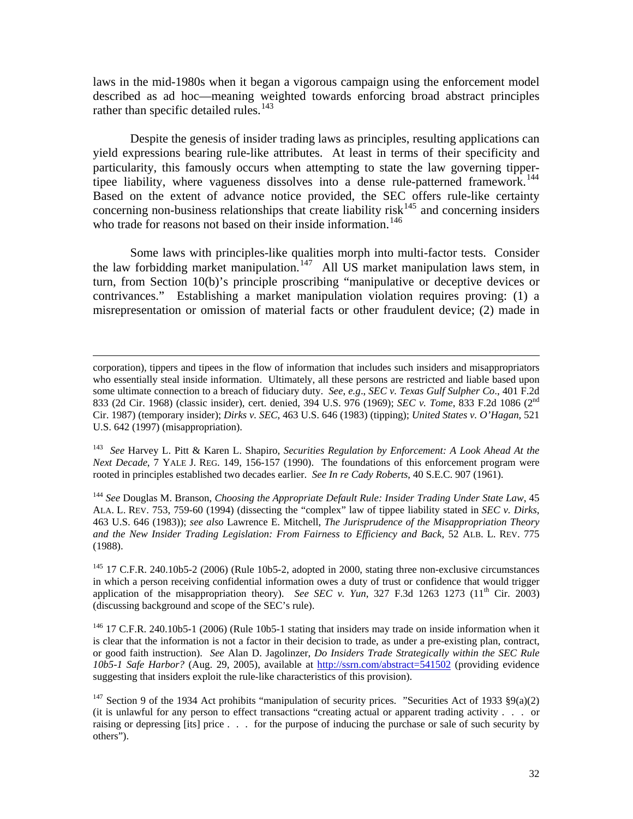laws in the mid-1980s when it began a vigorous campaign using the enforcement model described as ad hoc—meaning weighted towards enforcing broad abstract principles rather than specific detailed rules. $143$ 

 Despite the genesis of insider trading laws as principles, resulting applications can yield expressions bearing rule-like attributes. At least in terms of their specificity and particularity, this famously occurs when attempting to state the law governing tippertipee liability, where vagueness dissolves into a dense rule-patterned framework.<sup>144</sup> Based on the extent of advance notice provided, the SEC offers rule-like certainty concerning non-business relationships that create liability risk<sup>[145](#page-32-2)</sup> and concerning insiders who trade for reasons not based on their inside information.<sup>[146](#page-32-3)</sup>

 Some laws with principles-like qualities morph into multi-factor tests. Consider the law forbidding market manipulation.<sup>[147](#page-32-4)</sup> All US market manipulation laws stem, in turn, from Section 10(b)'s principle proscribing "manipulative or deceptive devices or contrivances." Establishing a market manipulation violation requires proving: (1) a misrepresentation or omission of material facts or other fraudulent device; (2) made in

<span id="page-32-0"></span>143 *See* Harvey L. Pitt & Karen L. Shapiro, *Securities Regulation by Enforcement: A Look Ahead At the Next Decade*, 7 YALE J. REG. 149, 156-157 (1990). The foundations of this enforcement program were rooted in principles established two decades earlier. *See In re Cady Roberts*, 40 S.E.C. 907 (1961).

<span id="page-32-1"></span><sup>144</sup> *See* Douglas M. Branson, *Choosing the Appropriate Default Rule: Insider Trading Under State Law*, 45 ALA. L. REV. 753, 759-60 (1994) (dissecting the "complex" law of tippee liability stated in *SEC v. Dirks*, 463 U.S. 646 (1983)); *see also* Lawrence E. Mitchell, *The Jurisprudence of the Misappropriation Theory and the New Insider Trading Legislation: From Fairness to Efficiency and Back*, 52 ALB. L. REV. 775 (1988).

<span id="page-32-2"></span> $145$  17 C.F.R. 240.10b5-2 (2006) (Rule 10b5-2, adopted in 2000, stating three non-exclusive circumstances in which a person receiving confidential information owes a duty of trust or confidence that would trigger application of the misappropriation theory). *See SEC v. Yun*, 327 F.3d 1263 1273 ( $11<sup>th</sup>$  Cir. 2003) (discussing background and scope of the SEC's rule).

<span id="page-32-3"></span><sup>146</sup> 17 C.F.R. 240.10b5-1 (2006) (Rule 10b5-1 stating that insiders may trade on inside information when it is clear that the information is not a factor in their decision to trade, as under a pre-existing plan, contract, or good faith instruction). *See* Alan D. Jagolinzer, *Do Insiders Trade Strategically within the SEC Rule 10b5-1 Safe Harbor?* (Aug. 29, 2005), available at <http://ssrn.com/abstract=541502> (providing evidence suggesting that insiders exploit the rule-like characteristics of this provision).

<span id="page-32-4"></span><sup>147</sup> Section 9 of the 1934 Act prohibits "manipulation of security prices. "Securities Act of 1933 §9(a)(2) (it is unlawful for any person to effect transactions "creating actual or apparent trading activity . . . or raising or depressing [its] price . . . for the purpose of inducing the purchase or sale of such security by others").

corporation), tippers and tipees in the flow of information that includes such insiders and misappropriators who essentially steal inside information. Ultimately, all these persons are restricted and liable based upon some ultimate connection to a breach of fiduciary duty. *See*, *e.g*., *SEC v. Texas Gulf Sulpher Co*., 401 F.2d 833 (2d Cir. 1968) (classic insider), cert. denied, 394 U.S. 976 (1969); *SEC v. Tome*, 833 F.2d 1086 (2nd Cir. 1987) (temporary insider); *Dirks v. SEC*, 463 U.S. 646 (1983) (tipping); *United States v. O'Hagan*, 521 U.S. 642 (1997) (misappropriation).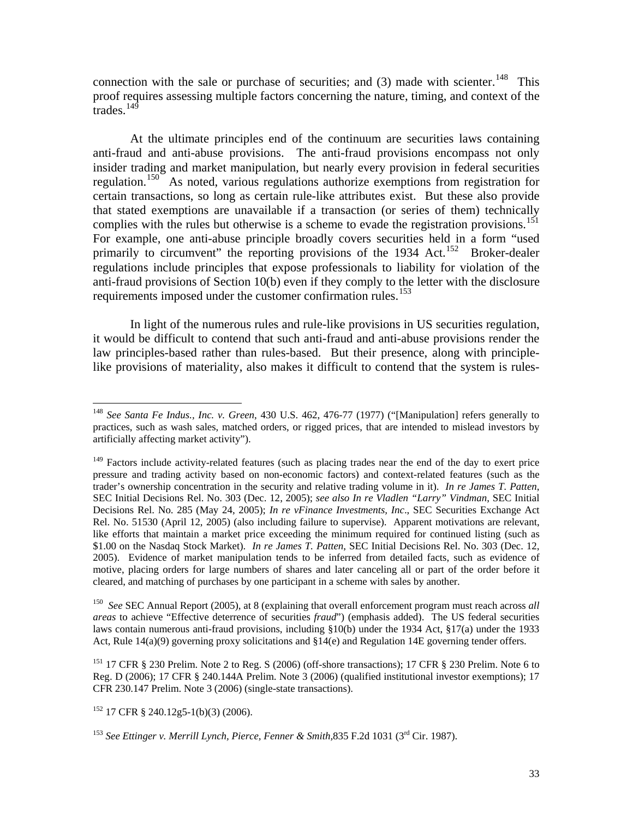connection with the sale or purchase of securities; and  $(3)$  made with scienter.<sup>[148](#page-33-0)</sup> This proof requires assessing multiple factors concerning the nature, timing, and context of the  $\frac{1}{4}$ trades<sup>[149](#page-33-1)</sup>

 At the ultimate principles end of the continuum are securities laws containing anti-fraud and anti-abuse provisions. The anti-fraud provisions encompass not only insider trading and market manipulation, but nearly every provision in federal securities regulation.[150](#page-33-2) As noted, various regulations authorize exemptions from registration for certain transactions, so long as certain rule-like attributes exist. But these also provide that stated exemptions are unavailable if a transaction (or series of them) technically complies with the rules but otherwise is a scheme to evade the registration provisions.<sup>151</sup> For example, one anti-abuse principle broadly covers securities held in a form "used primarily to circumvent" the reporting provisions of the 1934 Act.<sup>[152](#page-33-4)</sup> Broker-dealer regulations include principles that expose professionals to liability for violation of the anti-fraud provisions of Section 10(b) even if they comply to the letter with the disclosure requirements imposed under the customer confirmation rules.<sup>[153](#page-33-5)</sup>

 In light of the numerous rules and rule-like provisions in US securities regulation, it would be difficult to contend that such anti-fraud and anti-abuse provisions render the law principles-based rather than rules-based. But their presence, along with principlelike provisions of materiality, also makes it difficult to contend that the system is rules-

<span id="page-33-2"></span>150 *See* SEC Annual Report (2005), at 8 (explaining that overall enforcement program must reach across *all areas* to achieve "Effective deterrence of securities *fraud*") (emphasis added). The US federal securities laws contain numerous anti-fraud provisions, including §10(b) under the 1934 Act, §17(a) under the 1933 Act, Rule 14(a)(9) governing proxy solicitations and §14(e) and Regulation 14E governing tender offers.

<span id="page-33-3"></span><sup>151</sup> 17 CFR § 230 Prelim. Note 2 to Reg. S (2006) (off-shore transactions); 17 CFR § 230 Prelim. Note 6 to Reg. D (2006); 17 CFR § 240.144A Prelim. Note 3 (2006) (qualified institutional investor exemptions); 17 CFR 230.147 Prelim. Note 3 (2006) (single-state transactions).

<span id="page-33-4"></span> $152$  17 CFR § 240.12g5-1(b)(3) (2006).

<span id="page-33-0"></span><sup>148</sup> *See Santa Fe Indus., Inc. v. Green*, 430 U.S. 462, 476-77 (1977) ("[Manipulation] refers generally to practices, such as wash sales, matched orders, or rigged prices, that are intended to mislead investors by artificially affecting market activity").

<span id="page-33-1"></span><sup>&</sup>lt;sup>149</sup> Factors include activity-related features (such as placing trades near the end of the day to exert price pressure and trading activity based on non-economic factors) and context-related features (such as the trader's ownership concentration in the security and relative trading volume in it). *In re James T. Patten*, SEC Initial Decisions Rel. No. 303 (Dec. 12, 2005); *see also In re Vladlen "Larry" Vindman*, SEC Initial Decisions Rel. No. 285 (May 24, 2005); *In re vFinance Investments, Inc*., SEC Securities Exchange Act Rel. No. 51530 (April 12, 2005) (also including failure to supervise). Apparent motivations are relevant, like efforts that maintain a market price exceeding the minimum required for continued listing (such as \$1.00 on the Nasdaq Stock Market). *In re James T. Patten*, SEC Initial Decisions Rel. No. 303 (Dec. 12, 2005). Evidence of market manipulation tends to be inferred from detailed facts, such as evidence of motive, placing orders for large numbers of shares and later canceling all or part of the order before it cleared, and matching of purchases by one participant in a scheme with sales by another.

<span id="page-33-5"></span><sup>153</sup> *See Ettinger v. Merrill Lynch, Pierce, Fenner & Smith,*835 F.2d 1031 (3rd Cir. 1987).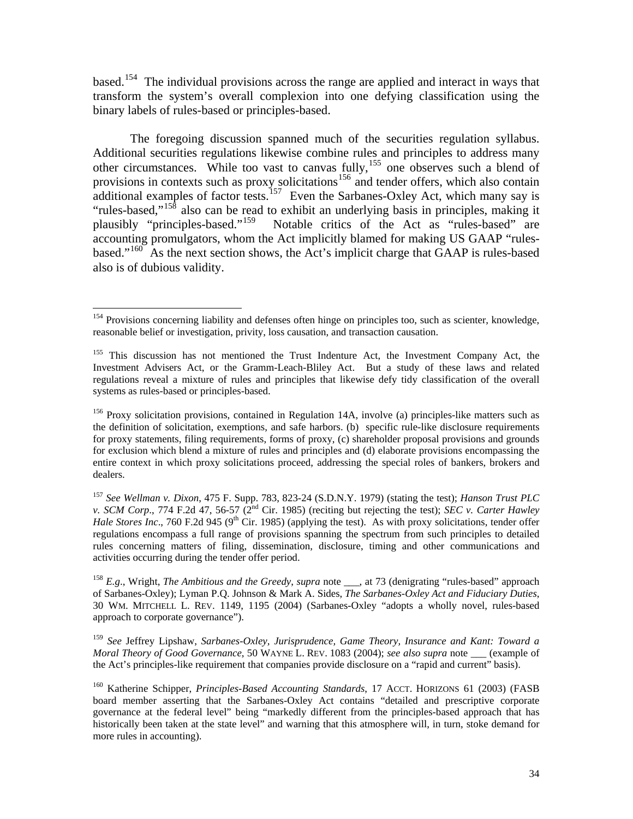based.[154](#page-34-0) The individual provisions across the range are applied and interact in ways that transform the system's overall complexion into one defying classification using the binary labels of rules-based or principles-based.

 The foregoing discussion spanned much of the securities regulation syllabus. Additional securities regulations likewise combine rules and principles to address many other circumstances. While too vast to canvas fully,<sup>[155](#page-34-1)</sup> one observes such a blend of provisions in contexts such as proxy solicitations<sup>[156](#page-34-2)</sup> and tender offers, which also contain additional examples of factor tests.<sup>[157](#page-34-3)</sup> Even the Sarbanes-Oxley Act, which many say is "rules-based,"<sup>[158](#page-34-4)</sup> also can be read to exhibit an underlying basis in principles, making it plausibly "principles-based."<sup>159</sup> Notable critics of the Act as "rules-based" are Notable critics of the Act as "rules-based" are accounting promulgators, whom the Act implicitly blamed for making US GAAP "rules-based."<sup>[160](#page-34-6)</sup> As the next section shows, the Act's implicit charge that GAAP is rules-based also is of dubious validity.

 $\overline{a}$ 

<span id="page-34-2"></span>156 Proxy solicitation provisions, contained in Regulation 14A, involve (a) principles-like matters such as the definition of solicitation, exemptions, and safe harbors. (b) specific rule-like disclosure requirements for proxy statements, filing requirements, forms of proxy, (c) shareholder proposal provisions and grounds for exclusion which blend a mixture of rules and principles and (d) elaborate provisions encompassing the entire context in which proxy solicitations proceed, addressing the special roles of bankers, brokers and dealers.

<span id="page-34-3"></span><sup>157</sup> *See Wellman v. Dixon*, 475 F. Supp. 783, 823-24 (S.D.N.Y. 1979) (stating the test); *Hanson Trust PLC v. SCM Corp.*, 774 F.2d 47, 56-57 (2<sup>nd</sup> Cir. 1985) (reciting but rejecting the test); *SEC v. Carter Hawley Hale Stores Inc.*, 760 F.2d 945 (9<sup>th</sup> Cir. 1985) (applying the test). As with proxy solicitations, tender offer regulations encompass a full range of provisions spanning the spectrum from such principles to detailed rules concerning matters of filing, dissemination, disclosure, timing and other communications and activities occurring during the tender offer period.

<span id="page-34-4"></span><sup>158</sup> *E.g.*, Wright, *The Ambitious and the Greedy*, *supra* note , at 73 (denigrating "rules-based" approach of Sarbanes-Oxley); Lyman P.Q. Johnson & Mark A. Sides, *The Sarbanes-Oxley Act and Fiduciary Duties*, 30 WM. MITCHELL L. REV. 1149, 1195 (2004) (Sarbanes-Oxley "adopts a wholly novel, rules-based approach to corporate governance").

<span id="page-34-5"></span><sup>159</sup> *See* Jeffrey Lipshaw, *Sarbanes-Oxley, Jurisprudence, Game Theory, Insurance and Kant: Toward a Moral Theory of Good Governance*, 50 WAYNE L. REV. 1083 (2004); *see also supra* note \_\_\_ (example of the Act's principles-like requirement that companies provide disclosure on a "rapid and current" basis).

<span id="page-34-6"></span><sup>160</sup> Katherine Schipper, *Principles-Based Accounting Standards*, 17 ACCT. HORIZONS 61 (2003) (FASB board member asserting that the Sarbanes-Oxley Act contains "detailed and prescriptive corporate governance at the federal level" being "markedly different from the principles-based approach that has historically been taken at the state level" and warning that this atmosphere will, in turn, stoke demand for more rules in accounting).

<span id="page-34-0"></span><sup>&</sup>lt;sup>154</sup> Provisions concerning liability and defenses often hinge on principles too, such as scienter, knowledge, reasonable belief or investigation, privity, loss causation, and transaction causation.

<span id="page-34-1"></span><sup>&</sup>lt;sup>155</sup> This discussion has not mentioned the Trust Indenture Act, the Investment Company Act, the Investment Advisers Act, or the Gramm-Leach-Bliley Act. But a study of these laws and related regulations reveal a mixture of rules and principles that likewise defy tidy classification of the overall systems as rules-based or principles-based.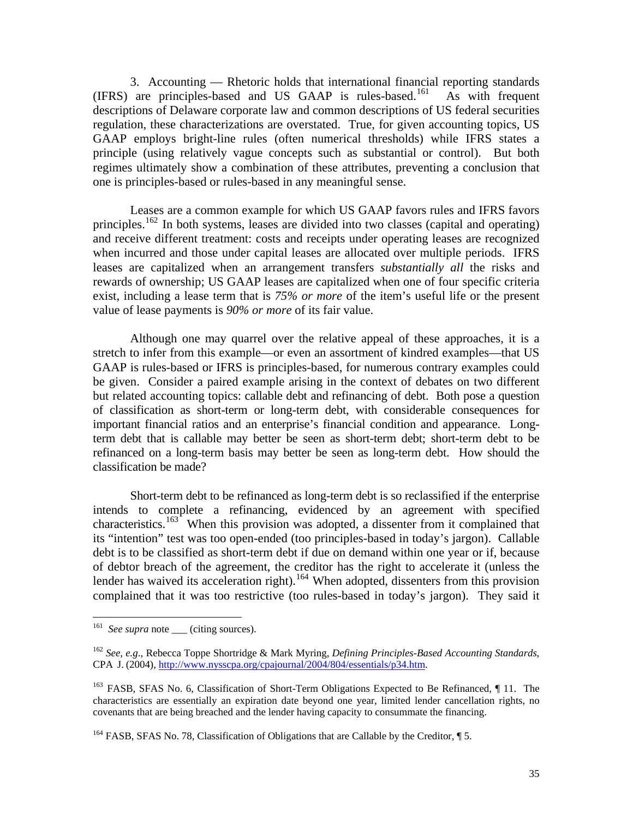3. Accounting — Rhetoric holds that international financial reporting standards (IFRS) are principles-based and US GAAP is rules-based.[161](#page-35-0) As with frequent descriptions of Delaware corporate law and common descriptions of US federal securities regulation, these characterizations are overstated. True, for given accounting topics, US GAAP employs bright-line rules (often numerical thresholds) while IFRS states a principle (using relatively vague concepts such as substantial or control). But both regimes ultimately show a combination of these attributes, preventing a conclusion that one is principles-based or rules-based in any meaningful sense.

 Leases are a common example for which US GAAP favors rules and IFRS favors principles.<sup>[162](#page-35-1)</sup> In both systems, leases are divided into two classes (capital and operating) and receive different treatment: costs and receipts under operating leases are recognized when incurred and those under capital leases are allocated over multiple periods. IFRS leases are capitalized when an arrangement transfers *substantially all* the risks and rewards of ownership; US GAAP leases are capitalized when one of four specific criteria exist, including a lease term that is *75% or more* of the item's useful life or the present value of lease payments is *90% or more* of its fair value.

 Although one may quarrel over the relative appeal of these approaches, it is a stretch to infer from this example—or even an assortment of kindred examples—that US GAAP is rules-based or IFRS is principles-based, for numerous contrary examples could be given. Consider a paired example arising in the context of debates on two different but related accounting topics: callable debt and refinancing of debt. Both pose a question of classification as short-term or long-term debt, with considerable consequences for important financial ratios and an enterprise's financial condition and appearance. Longterm debt that is callable may better be seen as short-term debt; short-term debt to be refinanced on a long-term basis may better be seen as long-term debt. How should the classification be made?

 Short-term debt to be refinanced as long-term debt is so reclassified if the enterprise intends to complete a refinancing, evidenced by an agreement with specified characteristics.<sup>[163](#page-35-2)</sup> When this provision was adopted, a dissenter from it complained that its "intention" test was too open-ended (too principles-based in today's jargon). Callable debt is to be classified as short-term debt if due on demand within one year or if, because of debtor breach of the agreement, the creditor has the right to accelerate it (unless the lender has waived its acceleration right).<sup>[164](#page-35-3)</sup> When adopted, dissenters from this provision complained that it was too restrictive (too rules-based in today's jargon). They said it

<span id="page-35-0"></span><sup>&</sup>lt;sup>161</sup> See supra note <u>centing</u> sources).

<span id="page-35-1"></span><sup>162</sup> *See*, *e.g*., Rebecca Toppe Shortridge & Mark Myring, *Defining Principles-Based Accounting Standards*, CPA J. (2004), [http://www.nysscpa.org/cpajournal/2004/804/essentials/p34.htm.](http://www.nysscpa.org/cpajournal/2004/804/essentials/p34.htm)

<span id="page-35-2"></span><sup>&</sup>lt;sup>163</sup> FASB, SFAS No. 6, Classification of Short-Term Obligations Expected to Be Refinanced, 11. The characteristics are essentially an expiration date beyond one year, limited lender cancellation rights, no covenants that are being breached and the lender having capacity to consummate the financing.

<span id="page-35-3"></span><sup>&</sup>lt;sup>164</sup> FASB, SFAS No. 78, Classification of Obligations that are Callable by the Creditor, 15.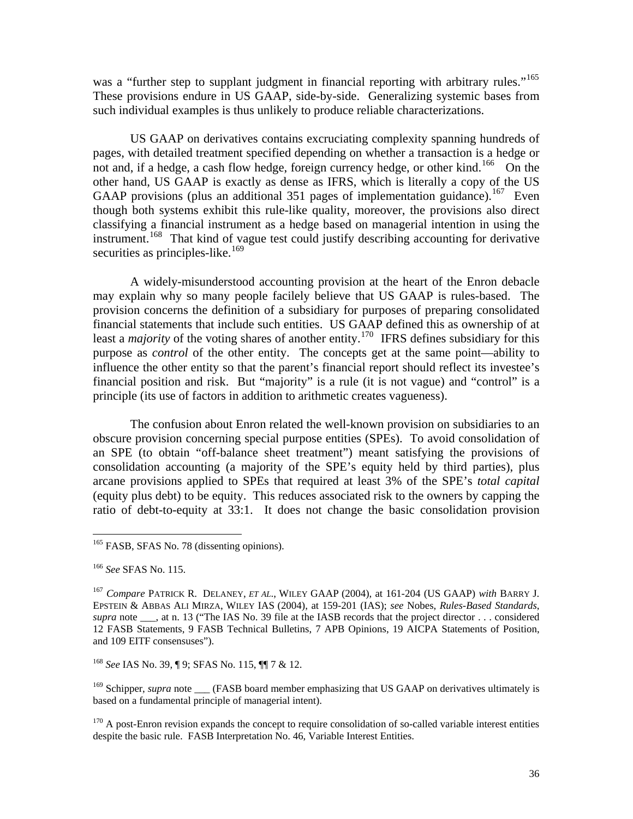was a "further step to supplant judgment in financial reporting with arbitrary rules."<sup>165</sup> These provisions endure in US GAAP, side-by-side. Generalizing systemic bases from such individual examples is thus unlikely to produce reliable characterizations.

 US GAAP on derivatives contains excruciating complexity spanning hundreds of pages, with detailed treatment specified depending on whether a transaction is a hedge or not and, if a hedge, a cash flow hedge, foreign currency hedge, or other kind.<sup>[166](#page-36-1)</sup> On the other hand, US GAAP is exactly as dense as IFRS, which is literally a copy of the US GAAP provisions (plus an additional 351 pages of implementation guidance).<sup>[167](#page-36-2)</sup> Even though both systems exhibit this rule-like quality, moreover, the provisions also direct classifying a financial instrument as a hedge based on managerial intention in using the instrument.<sup>[168](#page-36-3)</sup> That kind of vague test could justify describing accounting for derivative securities as principles-like.<sup>[169](#page-36-4)</sup>

 A widely-misunderstood accounting provision at the heart of the Enron debacle may explain why so many people facilely believe that US GAAP is rules-based. The provision concerns the definition of a subsidiary for purposes of preparing consolidated financial statements that include such entities. US GAAP defined this as ownership of at least a *majority* of the voting shares of another entity.<sup>[170](#page-36-5)</sup> IFRS defines subsidiary for this purpose as *control* of the other entity. The concepts get at the same point—ability to influence the other entity so that the parent's financial report should reflect its investee's financial position and risk. But "majority" is a rule (it is not vague) and "control" is a principle (its use of factors in addition to arithmetic creates vagueness).

 The confusion about Enron related the well-known provision on subsidiaries to an obscure provision concerning special purpose entities (SPEs). To avoid consolidation of an SPE (to obtain "off-balance sheet treatment") meant satisfying the provisions of consolidation accounting (a majority of the SPE's equity held by third parties), plus arcane provisions applied to SPEs that required at least 3% of the SPE's *total capital* (equity plus debt) to be equity. This reduces associated risk to the owners by capping the ratio of debt-to-equity at 33:1. It does not change the basic consolidation provision

 $\overline{a}$ 

<span id="page-36-3"></span><sup>168</sup> *See* IAS No. 39, ¶ 9; SFAS No. 115, ¶¶ 7 & 12.

<span id="page-36-4"></span><sup>169</sup> Schipper, *supra* note \_\_\_ (FASB board member emphasizing that US GAAP on derivatives ultimately is based on a fundamental principle of managerial intent).

<span id="page-36-5"></span><sup>170</sup> A post-Enron revision expands the concept to require consolidation of so-called variable interest entities despite the basic rule. FASB Interpretation No. 46, Variable Interest Entities.

<span id="page-36-0"></span><sup>&</sup>lt;sup>165</sup> FASB, SFAS No. 78 (dissenting opinions).

<span id="page-36-1"></span><sup>166</sup> *See* SFAS No. 115.

<span id="page-36-2"></span><sup>167</sup> *Compare* PATRICK R. DELANEY, *ET AL*., WILEY GAAP (2004), at 161-204 (US GAAP) *with* BARRY J. EPSTEIN & ABBAS ALI MIRZA, WILEY IAS (2004), at 159-201 (IAS); *see* Nobes, *Rules-Based Standards*, *supra* note \_\_\_, at n. 13 ("The IAS No. 39 file at the IASB records that the project director . . . considered 12 FASB Statements, 9 FASB Technical Bulletins, 7 APB Opinions, 19 AICPA Statements of Position, and 109 EITF consensuses").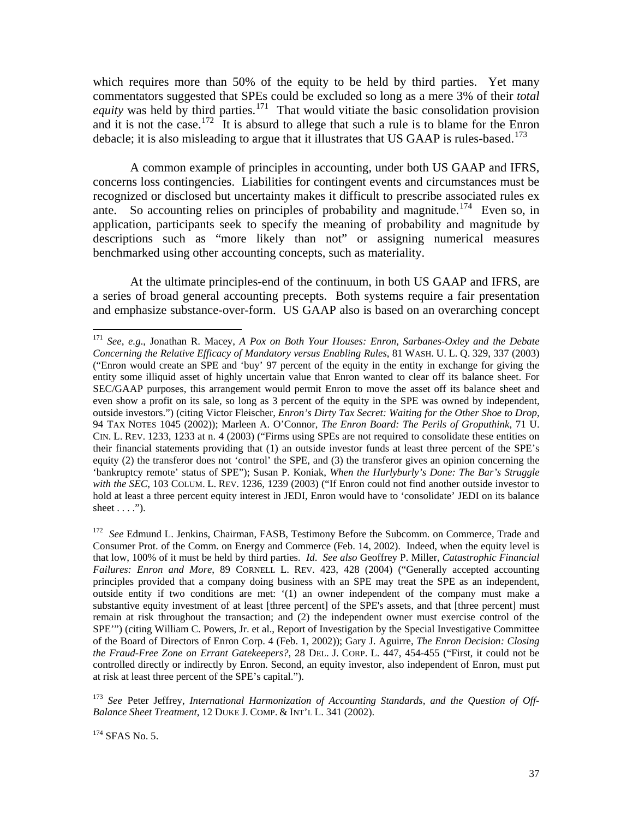which requires more than 50% of the equity to be held by third parties. Yet many commentators suggested that SPEs could be excluded so long as a mere 3% of their *total equity* was held by third parties.<sup>[171](#page-37-0)</sup> That would vitiate the basic consolidation provision and it is not the case.<sup>[172](#page-37-1)</sup> It is absurd to allege that such a rule is to blame for the Enron debacle; it is also misleading to argue that it illustrates that US GAAP is rules-based.<sup>[173](#page-37-2)</sup>

 A common example of principles in accounting, under both US GAAP and IFRS, concerns loss contingencies. Liabilities for contingent events and circumstances must be recognized or disclosed but uncertainty makes it difficult to prescribe associated rules ex ante. So accounting relies on principles of probability and magnitude.<sup>[174](#page-37-3)</sup> Even so, in application, participants seek to specify the meaning of probability and magnitude by descriptions such as "more likely than not" or assigning numerical measures benchmarked using other accounting concepts, such as materiality.

 At the ultimate principles-end of the continuum, in both US GAAP and IFRS, are a series of broad general accounting precepts. Both systems require a fair presentation and emphasize substance-over-form. US GAAP also is based on an overarching concept

<span id="page-37-0"></span><sup>171</sup> *See*, *e.g*., Jonathan R. Macey, *A Pox on Both Your Houses: Enron, Sarbanes-Oxley and the Debate Concerning the Relative Efficacy of Mandatory versus Enabling Rules*, 81 WASH. U. L. Q. 329, 337 (2003) ("Enron would create an SPE and 'buy' 97 percent of the equity in the entity in exchange for giving the entity some illiquid asset of highly uncertain value that Enron wanted to clear off its balance sheet. For SEC/GAAP purposes, this arrangement would permit Enron to move the asset off its balance sheet and even show a profit on its sale, so long as 3 percent of the equity in the SPE was owned by independent, outside investors.") (citing Victor Fleischer, *Enron's Dirty Tax Secret: Waiting for the Other Shoe to Drop*, 94 TAX NOTES 1045 (2002)); Marleen A. O'Connor, *The Enron Board: The Perils of Groputhink*, 71 U. CIN. L. REV. 1233, 1233 at n. 4 (2003) ("Firms using SPEs are not required to consolidate these entities on their financial statements providing that (1) an outside investor funds at least three percent of the SPE's equity (2) the transferor does not 'control' the SPE, and (3) the transferor gives an opinion concerning the 'bankruptcy remote' status of SPE"); Susan P. Koniak, *When the Hurlyburly's Done: The Bar's Struggle*  with the SEC, 103 COLUM. L. REV. 1236, 1239 (2003) ("If Enron could not find another outside investor to hold at least a three percent equity interest in JEDI, Enron would have to 'consolidate' JEDI on its balance sheet  $\dots$ .").

<span id="page-37-1"></span><sup>172</sup> *See* Edmund L. Jenkins, Chairman, FASB, Testimony Before the Subcomm. on Commerce, Trade and Consumer Prot. of the Comm. on Energy and Commerce (Feb. 14, 2002). Indeed, when the equity level is that low, 100% of it must be held by third parties. *Id*. *See also* Geoffrey P. Miller, *Catastrophic Financial Failures: Enron and More*, 89 CORNELL L. REV. 423, 428 (2004) ("Generally accepted accounting principles provided that a company doing business with an SPE may treat the SPE as an independent, outside entity if two conditions are met: '(1) an owner independent of the company must make a substantive equity investment of at least [three percent] of the SPE's assets, and that [three percent] must remain at risk throughout the transaction; and (2) the independent owner must exercise control of the SPE'") (citing William C. Powers, Jr. et al., Report of Investigation by the Special Investigative Committee of the Board of Directors of Enron Corp. 4 (Feb. 1, 2002)); Gary J. Aguirre, *The Enron Decision: Closing the Fraud-Free Zone on Errant Gatekeepers?*, 28 DEL. J. CORP. L. 447, 454-455 ("First, it could not be controlled directly or indirectly by Enron. Second, an equity investor, also independent of Enron, must put at risk at least three percent of the SPE's capital.").

<span id="page-37-3"></span><span id="page-37-2"></span><sup>173</sup> *See* Peter Jeffrey, *International Harmonization of Accounting Standards, and the Question of Off-Balance Sheet Treatment*, 12 DUKE J. COMP. & INT'L L. 341 (2002).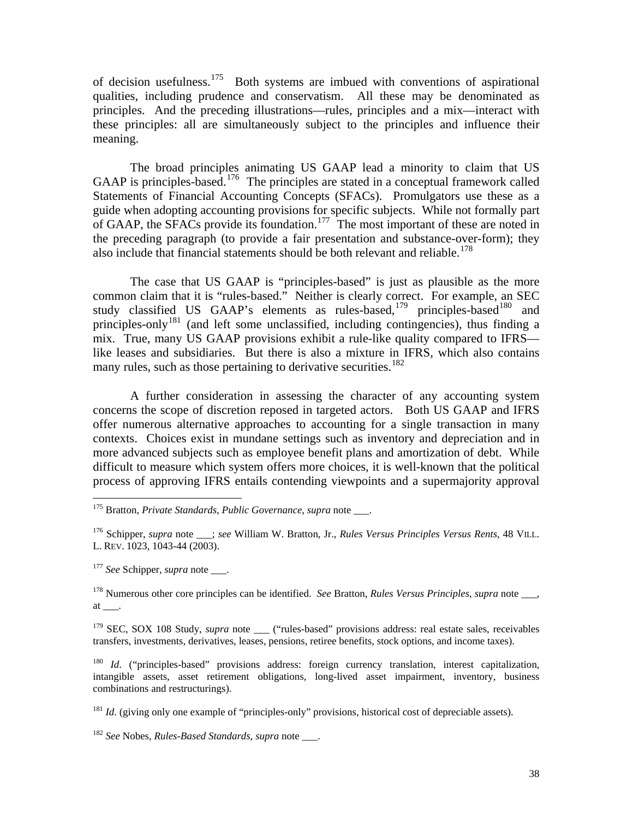of decision usefulness.[175](#page-38-0) Both systems are imbued with conventions of aspirational qualities, including prudence and conservatism. All these may be denominated as principles. And the preceding illustrations—rules, principles and a mix—interact with these principles: all are simultaneously subject to the principles and influence their meaning.

 The broad principles animating US GAAP lead a minority to claim that US GAAP is principles-based.<sup>[176](#page-38-1)</sup> The principles are stated in a conceptual framework called Statements of Financial Accounting Concepts (SFACs). Promulgators use these as a guide when adopting accounting provisions for specific subjects. While not formally part of GAAP, the SFACs provide its foundation.<sup>[177](#page-38-2)</sup> The most important of these are noted in the preceding paragraph (to provide a fair presentation and substance-over-form); they also include that financial statements should be both relevant and reliable.<sup>[178](#page-38-3)</sup>

 The case that US GAAP is "principles-based" is just as plausible as the more common claim that it is "rules-based." Neither is clearly correct. For example, an SEC study classified US GAAP's elements as rules-based,<sup>[179](#page-38-4)</sup> principles-based<sup>[180](#page-38-5)</sup> and principles-only<sup>[181](#page-38-6)</sup> (and left some unclassified, including contingencies), thus finding a mix. True, many US GAAP provisions exhibit a rule-like quality compared to IFRS like leases and subsidiaries. But there is also a mixture in IFRS, which also contains many rules, such as those pertaining to derivative securities.<sup>[182](#page-38-7)</sup>

 A further consideration in assessing the character of any accounting system concerns the scope of discretion reposed in targeted actors. Both US GAAP and IFRS offer numerous alternative approaches to accounting for a single transaction in many contexts. Choices exist in mundane settings such as inventory and depreciation and in more advanced subjects such as employee benefit plans and amortization of debt. While difficult to measure which system offers more choices, it is well-known that the political process of approving IFRS entails contending viewpoints and a supermajority approval

<span id="page-38-2"></span><sup>177</sup> *See* Schipper, *supra* note .

 $\overline{a}$ 

<span id="page-38-3"></span>178 Numerous other core principles can be identified. *See* Bratton, *Rules Versus Principles*, *supra* note \_\_\_, at \_\_\_.

<span id="page-38-4"></span><sup>179</sup> SEC, SOX 108 Study, *supra* note \_\_\_ ("rules-based" provisions address: real estate sales, receivables transfers, investments, derivatives, leases, pensions, retiree benefits, stock options, and income taxes).

<span id="page-38-6"></span><sup>181</sup> *Id.* (giving only one example of "principles-only" provisions, historical cost of depreciable assets).

<span id="page-38-7"></span><sup>182</sup> *See* Nobes, *Rules-Based Standards*, *supra* note \_\_\_.

<span id="page-38-0"></span><sup>175</sup> Bratton, *Private Standards, Public Governance*, *supra* note \_\_\_.

<span id="page-38-1"></span><sup>176</sup> Schipper, *supra* note \_\_\_; *see* William W. Bratton, Jr., *Rules Versus Principles Versus Rents*, 48 VILL. L. REV. 1023, 1043-44 (2003).

<span id="page-38-5"></span><sup>&</sup>lt;sup>180</sup> *Id.* ("principles-based" provisions address: foreign currency translation, interest capitalization, intangible assets, asset retirement obligations, long-lived asset impairment, inventory, business combinations and restructurings).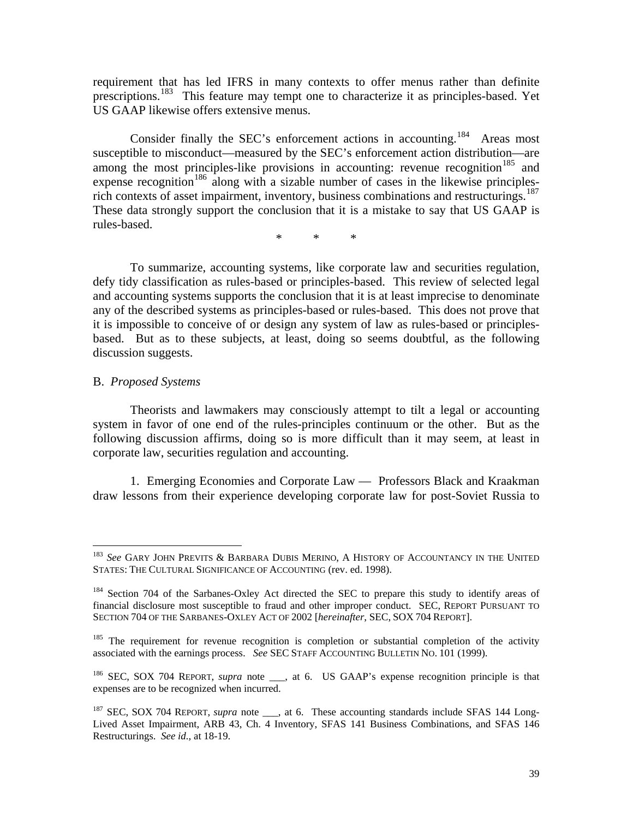requirement that has led IFRS in many contexts to offer menus rather than definite prescriptions.[183](#page-39-0) This feature may tempt one to characterize it as principles-based. Yet US GAAP likewise offers extensive menus.

Consider finally the SEC's enforcement actions in accounting.<sup>[184](#page-39-1)</sup> Areas most susceptible to misconduct—measured by the SEC's enforcement action distribution—are among the most principles-like provisions in accounting: revenue recognition<sup>[185](#page-39-2)</sup> and expense recognition<sup>[186](#page-39-3)</sup> along with a sizable number of cases in the likewise principlesrich contexts of asset impairment, inventory, business combinations and restructurings.<sup>187</sup> These data strongly support the conclusion that it is a mistake to say that US GAAP is rules-based.

\* \* \*

 To summarize, accounting systems, like corporate law and securities regulation, defy tidy classification as rules-based or principles-based. This review of selected legal and accounting systems supports the conclusion that it is at least imprecise to denominate any of the described systems as principles-based or rules-based. This does not prove that it is impossible to conceive of or design any system of law as rules-based or principlesbased. But as to these subjects, at least, doing so seems doubtful, as the following discussion suggests.

### B. *Proposed Systems*

1

 Theorists and lawmakers may consciously attempt to tilt a legal or accounting system in favor of one end of the rules-principles continuum or the other. But as the following discussion affirms, doing so is more difficult than it may seem, at least in corporate law, securities regulation and accounting.

 1. Emerging Economies and Corporate Law — Professors Black and Kraakman draw lessons from their experience developing corporate law for post-Soviet Russia to

<span id="page-39-0"></span><sup>&</sup>lt;sup>183</sup> See GARY JOHN PREVITS & BARBARA DUBIS MERINO, A HISTORY OF ACCOUNTANCY IN THE UNITED STATES: THE CULTURAL SIGNIFICANCE OF ACCOUNTING (rev. ed. 1998).

<span id="page-39-1"></span><sup>&</sup>lt;sup>184</sup> Section 704 of the Sarbanes-Oxley Act directed the SEC to prepare this study to identify areas of financial disclosure most susceptible to fraud and other improper conduct. SEC, REPORT PURSUANT TO SECTION 704 OF THE SARBANES-OXLEY ACT OF 2002 [*hereinafter*, SEC, SOX 704 REPORT].

<span id="page-39-2"></span> $185$  The requirement for revenue recognition is completion or substantial completion of the activity associated with the earnings process. *See* SEC STAFF ACCOUNTING BULLETIN NO. 101 (1999).

<span id="page-39-3"></span><sup>&</sup>lt;sup>186</sup> SEC, SOX 704 REPORT, *supra* note <sub>\_\_\_</sub>, at 6. US GAAP's expense recognition principle is that expenses are to be recognized when incurred.

<span id="page-39-4"></span><sup>&</sup>lt;sup>187</sup> SEC, SOX 704 REPORT, *supra* note <sub>\_\_\_</sub>, at 6. These accounting standards include SFAS 144 Long-Lived Asset Impairment, ARB 43, Ch. 4 Inventory, SFAS 141 Business Combinations, and SFAS 146 Restructurings. *See id.,* at 18-19.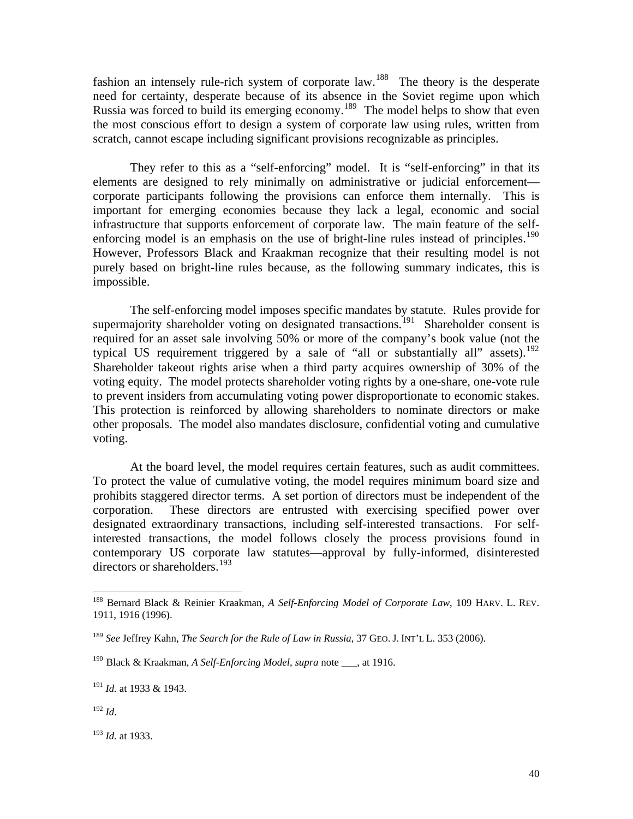fashion an intensely rule-rich system of corporate law.<sup>[188](#page-40-0)</sup> The theory is the desperate need for certainty, desperate because of its absence in the Soviet regime upon which Russia was forced to build its emerging economy.<sup>[189](#page-40-1)</sup> The model helps to show that even the most conscious effort to design a system of corporate law using rules, written from scratch, cannot escape including significant provisions recognizable as principles.

 They refer to this as a "self-enforcing" model. It is "self-enforcing" in that its elements are designed to rely minimally on administrative or judicial enforcement corporate participants following the provisions can enforce them internally. This is important for emerging economies because they lack a legal, economic and social infrastructure that supports enforcement of corporate law. The main feature of the selfenforcing model is an emphasis on the use of bright-line rules instead of principles.<sup>190</sup> However, Professors Black and Kraakman recognize that their resulting model is not purely based on bright-line rules because, as the following summary indicates, this is impossible.

 The self-enforcing model imposes specific mandates by statute. Rules provide for supermajority shareholder voting on designated transactions.<sup>[191](#page-40-3)</sup> Shareholder consent is required for an asset sale involving 50% or more of the company's book value (not the typical US requirement triggered by a sale of "all or substantially all" assets).<sup>[192](#page-40-4)</sup> Shareholder takeout rights arise when a third party acquires ownership of 30% of the voting equity. The model protects shareholder voting rights by a one-share, one-vote rule to prevent insiders from accumulating voting power disproportionate to economic stakes. This protection is reinforced by allowing shareholders to nominate directors or make other proposals. The model also mandates disclosure, confidential voting and cumulative voting.

 At the board level, the model requires certain features, such as audit committees. To protect the value of cumulative voting, the model requires minimum board size and prohibits staggered director terms. A set portion of directors must be independent of the corporation. These directors are entrusted with exercising specified power over designated extraordinary transactions, including self-interested transactions. For selfinterested transactions, the model follows closely the process provisions found in contemporary US corporate law statutes—approval by fully-informed, disinterested directors or shareholders.<sup>[193](#page-40-5)</sup>

<span id="page-40-4"></span><sup>192</sup> *Id*.

<span id="page-40-0"></span><sup>188</sup> Bernard Black & Reinier Kraakman, *A Self-Enforcing Model of Corporate Law*, 109 HARV. L. REV. 1911, 1916 (1996).

<span id="page-40-1"></span><sup>189</sup> *See* Jeffrey Kahn, *The Search for the Rule of Law in Russia*, 37 GEO. J. INT'L L. 353 (2006).

<span id="page-40-2"></span><sup>190</sup> Black & Kraakman, *A Self-Enforcing Model*, *supra* note \_\_\_, at 1916.

<span id="page-40-3"></span><sup>191</sup> *Id.* at 1933 & 1943.

<span id="page-40-5"></span><sup>193</sup> *Id.* at 1933.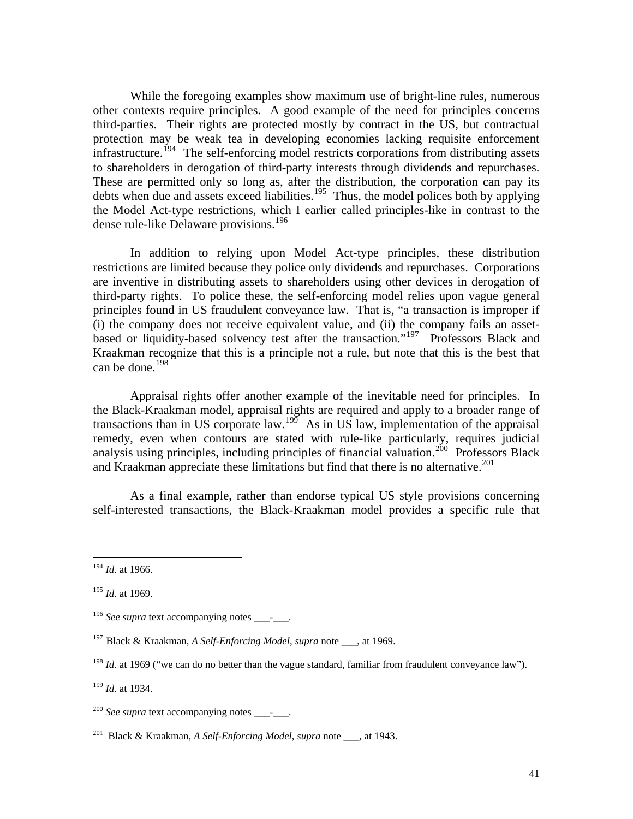While the foregoing examples show maximum use of bright-line rules, numerous other contexts require principles. A good example of the need for principles concerns third-parties. Their rights are protected mostly by contract in the US, but contractual protection may be weak tea in developing economies lacking requisite enforcement  $in$ frastructure.<sup>[194](#page-41-0)</sup> The self-enforcing model restricts corporations from distributing assets to shareholders in derogation of third-party interests through dividends and repurchases. These are permitted only so long as, after the distribution, the corporation can pay its debts when due and assets exceed liabilities.<sup>[195](#page-41-1)</sup> Thus, the model polices both by applying the Model Act-type restrictions, which I earlier called principles-like in contrast to the dense rule-like Delaware provisions.<sup>[196](#page-41-2)</sup>

 In addition to relying upon Model Act-type principles, these distribution restrictions are limited because they police only dividends and repurchases. Corporations are inventive in distributing assets to shareholders using other devices in derogation of third-party rights. To police these, the self-enforcing model relies upon vague general principles found in US fraudulent conveyance law. That is, "a transaction is improper if (i) the company does not receive equivalent value, and (ii) the company fails an assetbased or liquidity-based solvency test after the transaction."[197](#page-41-3) Professors Black and Kraakman recognize that this is a principle not a rule, but note that this is the best that can be done. $198$ 

 Appraisal rights offer another example of the inevitable need for principles. In the Black-Kraakman model, appraisal rights are required and apply to a broader range of transactions than in US corporate law.<sup>[199](#page-41-5)</sup> As in US law, implementation of the appraisal remedy, even when contours are stated with rule-like particularly, requires judicial analysis using principles, including principles of financial valuation.<sup>[200](#page-41-6)</sup> Professors Black and Kraakman appreciate these limitations but find that there is no alternative.<sup>[201](#page-41-7)</sup>

 As a final example, rather than endorse typical US style provisions concerning self-interested transactions, the Black-Kraakman model provides a specific rule that

<span id="page-41-0"></span><sup>194</sup> *Id.* at 1966.

<span id="page-41-1"></span><sup>195</sup> *Id.* at 1969.

<span id="page-41-2"></span><sup>&</sup>lt;sup>196</sup> See supra text accompanying notes  $\qquad$ .

<span id="page-41-3"></span><sup>197</sup> Black & Kraakman, *A Self-Enforcing Model*, *supra* note \_\_\_, at 1969.

<span id="page-41-4"></span><sup>&</sup>lt;sup>198</sup> *Id.* at 1969 ("we can do no better than the vague standard, familiar from fraudulent conveyance law").

<span id="page-41-5"></span><sup>199</sup> *Id.* at 1934.

<span id="page-41-6"></span><sup>&</sup>lt;sup>200</sup> See supra text accompanying notes - .

<span id="page-41-7"></span><sup>201</sup>Black & Kraakman, *A Self-Enforcing Model*, *supra* note \_\_\_, at 1943.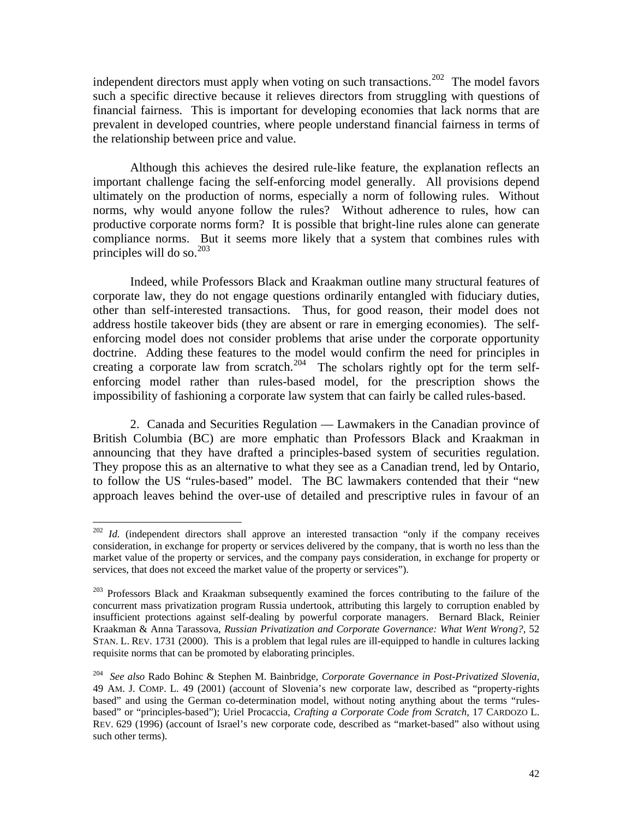independent directors must apply when voting on such transactions.<sup>[202](#page-42-0)</sup> The model favors such a specific directive because it relieves directors from struggling with questions of financial fairness. This is important for developing economies that lack norms that are prevalent in developed countries, where people understand financial fairness in terms of the relationship between price and value.

 Although this achieves the desired rule-like feature, the explanation reflects an important challenge facing the self-enforcing model generally. All provisions depend ultimately on the production of norms, especially a norm of following rules. Without norms, why would anyone follow the rules? Without adherence to rules, how can productive corporate norms form? It is possible that bright-line rules alone can generate compliance norms. But it seems more likely that a system that combines rules with principles will do so.<sup>[203](#page-42-1)</sup>

 Indeed, while Professors Black and Kraakman outline many structural features of corporate law, they do not engage questions ordinarily entangled with fiduciary duties, other than self-interested transactions. Thus, for good reason, their model does not address hostile takeover bids (they are absent or rare in emerging economies). The selfenforcing model does not consider problems that arise under the corporate opportunity doctrine. Adding these features to the model would confirm the need for principles in creating a corporate law from scratch.<sup>[204](#page-42-2)</sup> The scholars rightly opt for the term selfenforcing model rather than rules-based model, for the prescription shows the impossibility of fashioning a corporate law system that can fairly be called rules-based.

 2. Canada and Securities Regulation — Lawmakers in the Canadian province of British Columbia (BC) are more emphatic than Professors Black and Kraakman in announcing that they have drafted a principles-based system of securities regulation. They propose this as an alternative to what they see as a Canadian trend, led by Ontario, to follow the US "rules-based" model. The BC lawmakers contended that their "new approach leaves behind the over-use of detailed and prescriptive rules in favour of an

<span id="page-42-0"></span><sup>&</sup>lt;sup>202</sup> *Id.* (independent directors shall approve an interested transaction "only if the company receives consideration, in exchange for property or services delivered by the company, that is worth no less than the market value of the property or services, and the company pays consideration, in exchange for property or services, that does not exceed the market value of the property or services").

<span id="page-42-1"></span><sup>&</sup>lt;sup>203</sup> Professors Black and Kraakman subsequently examined the forces contributing to the failure of the concurrent mass privatization program Russia undertook, attributing this largely to corruption enabled by insufficient protections against self-dealing by powerful corporate managers. Bernard Black, Reinier Kraakman & Anna Tarassova, *Russian Privatization and Corporate Governance: What Went Wrong?*, 52 STAN. L. REV. 1731 (2000). This is a problem that legal rules are ill-equipped to handle in cultures lacking requisite norms that can be promoted by elaborating principles.

<span id="page-42-2"></span><sup>204</sup> *See also* Rado Bohinc & Stephen M. Bainbridge, *Corporate Governance in Post-Privatized Slovenia*, 49 AM. J. COMP. L. 49 (2001) (account of Slovenia's new corporate law, described as "property-rights based" and using the German co-determination model, without noting anything about the terms "rulesbased" or "principles-based"); Uriel Procaccia, *Crafting a Corporate Code from Scratch*, 17 CARDOZO L. REV. 629 (1996) (account of Israel's new corporate code, described as "market-based" also without using such other terms).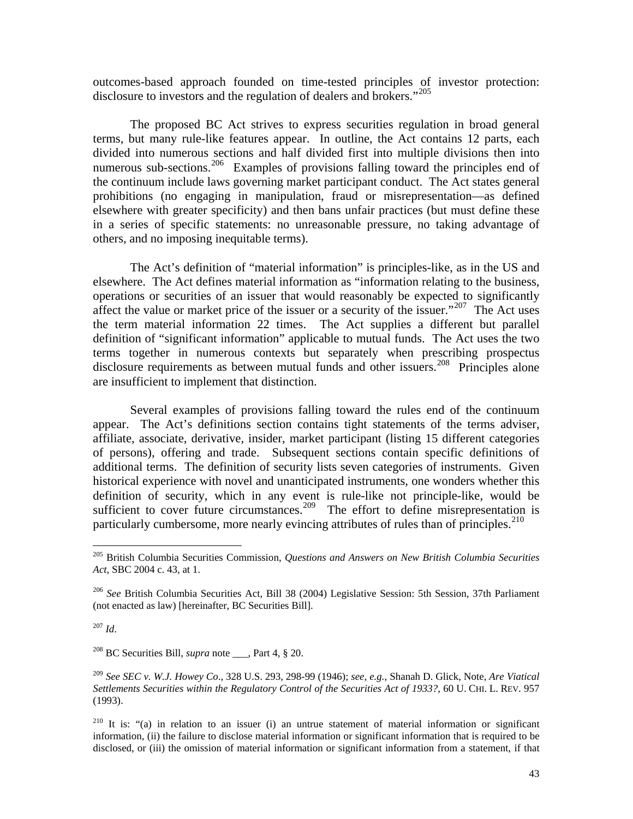outcomes-based approach founded on time-tested principles of investor protection: disclosure to investors and the regulation of dealers and brokers."[205](#page-43-0)

 The proposed BC Act strives to express securities regulation in broad general terms, but many rule-like features appear. In outline, the Act contains 12 parts, each divided into numerous sections and half divided first into multiple divisions then into numerous sub-sections.<sup>[206](#page-43-1)</sup> Examples of provisions falling toward the principles end of the continuum include laws governing market participant conduct. The Act states general prohibitions (no engaging in manipulation, fraud or misrepresentation—as defined elsewhere with greater specificity) and then bans unfair practices (but must define these in a series of specific statements: no unreasonable pressure, no taking advantage of others, and no imposing inequitable terms).

 The Act's definition of "material information" is principles-like, as in the US and elsewhere. The Act defines material information as "information relating to the business, operations or securities of an issuer that would reasonably be expected to significantly affect the value or market price of the issuer or a security of the issuer."<sup>[207](#page-43-2)</sup> The Act uses the term material information 22 times. The Act supplies a different but parallel definition of "significant information" applicable to mutual funds. The Act uses the two terms together in numerous contexts but separately when prescribing prospectus disclosure requirements as between mutual funds and other issuers.<sup>[208](#page-43-3)</sup> Principles alone are insufficient to implement that distinction.

 Several examples of provisions falling toward the rules end of the continuum appear. The Act's definitions section contains tight statements of the terms adviser, affiliate, associate, derivative, insider, market participant (listing 15 different categories of persons), offering and trade. Subsequent sections contain specific definitions of additional terms. The definition of security lists seven categories of instruments. Given historical experience with novel and unanticipated instruments, one wonders whether this definition of security, which in any event is rule-like not principle-like, would be sufficient to cover future circumstances.<sup>[209](#page-43-4)</sup> The effort to define misrepresentation is particularly cumbersome, more nearly evincing attributes of rules than of principles.<sup>[210](#page-43-5)</sup>

<span id="page-43-2"></span><sup>207</sup> *Id*.

 $\overline{a}$ 

<span id="page-43-3"></span><sup>208</sup> BC Securities Bill, *supra* note , Part 4, § 20.

<span id="page-43-4"></span><sup>209</sup> *See SEC v. W.J. Howey Co*., 328 U.S. 293, 298-99 (1946); *see, e.g.,* Shanah D. Glick, Note, *Are Viatical Settlements Securities within the Regulatory Control of the Securities Act of 1933?*, 60 U. CHI. L. REV. 957 (1993).

<span id="page-43-5"></span><sup>210</sup> It is: "(a) in relation to an issuer (i) an untrue statement of material information or significant information, (ii) the failure to disclose material information or significant information that is required to be disclosed, or (iii) the omission of material information or significant information from a statement, if that

<span id="page-43-0"></span><sup>205</sup> British Columbia Securities Commission, *Questions and Answers on New British Columbia Securities Act*, SBC 2004 c. 43, at 1.

<span id="page-43-1"></span><sup>206</sup> *See* British Columbia Securities Act, Bill 38 (2004) Legislative Session: 5th Session, 37th Parliament (not enacted as law) [hereinafter, BC Securities Bill].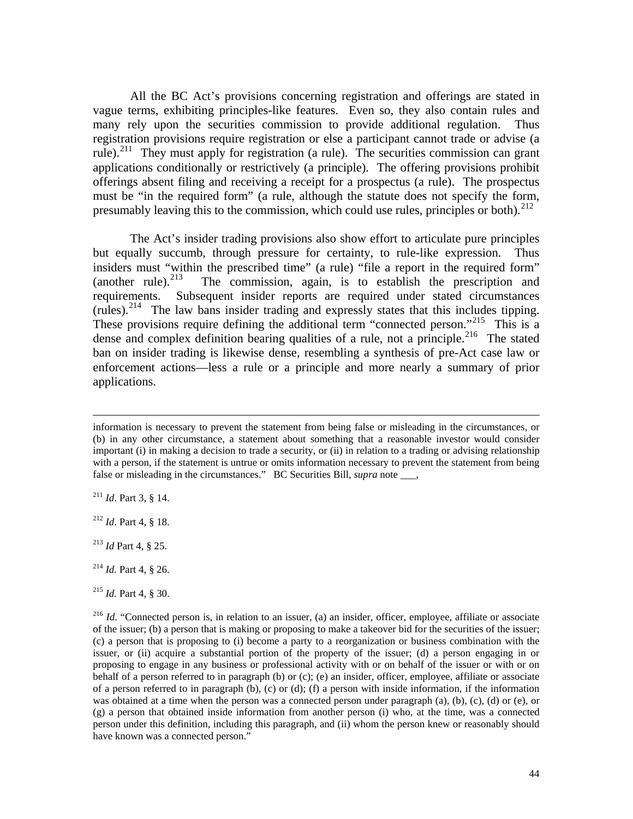All the BC Act's provisions concerning registration and offerings are stated in vague terms, exhibiting principles-like features. Even so, they also contain rules and many rely upon the securities commission to provide additional regulation. Thus registration provisions require registration or else a participant cannot trade or advise (a rule).<sup>[211](#page-44-0)</sup> They must apply for registration (a rule). The securities commission can grant applications conditionally or restrictively (a principle). The offering provisions prohibit offerings absent filing and receiving a receipt for a prospectus (a rule). The prospectus must be "in the required form" (a rule, although the statute does not specify the form, presumably leaving this to the commission, which could use rules, principles or both).<sup>[212](#page-44-1)</sup>

 The Act's insider trading provisions also show effort to articulate pure principles but equally succumb, through pressure for certainty, to rule-like expression. Thus insiders must "within the prescribed time" (a rule) "file a report in the required form" (another rule).<sup>213</sup> The commission, again, is to establish the prescription and The commission, again, is to establish the prescription and requirements. Subsequent insider reports are required under stated circumstances (rules).<sup>[214](#page-44-3)</sup> The law bans insider trading and expressly states that this includes tipping. These provisions require defining the additional term "connected person."<sup>[215](#page-44-4)</sup> This is a dense and complex definition bearing qualities of a rule, not a principle.<sup>[216](#page-44-5)</sup> The stated ban on insider trading is likewise dense, resembling a synthesis of pre-Act case law or enforcement actions—less a rule or a principle and more nearly a summary of prior applications.

information is necessary to prevent the statement from being false or misleading in the circumstances, or (b) in any other circumstance, a statement about something that a reasonable investor would consider important (i) in making a decision to trade a security, or (ii) in relation to a trading or advising relationship with a person, if the statement is untrue or omits information necessary to prevent the statement from being false or misleading in the circumstances." BC Securities Bill, *supra* note \_\_\_,

<span id="page-44-0"></span><sup>211</sup> *Id*. Part 3, § 14.

<span id="page-44-1"></span><sup>212</sup> *Id*. Part 4, § 18.

<span id="page-44-2"></span><sup>213</sup> *Id* Part 4, § 25.

<span id="page-44-3"></span><sup>214</sup> *Id.* Part 4, § 26.

<span id="page-44-4"></span><sup>215</sup> *Id.* Part 4, § 30.

<span id="page-44-5"></span><sup>&</sup>lt;sup>216</sup> *Id.* "Connected person is, in relation to an issuer, (a) an insider, officer, employee, affiliate or associate of the issuer; (b) a person that is making or proposing to make a takeover bid for the securities of the issuer; (c) a person that is proposing to (i) become a party to a reorganization or business combination with the issuer, or (ii) acquire a substantial portion of the property of the issuer; (d) a person engaging in or proposing to engage in any business or professional activity with or on behalf of the issuer or with or on behalf of a person referred to in paragraph (b) or (c); (e) an insider, officer, employee, affiliate or associate of a person referred to in paragraph (b), (c) or (d); (f) a person with inside information, if the information was obtained at a time when the person was a connected person under paragraph (a), (b), (c), (d) or (e), or (g) a person that obtained inside information from another person (i) who, at the time, was a connected person under this definition, including this paragraph, and (ii) whom the person knew or reasonably should have known was a connected person."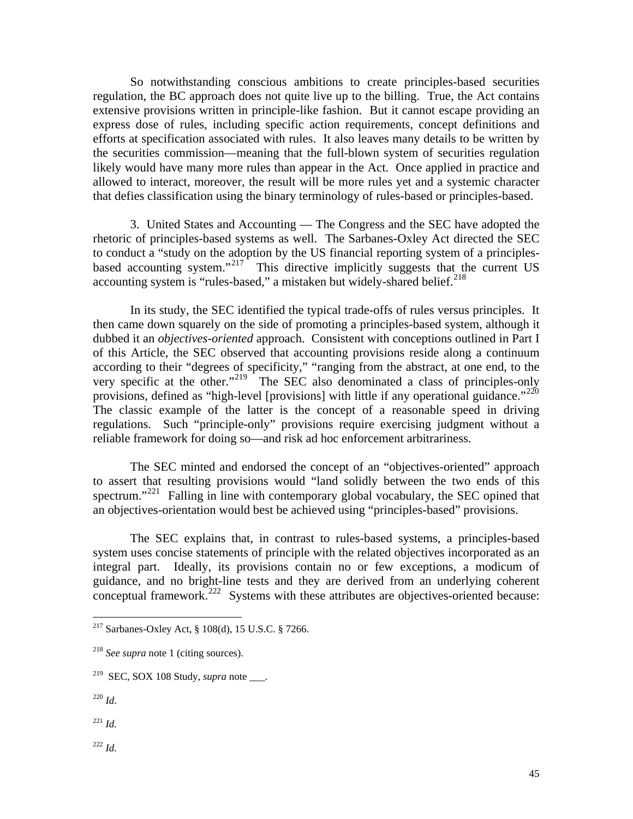So notwithstanding conscious ambitions to create principles-based securities regulation, the BC approach does not quite live up to the billing. True, the Act contains extensive provisions written in principle-like fashion. But it cannot escape providing an express dose of rules, including specific action requirements, concept definitions and efforts at specification associated with rules. It also leaves many details to be written by the securities commission—meaning that the full-blown system of securities regulation likely would have many more rules than appear in the Act. Once applied in practice and allowed to interact, moreover, the result will be more rules yet and a systemic character that defies classification using the binary terminology of rules-based or principles-based.

 3. United States and Accounting — The Congress and the SEC have adopted the rhetoric of principles-based systems as well. The Sarbanes-Oxley Act directed the SEC to conduct a "study on the adoption by the US financial reporting system of a principles-based accounting system."<sup>[217](#page-45-0)</sup> This directive implicitly suggests that the current US accounting system is "rules-based," a mistaken but widely-shared belief. $^{218}$  $^{218}$  $^{218}$ 

 In its study, the SEC identified the typical trade-offs of rules versus principles. It then came down squarely on the side of promoting a principles-based system, although it dubbed it an *objectives-oriented* approach. Consistent with conceptions outlined in Part I of this Article, the SEC observed that accounting provisions reside along a continuum according to their "degrees of specificity," "ranging from the abstract, at one end, to the very specific at the other."[219](#page-45-2) The SEC also denominated a class of principles-only provisions, defined as "high-level [provisions] with little if any operational guidance."<sup>220</sup> The classic example of the latter is the concept of a reasonable speed in driving regulations. Such "principle-only" provisions require exercising judgment without a reliable framework for doing so—and risk ad hoc enforcement arbitrariness.

 The SEC minted and endorsed the concept of an "objectives-oriented" approach to assert that resulting provisions would "land solidly between the two ends of this spectrum."<sup>[221](#page-45-4)</sup> Falling in line with contemporary global vocabulary, the SEC opined that an objectives-orientation would best be achieved using "principles-based" provisions.

 The SEC explains that, in contrast to rules-based systems, a principles-based system uses concise statements of principle with the related objectives incorporated as an integral part. Ideally, its provisions contain no or few exceptions, a modicum of guidance, and no bright-line tests and they are derived from an underlying coherent conceptual framework.<sup>[222](#page-45-5)</sup> Systems with these attributes are objectives-oriented because:

<span id="page-45-3"></span><sup>220</sup> *Id*.

- <span id="page-45-4"></span><sup>221</sup> *Id.*
- <span id="page-45-5"></span> $^{222}$  *Id.*

<span id="page-45-0"></span> $2^{217}$  Sarbanes-Oxley Act, § 108(d), 15 U.S.C. § 7266.

<span id="page-45-1"></span><sup>218</sup> *See supra* note 1 (citing sources).

<span id="page-45-2"></span><sup>&</sup>lt;sup>219</sup> SEC, SOX 108 Study, *supra* note  $\qquad$ .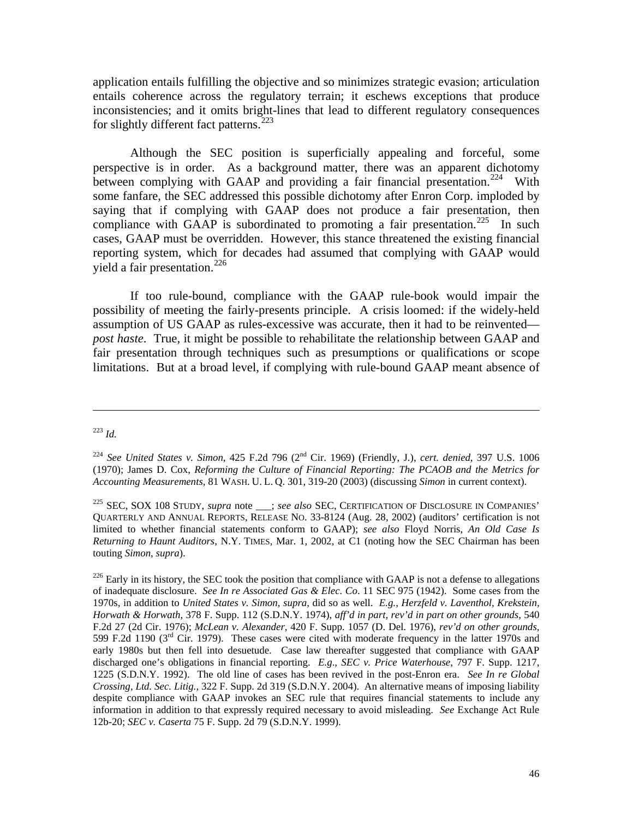application entails fulfilling the objective and so minimizes strategic evasion; articulation entails coherence across the regulatory terrain; it eschews exceptions that produce inconsistencies; and it omits bright-lines that lead to different regulatory consequences for slightly different fact patterns.<sup>[223](#page-46-0)</sup>

 Although the SEC position is superficially appealing and forceful, some perspective is in order. As a background matter, there was an apparent dichotomy between complying with GAAP and providing a fair financial presentation.<sup>[224](#page-46-1)</sup> With some fanfare, the SEC addressed this possible dichotomy after Enron Corp. imploded by saying that if complying with GAAP does not produce a fair presentation, then compliance with GAAP is subordinated to promoting a fair presentation.<sup>[225](#page-46-2)</sup> In such cases, GAAP must be overridden. However, this stance threatened the existing financial reporting system, which for decades had assumed that complying with GAAP would yield a fair presentation. $226$ 

 If too rule-bound, compliance with the GAAP rule-book would impair the possibility of meeting the fairly-presents principle. A crisis loomed: if the widely-held assumption of US GAAP as rules-excessive was accurate, then it had to be reinvented *post haste*. True, it might be possible to rehabilitate the relationship between GAAP and fair presentation through techniques such as presumptions or qualifications or scope limitations. But at a broad level, if complying with rule-bound GAAP meant absence of

<span id="page-46-0"></span><sup>223</sup> *Id.*

<span id="page-46-1"></span><sup>224</sup> *See United States v. Simon*, 425 F.2d 796 (2nd Cir. 1969) (Friendly, J.), *cert. denied*, 397 U.S. 1006 (1970); James D. Cox, *Reforming the Culture of Financial Reporting: The PCAOB and the Metrics for Accounting Measurements*, 81 WASH. U. L. Q. 301, 319-20 (2003) (discussing *Simon* in current context).

<span id="page-46-2"></span><sup>&</sup>lt;sup>225</sup> SEC, SOX 108 STUDY, *supra* note \_\_\_; *see also* SEC, CERTIFICATION OF DISCLOSURE IN COMPANIES' QUARTERLY AND ANNUAL REPORTS, RELEASE NO. 33-8124 (Aug. 28, 2002) (auditors' certification is not limited to whether financial statements conform to GAAP); *see also* Floyd Norris, *An Old Case Is Returning to Haunt Auditors*, N.Y. TIMES, Mar. 1, 2002, at C1 (noting how the SEC Chairman has been touting *Simon*, *supra*).

<span id="page-46-3"></span> $^{226}$  Early in its history, the SEC took the position that compliance with GAAP is not a defense to allegations of inadequate disclosure. *See In re Associated Gas & Elec. Co*. 11 SEC 975 (1942). Some cases from the 1970s, in addition to *United States v. Simon*, *supra*, did so as well. *E.g.*, *Herzfeld v. Laventhol, Krekstein, Horwath & Horwath*, 378 F. Supp. 112 (S.D.N.Y. 1974), *aff'd in part, rev'd in part on other grounds*, 540 F.2d 27 (2d Cir. 1976); *McLean v. Alexander*, 420 F. Supp. 1057 (D. Del. 1976), *rev'd on other grounds*, 599 F.2d 1190 ( $3<sup>rd</sup>$  Cir. 1979). These cases were cited with moderate frequency in the latter 1970s and early 1980s but then fell into desuetude. Case law thereafter suggested that compliance with GAAP discharged one's obligations in financial reporting. *E.g*., *SEC v. Price Waterhouse*, 797 F. Supp. 1217, 1225 (S.D.N.Y. 1992). The old line of cases has been revived in the post-Enron era. *See In re Global Crossing, Ltd. Sec. Litig.,* 322 F. Supp. 2d 319 (S.D.N.Y. 2004). An alternative means of imposing liability despite compliance with GAAP invokes an SEC rule that requires financial statements to include any information in addition to that expressly required necessary to avoid misleading. *See* Exchange Act Rule 12b-20; *SEC v. Caserta* 75 F. Supp. 2d 79 (S.D.N.Y. 1999).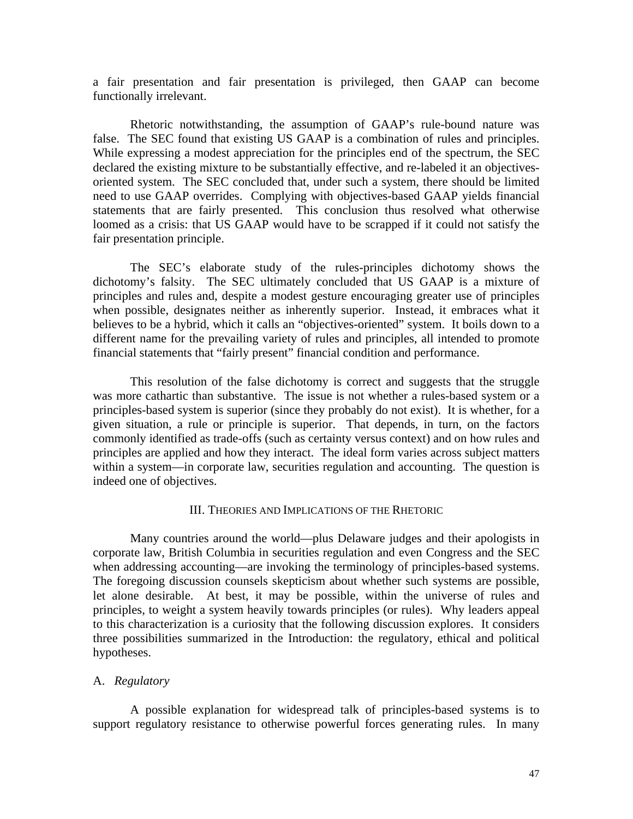a fair presentation and fair presentation is privileged, then GAAP can become functionally irrelevant.

 Rhetoric notwithstanding, the assumption of GAAP's rule-bound nature was false. The SEC found that existing US GAAP is a combination of rules and principles. While expressing a modest appreciation for the principles end of the spectrum, the SEC declared the existing mixture to be substantially effective, and re-labeled it an objectivesoriented system. The SEC concluded that, under such a system, there should be limited need to use GAAP overrides. Complying with objectives-based GAAP yields financial statements that are fairly presented. This conclusion thus resolved what otherwise loomed as a crisis: that US GAAP would have to be scrapped if it could not satisfy the fair presentation principle.

 The SEC's elaborate study of the rules-principles dichotomy shows the dichotomy's falsity. The SEC ultimately concluded that US GAAP is a mixture of principles and rules and, despite a modest gesture encouraging greater use of principles when possible, designates neither as inherently superior. Instead, it embraces what it believes to be a hybrid, which it calls an "objectives-oriented" system. It boils down to a different name for the prevailing variety of rules and principles, all intended to promote financial statements that "fairly present" financial condition and performance.

 This resolution of the false dichotomy is correct and suggests that the struggle was more cathartic than substantive. The issue is not whether a rules-based system or a principles-based system is superior (since they probably do not exist). It is whether, for a given situation, a rule or principle is superior. That depends, in turn, on the factors commonly identified as trade-offs (such as certainty versus context) and on how rules and principles are applied and how they interact. The ideal form varies across subject matters within a system—in corporate law, securities regulation and accounting. The question is indeed one of objectives.

#### III. THEORIES AND IMPLICATIONS OF THE RHETORIC

 Many countries around the world—plus Delaware judges and their apologists in corporate law, British Columbia in securities regulation and even Congress and the SEC when addressing accounting—are invoking the terminology of principles-based systems. The foregoing discussion counsels skepticism about whether such systems are possible, let alone desirable. At best, it may be possible, within the universe of rules and principles, to weight a system heavily towards principles (or rules). Why leaders appeal to this characterization is a curiosity that the following discussion explores. It considers three possibilities summarized in the Introduction: the regulatory, ethical and political hypotheses.

# A. *Regulatory*

 A possible explanation for widespread talk of principles-based systems is to support regulatory resistance to otherwise powerful forces generating rules. In many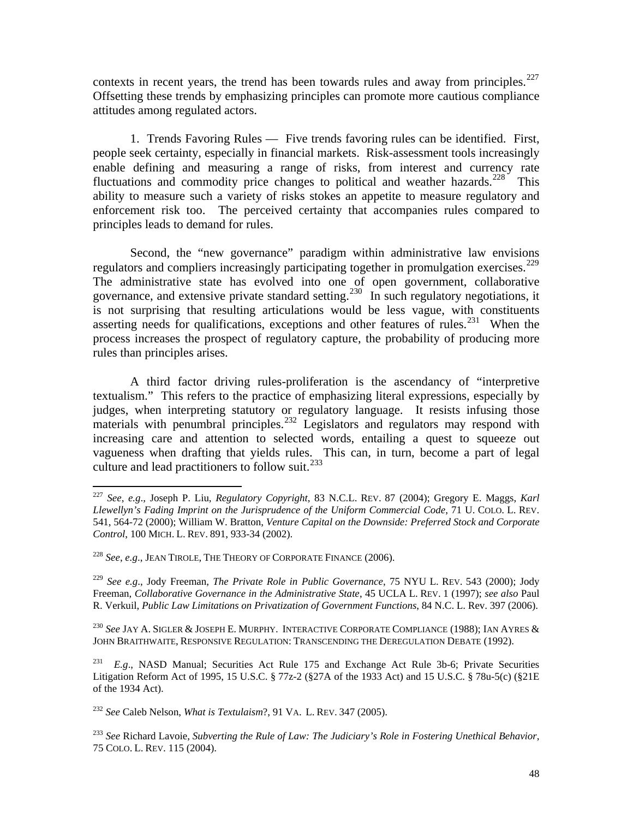contexts in recent years, the trend has been towards rules and away from principles. $227$ Offsetting these trends by emphasizing principles can promote more cautious compliance attitudes among regulated actors.

 1. Trends Favoring Rules — Five trends favoring rules can be identified. First, people seek certainty, especially in financial markets. Risk-assessment tools increasingly enable defining and measuring a range of risks, from interest and currency rate fluctuations and commodity price changes to political and weather hazards.<sup>[228](#page-48-1)</sup> This ability to measure such a variety of risks stokes an appetite to measure regulatory and enforcement risk too. The perceived certainty that accompanies rules compared to principles leads to demand for rules.

 Second, the "new governance" paradigm within administrative law envisions regulators and compliers increasingly participating together in promulgation exercises.<sup>[229](#page-48-2)</sup> The administrative state has evolved into one of open government, collaborative governance, and extensive private standard setting.<sup>[230](#page-48-3)</sup> In such regulatory negotiations, it is not surprising that resulting articulations would be less vague, with constituents asserting needs for qualifications, exceptions and other features of rules.<sup>[231](#page-48-4)</sup> When the process increases the prospect of regulatory capture, the probability of producing more rules than principles arises.

 A third factor driving rules-proliferation is the ascendancy of "interpretive textualism." This refers to the practice of emphasizing literal expressions, especially by judges, when interpreting statutory or regulatory language. It resists infusing those materials with penumbral principles.<sup>[232](#page-48-5)</sup> Legislators and regulators may respond with increasing care and attention to selected words, entailing a quest to squeeze out vagueness when drafting that yields rules. This can, in turn, become a part of legal culture and lead practitioners to follow suit.<sup>[233](#page-48-6)</sup>

 $\overline{a}$ 

<span id="page-48-5"></span><sup>232</sup> *See* Caleb Nelson, *What is Textulaism*?, 91 VA. L. REV. 347 (2005).

<span id="page-48-6"></span><sup>233</sup> *See* Richard Lavoie, *Subverting the Rule of Law: The Judiciary's Role in Fostering Unethical Behavior*, 75 COLO. L. REV. 115 (2004).

<span id="page-48-0"></span><sup>227</sup> *See*, *e.g*., Joseph P. Liu, *Regulatory Copyright*, 83 N.C.L. REV. 87 (2004); Gregory E. Maggs, *Karl Llewellyn's Fading Imprint on the Jurisprudence of the Uniform Commercial Code*, 71 U. COLO. L. REV. 541, 564-72 (2000); William W. Bratton, *Venture Capital on the Downside: Preferred Stock and Corporate Control*, 100 MICH. L. REV. 891, 933-34 (2002).

<span id="page-48-1"></span><sup>228</sup> *See*, *e.g*., JEAN TIROLE, THE THEORY OF CORPORATE FINANCE (2006).

<span id="page-48-2"></span><sup>229</sup> *See e.g*., Jody Freeman, *The Private Role in Public Governance*, 75 NYU L. REV. 543 (2000); Jody Freeman, *Collaborative Governance in the Administrative State*, 45 UCLA L. REV. 1 (1997); *see also* Paul R. Verkuil, *Public Law Limitations on Privatization of Government Functions*, 84 N.C. L. Rev. 397 (2006).

<span id="page-48-3"></span><sup>230</sup> *See* JAY A. SIGLER & JOSEPH E. MURPHY. INTERACTIVE CORPORATE COMPLIANCE (1988); IAN AYRES & JOHN BRAITHWAITE, RESPONSIVE REGULATION: TRANSCENDING THE DEREGULATION DEBATE (1992).

<span id="page-48-4"></span><sup>231</sup> *E.g*., NASD Manual; Securities Act Rule 175 and Exchange Act Rule 3b-6; Private Securities Litigation Reform Act of 1995, 15 U.S.C. § 77z-2 (§27A of the 1933 Act) and 15 U.S.C. § 78u-5(c) (§21E of the 1934 Act).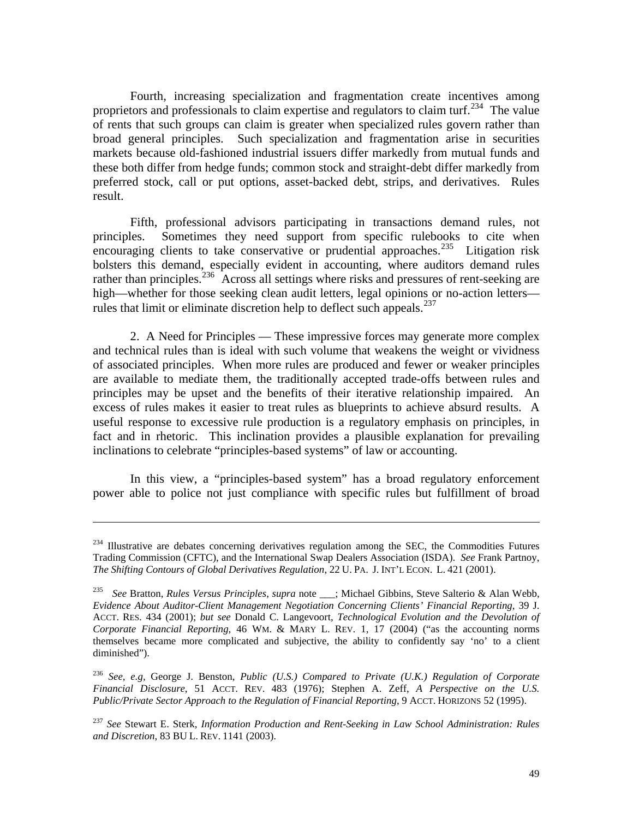Fourth, increasing specialization and fragmentation create incentives among proprietors and professionals to claim expertise and regulators to claim turf.<sup>[234](#page-49-0)</sup> The value of rents that such groups can claim is greater when specialized rules govern rather than broad general principles. Such specialization and fragmentation arise in securities markets because old-fashioned industrial issuers differ markedly from mutual funds and these both differ from hedge funds; common stock and straight-debt differ markedly from preferred stock, call or put options, asset-backed debt, strips, and derivatives. Rules result.

 Fifth, professional advisors participating in transactions demand rules, not principles. Sometimes they need support from specific rulebooks to cite when encouraging clients to take conservative or prudential approaches.<sup>[235](#page-49-1)</sup> Litigation risk bolsters this demand, especially evident in accounting, where auditors demand rules rather than principles.<sup>[236](#page-49-2)</sup> Across all settings where risks and pressures of rent-seeking are high—whether for those seeking clean audit letters, legal opinions or no-action letters— rules that limit or eliminate discretion help to deflect such appeals.<sup>[237](#page-49-3)</sup>

 2. A Need for Principles — These impressive forces may generate more complex and technical rules than is ideal with such volume that weakens the weight or vividness of associated principles. When more rules are produced and fewer or weaker principles are available to mediate them, the traditionally accepted trade-offs between rules and principles may be upset and the benefits of their iterative relationship impaired. An excess of rules makes it easier to treat rules as blueprints to achieve absurd results. A useful response to excessive rule production is a regulatory emphasis on principles, in fact and in rhetoric. This inclination provides a plausible explanation for prevailing inclinations to celebrate "principles-based systems" of law or accounting.

 In this view, a "principles-based system" has a broad regulatory enforcement power able to police not just compliance with specific rules but fulfillment of broad

<span id="page-49-0"></span> $234$  Illustrative are debates concerning derivatives regulation among the SEC, the Commodities Futures Trading Commission (CFTC), and the International Swap Dealers Association (ISDA). *See* Frank Partnoy, *The Shifting Contours of Global Derivatives Regulation*, 22 U. PA. J. INT'L ECON. L. 421 (2001).

<span id="page-49-1"></span><sup>235</sup> *See* Bratton, *Rules Versus Principles*, *supra* note \_\_\_; Michael Gibbins, Steve Salterio & Alan Webb, *Evidence About Auditor-Client Management Negotiation Concerning Clients' Financial Reporting*, 39 J. ACCT. RES. 434 (2001); *but see* Donald C. Langevoort, *Technological Evolution and the Devolution of Corporate Financial Reporting*, 46 WM. & MARY L. REV. 1, 17 (2004) ("as the accounting norms themselves became more complicated and subjective, the ability to confidently say 'no' to a client diminished").

<span id="page-49-2"></span><sup>236</sup> *See, e.g,* George J. Benston, *Public (U.S.) Compared to Private (U.K.) Regulation of Corporate Financial Disclosure*, 51 ACCT. REV. 483 (1976); Stephen A. Zeff, *A Perspective on the U.S. Public/Private Sector Approach to the Regulation of Financial Reporting*, 9 ACCT. HORIZONS 52 (1995).

<span id="page-49-3"></span><sup>237</sup> *See* Stewart E. Sterk, *Information Production and Rent-Seeking in Law School Administration: Rules and Discretion*, 83 BU L. REV. 1141 (2003).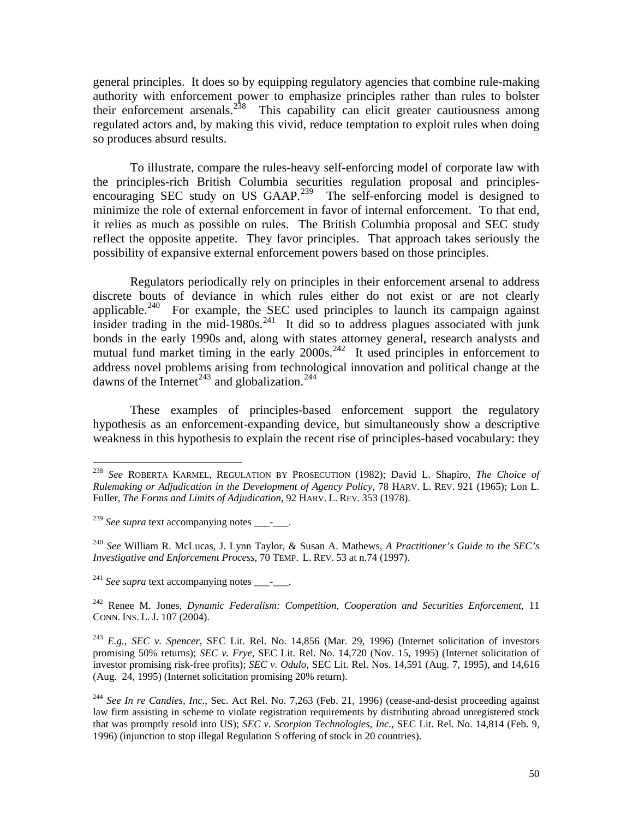general principles. It does so by equipping regulatory agencies that combine rule-making authority with enforcement power to emphasize principles rather than rules to bolster their enforcement arsenals.<sup>[238](#page-50-0)</sup> This capability can elicit greater cautiousness among regulated actors and, by making this vivid, reduce temptation to exploit rules when doing so produces absurd results.

 To illustrate, compare the rules-heavy self-enforcing model of corporate law with the principles-rich British Columbia securities regulation proposal and principles-encouraging SEC study on US GAAP.<sup>[239](#page-50-1)</sup> The self-enforcing model is designed to minimize the role of external enforcement in favor of internal enforcement. To that end, it relies as much as possible on rules. The British Columbia proposal and SEC study reflect the opposite appetite. They favor principles. That approach takes seriously the possibility of expansive external enforcement powers based on those principles.

 Regulators periodically rely on principles in their enforcement arsenal to address discrete bouts of deviance in which rules either do not exist or are not clearly applicable.<sup>[240](#page-50-2)</sup> For example, the SEC used principles to launch its campaign against insider trading in the mid-1980s.<sup>[241](#page-50-3)</sup> It did so to address plagues associated with junk bonds in the early 1990s and, along with states attorney general, research analysts and mutual fund market timing in the early  $2000s<sup>242</sup>$  $2000s<sup>242</sup>$  $2000s<sup>242</sup>$  It used principles in enforcement to address novel problems arising from technological innovation and political change at the dawns of the Internet<sup>[243](#page-50-5)</sup> and globalization.<sup>[244](#page-50-6)</sup>

 These examples of principles-based enforcement support the regulatory hypothesis as an enforcement-expanding device, but simultaneously show a descriptive weakness in this hypothesis to explain the recent rise of principles-based vocabulary: they

 $\overline{a}$ 

<span id="page-50-2"></span><sup>240</sup> *See* William R. McLucas, J. Lynn Taylor, & Susan A. Mathews, *A Practitioner's Guide to the SEC's Investigative and Enforcement Process*, 70 TEMP. L. REV. 53 at n.74 (1997).

<span id="page-50-3"></span> $241$  *See supra* text accompanying notes  $\qquad$ .

<span id="page-50-4"></span>242 Renee M. Jones, *Dynamic Federalism: Competition, Cooperation and Securities Enforcement*, 11 CONN. INS. L. J. 107 (2004).

<span id="page-50-5"></span><sup>243</sup> *E.g.*, *SEC v. Spencer*, SEC Lit. Rel. No. 14,856 (Mar. 29, 1996) (Internet solicitation of investors promising 50% returns); *SEC v. Frye*, SEC Lit. Rel. No. 14,720 (Nov. 15, 1995) (Internet solicitation of investor promising risk-free profits); *SEC v. Odulo*, SEC Lit. Rel. Nos. 14,591 (Aug. 7, 1995), and 14,616 (Aug. 24, 1995) (Internet solicitation promising 20% return).

<span id="page-50-6"></span><sup>244</sup> *See In re Candies, Inc*., Sec. Act Rel. No. 7,263 (Feb. 21, 1996) (cease-and-desist proceeding against law firm assisting in scheme to violate registration requirements by distributing abroad unregistered stock that was promptly resold into US); *SEC v. Scorpion Technologies, Inc*., SEC Lit. Rel. No. 14,814 (Feb. 9, 1996) (injunction to stop illegal Regulation S offering of stock in 20 countries).

<span id="page-50-0"></span><sup>238</sup> *See* ROBERTA KARMEL, REGULATION BY PROSECUTION (1982); David L. Shapiro, *The Choice of Rulemaking or Adjudication in the Development of Agency Policy*, 78 HARV. L. REV. 921 (1965); Lon L. Fuller, *The Forms and Limits of Adjudication*, 92 HARV. L. REV. 353 (1978).

<span id="page-50-1"></span><sup>&</sup>lt;sup>239</sup> *See supra* text accompanying notes \_\_\_\_\_\_.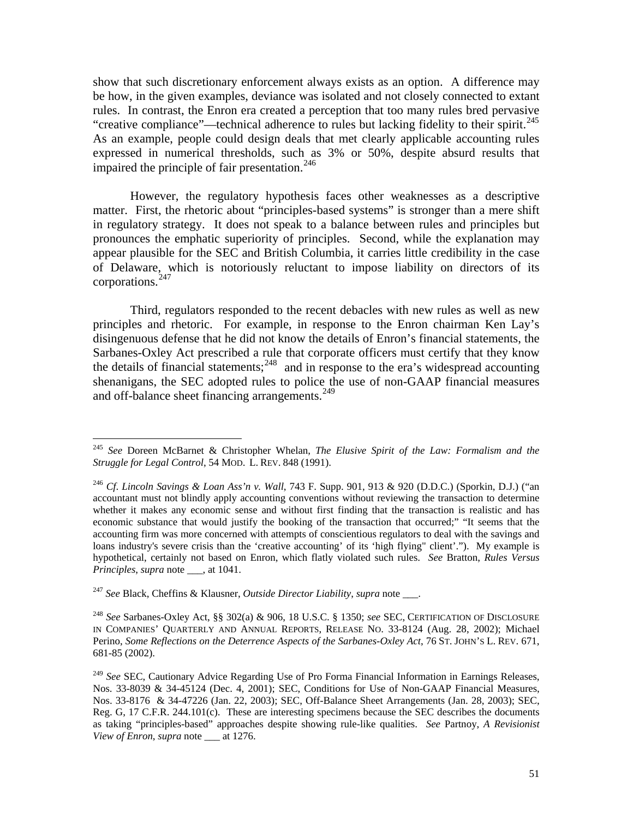show that such discretionary enforcement always exists as an option. A difference may be how, in the given examples, deviance was isolated and not closely connected to extant rules. In contrast, the Enron era created a perception that too many rules bred pervasive "creative compliance"—technical adherence to rules but lacking fidelity to their spirit.<sup>245</sup> As an example, people could design deals that met clearly applicable accounting rules expressed in numerical thresholds, such as 3% or 50%, despite absurd results that impaired the principle of fair presentation.<sup>[246](#page-51-1)</sup>

 However, the regulatory hypothesis faces other weaknesses as a descriptive matter. First, the rhetoric about "principles-based systems" is stronger than a mere shift in regulatory strategy. It does not speak to a balance between rules and principles but pronounces the emphatic superiority of principles. Second, while the explanation may appear plausible for the SEC and British Columbia, it carries little credibility in the case of Delaware, which is notoriously reluctant to impose liability on directors of its corporations.[247](#page-51-2)

 Third, regulators responded to the recent debacles with new rules as well as new principles and rhetoric. For example, in response to the Enron chairman Ken Lay's disingenuous defense that he did not know the details of Enron's financial statements, the Sarbanes-Oxley Act prescribed a rule that corporate officers must certify that they know the details of financial statements;<sup>[248](#page-51-3)</sup> and in response to the era's widespread accounting shenanigans, the SEC adopted rules to police the use of non-GAAP financial measures and off-balance sheet financing arrangements.<sup>[249](#page-51-4)</sup>

<span id="page-51-0"></span><sup>245</sup> *See* Doreen McBarnet & Christopher Whelan, *The Elusive Spirit of the Law: Formalism and the Struggle for Legal Control*, 54 MOD. L. REV. 848 (1991).

<span id="page-51-1"></span><sup>246</sup> *Cf*. *Lincoln Savings & Loan Ass'n v. Wall*, 743 F. Supp. 901, 913 & 920 (D.D.C.) (Sporkin, D.J.) ("an accountant must not blindly apply accounting conventions without reviewing the transaction to determine whether it makes any economic sense and without first finding that the transaction is realistic and has economic substance that would justify the booking of the transaction that occurred;" "It seems that the accounting firm was more concerned with attempts of conscientious regulators to deal with the savings and loans industry's severe crisis than the 'creative accounting' of its 'high flying" client'."). My example is hypothetical, certainly not based on Enron, which flatly violated such rules. *See* Bratton, *Rules Versus Principles*, *supra* note \_\_\_, at 1041.

<span id="page-51-2"></span><sup>247</sup> *See* Black, Cheffins & Klausner, *Outside Director Liability*, *supra* note \_\_\_.

<span id="page-51-3"></span><sup>248</sup> *See* Sarbanes-Oxley Act, §§ 302(a) & 906, 18 U.S.C. § 1350; *see* SEC, CERTIFICATION OF DISCLOSURE IN COMPANIES' QUARTERLY AND ANNUAL REPORTS, RELEASE NO. 33-8124 (Aug. 28, 2002); Michael Perino, *Some Reflections on the Deterrence Aspects of the Sarbanes-Oxley Act*, 76 ST. JOHN'S L. REV. 671, 681-85 (2002).

<span id="page-51-4"></span><sup>249</sup> *See* SEC, Cautionary Advice Regarding Use of Pro Forma Financial Information in Earnings Releases, Nos. 33-8039 & 34-45124 (Dec. 4, 2001); SEC, Conditions for Use of Non-GAAP Financial Measures, Nos. 33-8176 & 34-47226 (Jan. 22, 2003); SEC, Off-Balance Sheet Arrangements (Jan. 28, 2003); SEC, Reg. G, 17 C.F.R. 244.101(c). These are interesting specimens because the SEC describes the documents as taking "principles-based" approaches despite showing rule-like qualities. *See* Partnoy, *A Revisionist View of Enron*, *supra* note \_\_\_ at 1276.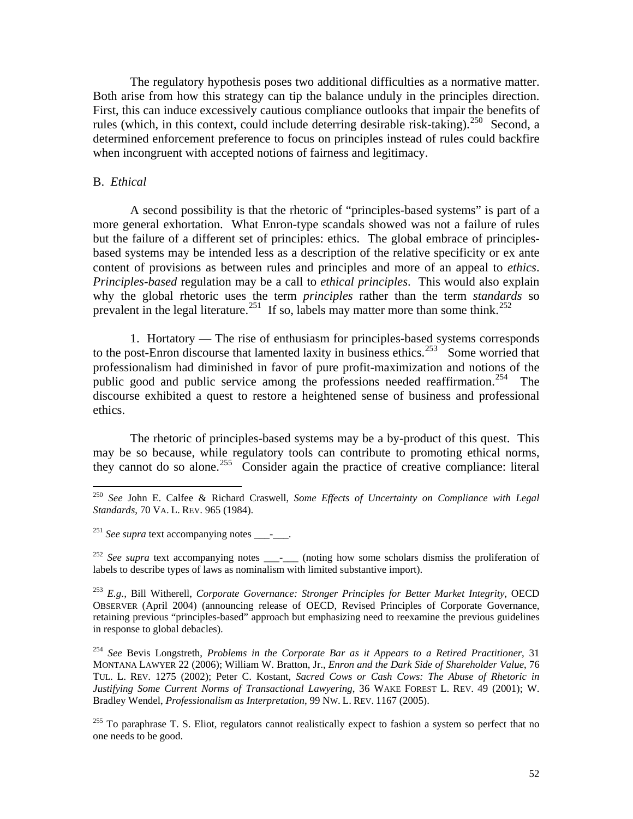The regulatory hypothesis poses two additional difficulties as a normative matter. Both arise from how this strategy can tip the balance unduly in the principles direction. First, this can induce excessively cautious compliance outlooks that impair the benefits of rules (which, in this context, could include deterring desirable risk-taking).<sup>[250](#page-52-0)</sup> Second, a determined enforcement preference to focus on principles instead of rules could backfire when incongruent with accepted notions of fairness and legitimacy.

## B. *Ethical*

 $\overline{a}$ 

 A second possibility is that the rhetoric of "principles-based systems" is part of a more general exhortation. What Enron-type scandals showed was not a failure of rules but the failure of a different set of principles: ethics. The global embrace of principlesbased systems may be intended less as a description of the relative specificity or ex ante content of provisions as between rules and principles and more of an appeal to *ethics*. *Principles-based* regulation may be a call to *ethical principles*. This would also explain why the global rhetoric uses the term *principles* rather than the term *standards* so prevalent in the legal literature.<sup>[251](#page-52-1)</sup> If so, labels may matter more than some think.<sup>[252](#page-52-2)</sup>

 1. Hortatory — The rise of enthusiasm for principles-based systems corresponds to the post-Enron discourse that lamented laxity in business ethics.<sup>[253](#page-52-3)</sup> Some worried that professionalism had diminished in favor of pure profit-maximization and notions of the public good and public service among the professions needed reaffirmation.<sup>[254](#page-52-4)</sup> The discourse exhibited a quest to restore a heightened sense of business and professional ethics.

 The rhetoric of principles-based systems may be a by-product of this quest. This may be so because, while regulatory tools can contribute to promoting ethical norms, they cannot do so alone.<sup>[255](#page-52-5)</sup> Consider again the practice of creative compliance: literal

<span id="page-52-2"></span><sup>252</sup> See supra text accompanying notes \_\_\_\_\_\_\_ (noting how some scholars dismiss the proliferation of labels to describe types of laws as nominalism with limited substantive import).

<span id="page-52-0"></span><sup>250</sup> *See* John E. Calfee & Richard Craswell, *Some Effects of Uncertainty on Compliance with Legal Standards*, 70 VA. L. REV. 965 (1984).

<span id="page-52-1"></span><sup>&</sup>lt;sup>251</sup> See supra text accompanying notes - .

<span id="page-52-3"></span><sup>253</sup> *E.g.,* Bill Witherell, *Corporate Governance: Stronger Principles for Better Market Integrity*, OECD OBSERVER (April 2004) (announcing release of OECD, Revised Principles of Corporate Governance, retaining previous "principles-based" approach but emphasizing need to reexamine the previous guidelines in response to global debacles).

<span id="page-52-4"></span><sup>254</sup> *See* Bevis Longstreth, *Problems in the Corporate Bar as it Appears to a Retired Practitioner*, 31 MONTANA LAWYER 22 (2006); William W. Bratton, Jr., *Enron and the Dark Side of Shareholder Value*, 76 TUL. L. REV. 1275 (2002); Peter C. Kostant, *Sacred Cows or Cash Cows: The Abuse of Rhetoric in Justifying Some Current Norms of Transactional Lawyering*, 36 WAKE FOREST L. REV. 49 (2001); W. Bradley Wendel, *Professionalism as Interpretation*, 99 NW. L. REV. 1167 (2005).

<span id="page-52-5"></span> $^{255}$  To paraphrase T. S. Eliot, regulators cannot realistically expect to fashion a system so perfect that no one needs to be good.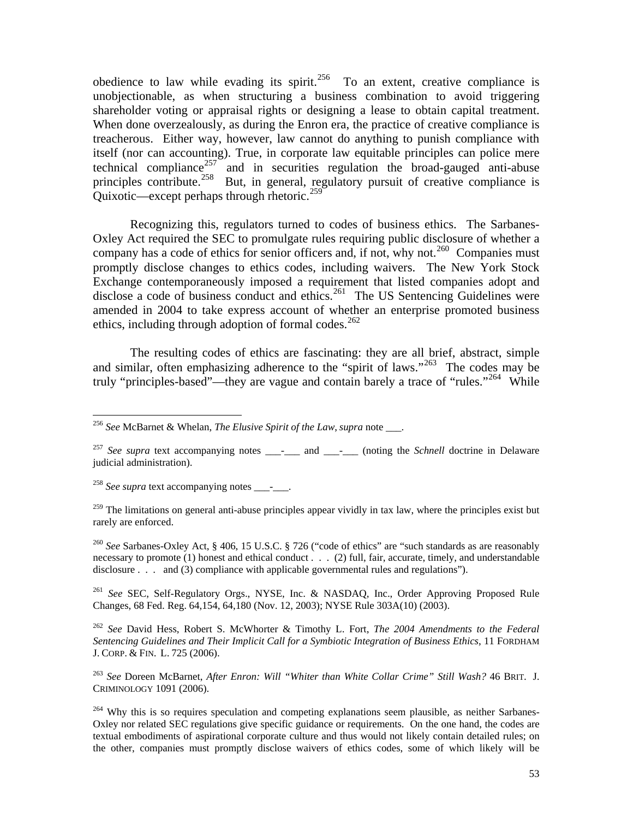obedience to law while evading its spirit.<sup>[256](#page-53-0)</sup> To an extent, creative compliance is unobjectionable, as when structuring a business combination to avoid triggering shareholder voting or appraisal rights or designing a lease to obtain capital treatment. When done overzealously, as during the Enron era, the practice of creative compliance is treacherous. Either way, however, law cannot do anything to punish compliance with itself (nor can accounting). True, in corporate law equitable principles can police mere technical compliance<sup>[257](#page-53-1)</sup> and in securities regulation the broad-gauged anti-abuse principles contribute.<sup>[258](#page-53-2)</sup> But, in general, regulatory pursuit of creative compliance is Quixotic—except perhaps through rhetoric.<sup>[259](#page-53-3)</sup>

 Recognizing this, regulators turned to codes of business ethics. The Sarbanes-Oxley Act required the SEC to promulgate rules requiring public disclosure of whether a company has a code of ethics for senior officers and, if not, why not.<sup>[260](#page-53-4)</sup> Companies must promptly disclose changes to ethics codes, including waivers. The New York Stock Exchange contemporaneously imposed a requirement that listed companies adopt and disclose a code of business conduct and ethics.<sup>[261](#page-53-5)</sup> The US Sentencing Guidelines were amended in 2004 to take express account of whether an enterprise promoted business ethics, including through adoption of formal codes. $262$ 

 The resulting codes of ethics are fascinating: they are all brief, abstract, simple and similar, often emphasizing adherence to the "spirit of laws."<sup>[263](#page-53-7)</sup> The codes may be truly "principles-based"—they are vague and contain barely a trace of "rules."<sup>[264](#page-53-8)</sup> While

<span id="page-53-2"></span><sup>258</sup> *See supra* text accompanying notes \_\_\_\_\_\_.

 $\overline{a}$ 

<span id="page-53-3"></span> $^{259}$  The limitations on general anti-abuse principles appear vividly in tax law, where the principles exist but rarely are enforced.

<span id="page-53-4"></span><sup>260</sup> *See* Sarbanes-Oxley Act, § 406, 15 U.S.C. § 726 ("code of ethics" are "such standards as are reasonably necessary to promote (1) honest and ethical conduct . . . (2) full, fair, accurate, timely, and understandable disclosure . . . and (3) compliance with applicable governmental rules and regulations").

<span id="page-53-5"></span><sup>261</sup> *See* SEC, Self-Regulatory Orgs., NYSE, Inc. & NASDAQ, Inc., Order Approving Proposed Rule Changes, 68 Fed. Reg. 64,154, 64,180 (Nov. 12, 2003); NYSE Rule 303A(10) (2003).

<span id="page-53-6"></span><sup>262</sup> *See* David Hess, Robert S. McWhorter & Timothy L. Fort, *The 2004 Amendments to the Federal Sentencing Guidelines and Their Implicit Call for a Symbiotic Integration of Business Ethics*, 11 FORDHAM J. CORP. & FIN. L. 725 (2006).

<span id="page-53-7"></span><sup>263</sup> *See* Doreen McBarnet, *After Enron: Will "Whiter than White Collar Crime" Still Wash?* 46 BRIT. J. CRIMINOLOGY 1091 (2006).

<span id="page-53-8"></span><sup>264</sup> Why this is so requires speculation and competing explanations seem plausible, as neither Sarbanes-Oxley nor related SEC regulations give specific guidance or requirements. On the one hand, the codes are textual embodiments of aspirational corporate culture and thus would not likely contain detailed rules; on the other, companies must promptly disclose waivers of ethics codes, some of which likely will be

<span id="page-53-0"></span><sup>256</sup> *See* McBarnet & Whelan, *The Elusive Spirit of the Law*, *supra* note \_\_\_.

<span id="page-53-1"></span><sup>&</sup>lt;sup>257</sup> *See supra* text accompanying notes \_\_\_\_\_\_ and \_\_\_\_\_\_ (noting the *Schnell* doctrine in Delaware judicial administration).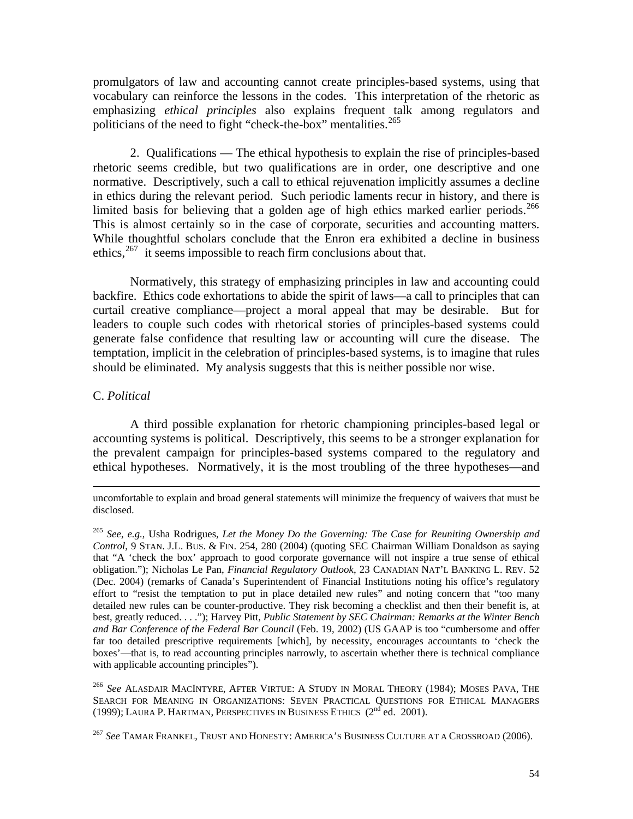promulgators of law and accounting cannot create principles-based systems, using that vocabulary can reinforce the lessons in the codes. This interpretation of the rhetoric as emphasizing *ethical principles* also explains frequent talk among regulators and politicians of the need to fight "check-the-box" mentalities.<sup>[265](#page-54-0)</sup>

 2. Qualifications — The ethical hypothesis to explain the rise of principles-based rhetoric seems credible, but two qualifications are in order, one descriptive and one normative. Descriptively, such a call to ethical rejuvenation implicitly assumes a decline in ethics during the relevant period. Such periodic laments recur in history, and there is limited basis for believing that a golden age of high ethics marked earlier periods.<sup>266</sup> This is almost certainly so in the case of corporate, securities and accounting matters. While thoughtful scholars conclude that the Enron era exhibited a decline in business ethics,  $267$  it seems impossible to reach firm conclusions about that.

 Normatively, this strategy of emphasizing principles in law and accounting could backfire. Ethics code exhortations to abide the spirit of laws—a call to principles that can curtail creative compliance—project a moral appeal that may be desirable. But for leaders to couple such codes with rhetorical stories of principles-based systems could generate false confidence that resulting law or accounting will cure the disease. The temptation, implicit in the celebration of principles-based systems, is to imagine that rules should be eliminated. My analysis suggests that this is neither possible nor wise.

# C. *Political*

 A third possible explanation for rhetoric championing principles-based legal or accounting systems is political. Descriptively, this seems to be a stronger explanation for the prevalent campaign for principles-based systems compared to the regulatory and ethical hypotheses. Normatively, it is the most troubling of the three hypotheses—and

<span id="page-54-1"></span><sup>266</sup> *See* ALASDAIR MACINTYRE, AFTER VIRTUE: A STUDY IN MORAL THEORY (1984); MOSES PAVA, THE SEARCH FOR MEANING IN ORGANIZATIONS: SEVEN PRACTICAL QUESTIONS FOR ETHICAL MANAGERS (1999); LAURA P. HARTMAN, [PERSPECTIVES IN BUSINESS ETHICS](http://www.amazon.com/exec/obidos/tg/detail/-/0072314052/ref=sid_av_dp/104-5802646-7963131?%5Fencoding=UTF8&v=glance)  $(2^{nd}$  ed. 2001).

<span id="page-54-2"></span><sup>267</sup> *See* TAMAR FRANKEL, TRUST AND HONESTY: AMERICA'S BUSINESS CULTURE AT A CROSSROAD (2006).

uncomfortable to explain and broad general statements will minimize the frequency of waivers that must be disclosed.

<span id="page-54-0"></span><sup>265</sup> *See*, *e.g.*, Usha Rodrigues, *Let the Money Do the Governing: The Case for Reuniting Ownership and Control*, 9 STAN. J.L. BUS. & FIN. 254, 280 (2004) (quoting SEC Chairman William Donaldson as saying that "A 'check the box' approach to good corporate governance will not inspire a true sense of ethical obligation."); Nicholas Le Pan, *Financial Regulatory Outlook*, 23 CANADIAN NAT'L BANKING L. REV. 52 (Dec. 2004) (remarks of Canada's Superintendent of Financial Institutions noting his office's regulatory effort to "resist the temptation to put in place detailed new rules" and noting concern that "too many detailed new rules can be counter-productive. They risk becoming a checklist and then their benefit is, at best, greatly reduced. . . ."); Harvey Pitt, *Public Statement by SEC Chairman: Remarks at the Winter Bench and Bar Conference of the Federal Bar Council* (Feb. 19, 2002) (US GAAP is too "cumbersome and offer far too detailed prescriptive requirements [which], by necessity, encourages accountants to 'check the boxes'—that is, to read accounting principles narrowly, to ascertain whether there is technical compliance with applicable accounting principles").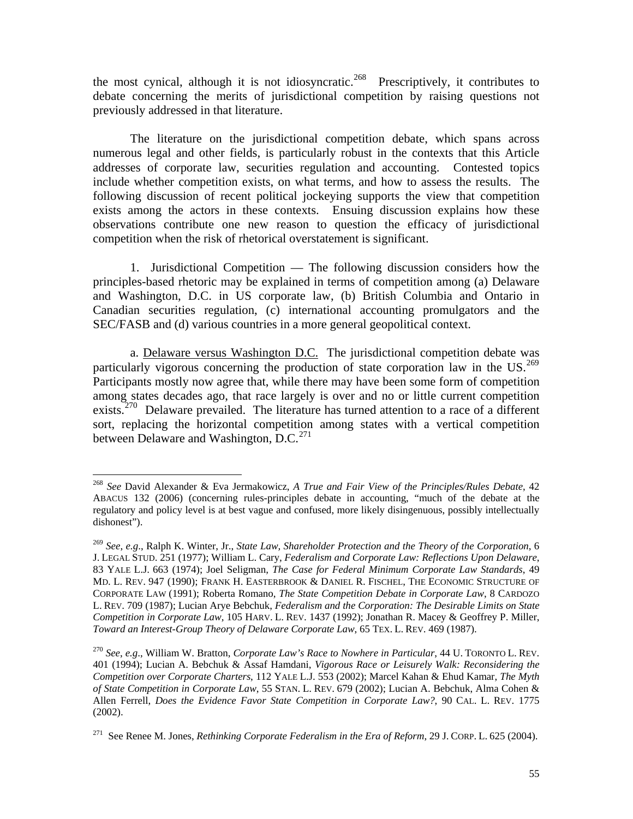the most cynical, although it is not idiosyncratic.<sup>[268](#page-55-0)</sup> Prescriptively, it contributes to debate concerning the merits of jurisdictional competition by raising questions not previously addressed in that literature.

 The literature on the jurisdictional competition debate, which spans across numerous legal and other fields, is particularly robust in the contexts that this Article addresses of corporate law, securities regulation and accounting. Contested topics include whether competition exists, on what terms, and how to assess the results. The following discussion of recent political jockeying supports the view that competition exists among the actors in these contexts. Ensuing discussion explains how these observations contribute one new reason to question the efficacy of jurisdictional competition when the risk of rhetorical overstatement is significant.

 1. Jurisdictional Competition — The following discussion considers how the principles-based rhetoric may be explained in terms of competition among (a) Delaware and Washington, D.C. in US corporate law, (b) British Columbia and Ontario in Canadian securities regulation, (c) international accounting promulgators and the SEC/FASB and (d) various countries in a more general geopolitical context.

 a. Delaware versus Washington D.C. The jurisdictional competition debate was particularly vigorous concerning the production of state corporation law in the US.<sup>269</sup> Participants mostly now agree that, while there may have been some form of competition among states decades ago, that race largely is over and no or little current competition exists.<sup>[270](#page-55-2)</sup> Delaware prevailed. The literature has turned attention to a race of a different sort, replacing the horizontal competition among states with a vertical competition between Delaware and Washington, D.C.<sup>[271](#page-55-3)</sup>

<span id="page-55-0"></span><sup>268</sup> *See* David Alexander & Eva Jermakowicz, *A True and Fair View of the Principles/Rules Debate*, 42 ABACUS 132 (2006) (concerning rules-principles debate in accounting, "much of the debate at the regulatory and policy level is at best vague and confused, more likely disingenuous, possibly intellectually dishonest").

<span id="page-55-1"></span><sup>269</sup> *See*, *e.g*., Ralph K. Winter, Jr., *State Law, Shareholder Protection and the Theory of the Corporation*, 6 J. LEGAL STUD. 251 (1977); William L. Cary, *Federalism and Corporate Law: Reflections Upon Delaware*, 83 YALE L.J. 663 (1974); Joel Seligman, *The Case for Federal Minimum Corporate Law Standards*, 49 MD. L. REV. 947 (1990); FRANK H. EASTERBROOK & DANIEL R. FISCHEL, THE ECONOMIC STRUCTURE OF CORPORATE LAW (1991); Roberta Romano, *The State Competition Debate in Corporate Law*, 8 CARDOZO L. REV. 709 (1987); Lucian Arye Bebchuk, *Federalism and the Corporation: The Desirable Limits on State Competition in Corporate Law*, 105 HARV. L. REV. 1437 (1992); Jonathan R. Macey & Geoffrey P. Miller, *Toward an Interest-Group Theory of Delaware Corporate Law*, 65 TEX. L. REV. 469 (1987).

<span id="page-55-2"></span><sup>270</sup> *See*, *e.g*., William W. Bratton, *Corporate Law's Race to Nowhere in Particular*, 44 U. TORONTO L. REV. 401 (1994); Lucian A. Bebchuk & Assaf Hamdani, *Vigorous Race or Leisurely Walk: Reconsidering the Competition over Corporate Charters*, 112 YALE L.J. 553 (2002); Marcel Kahan & Ehud Kamar, *The Myth of State Competition in Corporate Law*, 55 STAN. L. REV. 679 (2002); Lucian A. Bebchuk, Alma Cohen & Allen Ferrell, *Does the Evidence Favor State Competition in Corporate Law?*, 90 CAL. L. REV. 1775 (2002).

<span id="page-55-3"></span><sup>271</sup> See Renee M. Jones, *Rethinking Corporate Federalism in the Era of Reform*, 29 J. CORP. L. 625 (2004).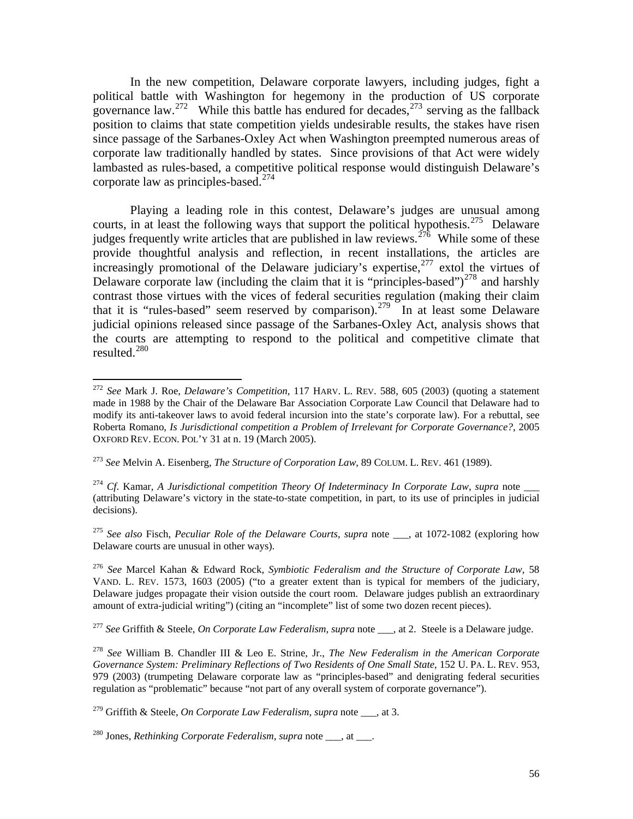In the new competition, Delaware corporate lawyers, including judges, fight a political battle with Washington for hegemony in the production of US corporate governance law.<sup>[272](#page-56-0)</sup> While this battle has endured for decades,<sup>[273](#page-56-1)</sup> serving as the fallback position to claims that state competition yields undesirable results, the stakes have risen since passage of the Sarbanes-Oxley Act when Washington preempted numerous areas of corporate law traditionally handled by states. Since provisions of that Act were widely lambasted as rules-based, a competitive political response would distinguish Delaware's corporate law as principles-based.<sup>[274](#page-56-2)</sup>

 Playing a leading role in this contest, Delaware's judges are unusual among courts, in at least the following ways that support the political hypothesis.<sup>[275](#page-56-3)</sup> Delaware judges frequently write articles that are published in law reviews.<sup>[276](#page-56-4)</sup> While some of these provide thoughtful analysis and reflection, in recent installations, the articles are increasingly promotional of the Delaware judiciary's expertise, $277$  extol the virtues of Delaware corporate law (including the claim that it is "principles-based")<sup>[278](#page-56-6)</sup> and harshly contrast those virtues with the vices of federal securities regulation (making their claim that it is "rules-based" seem reserved by comparison).<sup>[279](#page-56-7)</sup> In at least some Delaware judicial opinions released since passage of the Sarbanes-Oxley Act, analysis shows that the courts are attempting to respond to the political and competitive climate that resulted. $^{280}$  $^{280}$  $^{280}$ 

<span id="page-56-1"></span><sup>273</sup> *See* Melvin A. Eisenberg, *The Structure of Corporation Law*, 89 COLUM. L. REV. 461 (1989).

<span id="page-56-2"></span><sup>274</sup> *Cf.* Kamar, *A Jurisdictional competition Theory Of Indeterminacy In Corporate Law, supra* note (attributing Delaware's victory in the state-to-state competition, in part, to its use of principles in judicial decisions).

<span id="page-56-3"></span><sup>275</sup> *See also* Fisch, *Peculiar Role of the Delaware Courts*, *supra* note \_\_\_, at 1072-1082 (exploring how Delaware courts are unusual in other ways).

<span id="page-56-4"></span><sup>276</sup> *See* Marcel Kahan & Edward Rock, *Symbiotic Federalism and the Structure of Corporate Law*, 58 VAND. L. REV. 1573, 1603 (2005) ("to a greater extent than is typical for members of the judiciary, Delaware judges propagate their vision outside the court room. Delaware judges publish an extraordinary amount of extra-judicial writing") (citing an "incomplete" list of some two dozen recent pieces).

<span id="page-56-5"></span><sup>277</sup> *See* Griffith & Steele, *On Corporate Law Federalism, supra* note \_\_\_, at 2. Steele is a Delaware judge.

<span id="page-56-6"></span><sup>278</sup> *See* William B. Chandler III & Leo E. Strine, Jr., *The New Federalism in the American Corporate Governance System: Preliminary Reflections of Two Residents of One Small State*, 152 U. PA. L. REV. 953, 979 (2003) (trumpeting Delaware corporate law as "principles-based" and denigrating federal securities regulation as "problematic" because "not part of any overall system of corporate governance").

<span id="page-56-7"></span><sup>279</sup> Griffith & Steele, *On Corporate Law Federalism*, *supra* note  $\alpha$ , at 3.

<span id="page-56-8"></span><sup>280</sup> Jones, *Rethinking Corporate Federalism*, *supra* note \_\_\_, at \_\_\_.

<span id="page-56-0"></span><sup>272</sup> *See* Mark J. Roe, *Delaware's Competition*, 117 HARV. L. REV. 588, 605 (2003) (quoting a statement made in 1988 by the Chair of the Delaware Bar Association Corporate Law Council that Delaware had to modify its anti-takeover laws to avoid federal incursion into the state's corporate law). For a rebuttal, see Roberta Romano, *Is Jurisdictional competition a Problem of Irrelevant for Corporate Governance?*, 2005 OXFORD REV. ECON. POL'Y 31 at n. 19 (March 2005).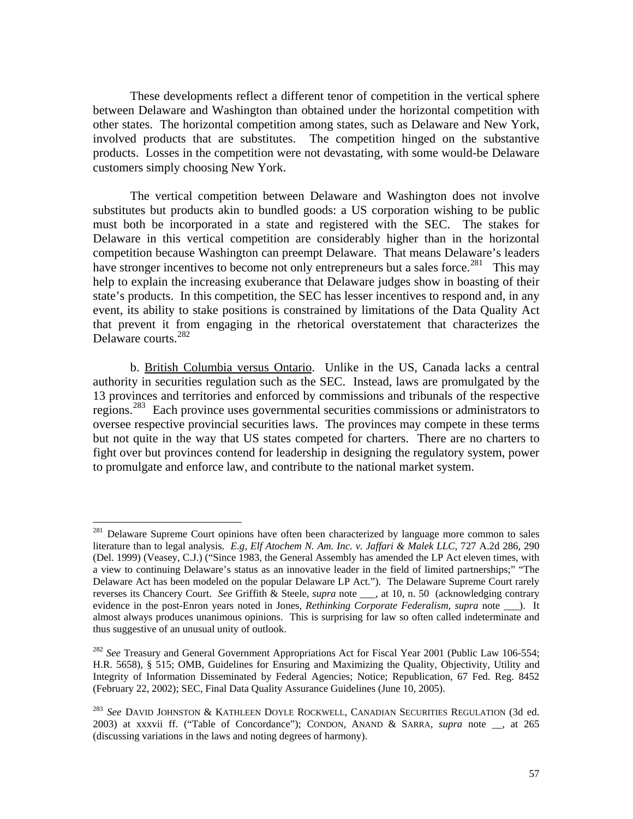These developments reflect a different tenor of competition in the vertical sphere between Delaware and Washington than obtained under the horizontal competition with other states. The horizontal competition among states, such as Delaware and New York, involved products that are substitutes. The competition hinged on the substantive products. Losses in the competition were not devastating, with some would-be Delaware customers simply choosing New York.

 The vertical competition between Delaware and Washington does not involve substitutes but products akin to bundled goods: a US corporation wishing to be public must both be incorporated in a state and registered with the SEC. The stakes for Delaware in this vertical competition are considerably higher than in the horizontal competition because Washington can preempt Delaware. That means Delaware's leaders have stronger incentives to become not only entrepreneurs but a sales force.<sup>[281](#page-57-0)</sup> This may help to explain the increasing exuberance that Delaware judges show in boasting of their state's products. In this competition, the SEC has lesser incentives to respond and, in any event, its ability to stake positions is constrained by limitations of the Data Quality Act that prevent it from engaging in the rhetorical overstatement that characterizes the Delaware courts.[282](#page-57-1)

 b. British Columbia versus Ontario. Unlike in the US, Canada lacks a central authority in securities regulation such as the SEC. Instead, laws are promulgated by the 13 provinces and territories and enforced by commissions and tribunals of the respective regions.[283](#page-57-2) Each province uses governmental securities commissions or administrators to oversee respective provincial securities laws. The provinces may compete in these terms but not quite in the way that US states competed for charters. There are no charters to fight over but provinces contend for leadership in designing the regulatory system, power to promulgate and enforce law, and contribute to the national market system.

<span id="page-57-0"></span><sup>&</sup>lt;sup>281</sup> Delaware Supreme Court opinions have often been characterized by language more common to sales literature than to legal analysis. *E.g*, *Elf Atochem N. Am. Inc. v. Jaffari & Malek LLC*, 727 A.2d 286, 290 (Del. 1999) (Veasey, C.J.) ("Since 1983, the General Assembly has amended the LP Act eleven times, with a view to continuing Delaware's status as an innovative leader in the field of limited partnerships;" "The Delaware Act has been modeled on the popular Delaware LP Act."). The Delaware Supreme Court rarely reverses its Chancery Court. *See* Griffith & Steele, *supra* note \_\_\_, at 10, n. 50 (acknowledging contrary evidence in the post-Enron years noted in Jones, *Rethinking Corporate Federalism*, *supra* note ). It almost always produces unanimous opinions. This is surprising for law so often called indeterminate and thus suggestive of an unusual unity of outlook.

<span id="page-57-1"></span><sup>&</sup>lt;sup>282</sup> See Treasury and General Government Appropriations Act for Fiscal Year 2001 (Public Law 106-554; H.R. 5658), § 515; OMB, Guidelines for Ensuring and Maximizing the Quality, Objectivity, Utility and Integrity of Information Disseminated by Federal Agencies; Notice; Republication, 67 Fed. Reg. 8452 (February 22, 2002); SEC, Final Data Quality Assurance Guidelines (June 10, 2005).

<span id="page-57-2"></span><sup>283</sup> *See* DAVID JOHNSTON & KATHLEEN DOYLE ROCKWELL, CANADIAN SECURITIES REGULATION (3d ed. 2003) at xxxvii ff. ("Table of Concordance"); CONDON, ANAND & SARRA, *supra* note \_\_, at 265 (discussing variations in the laws and noting degrees of harmony).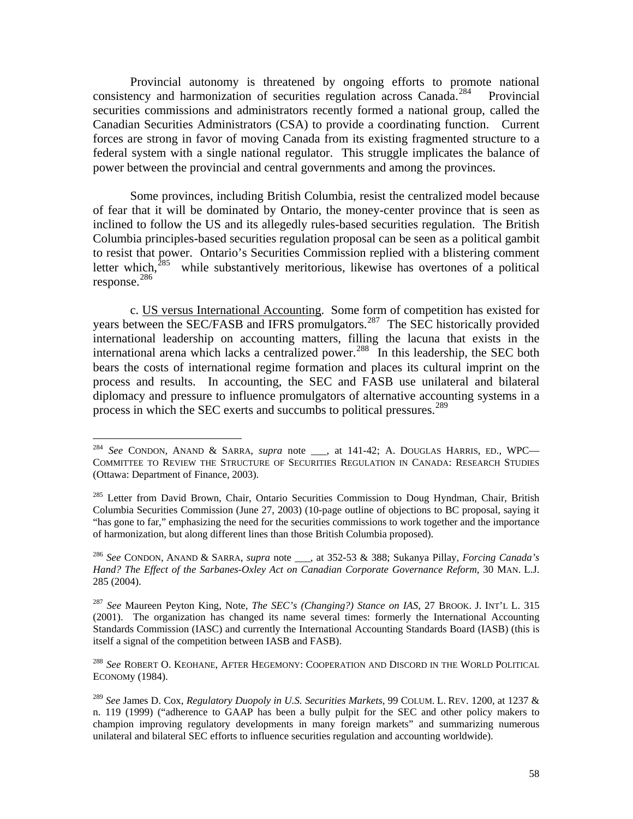Provincial autonomy is threatened by ongoing efforts to promote national consistency and harmonization of securities regulation across Canada.<sup>[284](#page-58-0)</sup> Provincial securities commissions and administrators recently formed a national group, called the Canadian Securities Administrators (CSA) to provide a coordinating function. Current forces are strong in favor of moving Canada from its existing fragmented structure to a federal system with a single national regulator. This struggle implicates the balance of power between the provincial and central governments and among the provinces.

 Some provinces, including British Columbia, resist the centralized model because of fear that it will be dominated by Ontario, the money-center province that is seen as inclined to follow the US and its allegedly rules-based securities regulation. The British Columbia principles-based securities regulation proposal can be seen as a political gambit to resist that power. Ontario's Securities Commission replied with a blistering comment letter which,<sup>[285](#page-58-1)</sup> while substantively meritorious, likewise has overtones of a political response.[286](#page-58-2)

 c. US versus International Accounting. Some form of competition has existed for years between the SEC/FASB and IFRS promulgators.<sup>[287](#page-58-3)</sup> The SEC historically provided international leadership on accounting matters, filling the lacuna that exists in the international arena which lacks a centralized power.<sup>[288](#page-58-4)</sup> In this leadership, the SEC both bears the costs of international regime formation and places its cultural imprint on the process and results. In accounting, the SEC and FASB use unilateral and bilateral diplomacy and pressure to influence promulgators of alternative accounting systems in a process in which the SEC exerts and succumbs to political pressures.<sup>[289](#page-58-5)</sup>

<span id="page-58-0"></span><sup>284</sup> *See* CONDON, ANAND & SARRA, *supra* note \_\_\_, at 141-42; A. DOUGLAS HARRIS, ED., WPC— COMMITTEE TO REVIEW THE STRUCTURE OF SECURITIES REGULATION IN CANADA: RESEARCH STUDIES (Ottawa: Department of Finance, 2003).

<span id="page-58-1"></span><sup>&</sup>lt;sup>285</sup> Letter from David Brown, Chair, Ontario Securities Commission to Doug Hyndman, Chair, British Columbia Securities Commission (June 27, 2003) (10-page outline of objections to BC proposal, saying it "has gone to far," emphasizing the need for the securities commissions to work together and the importance of harmonization, but along different lines than those British Columbia proposed).

<span id="page-58-2"></span><sup>286</sup> *See* CONDON, ANAND & SARRA, *supra* note \_\_\_, at 352-53 & 388; Sukanya Pillay, *Forcing Canada's Hand? The Effect of the Sarbanes-Oxley Act on Canadian Corporate Governance Reform*, 30 MAN. L.J. 285 (2004).

<span id="page-58-3"></span><sup>287</sup> *See* Maureen Peyton King, Note, *The SEC's (Changing?) Stance on IAS*, 27 BROOK. J. INT'L L. 315 (2001). The organization has changed its name several times: formerly the International Accounting Standards Commission (IASC) and currently the International Accounting Standards Board (IASB) (this is itself a signal of the competition between IASB and FASB).

<span id="page-58-4"></span><sup>288</sup> *See* ROBERT O. KEOHANE, AFTER HEGEMONY: COOPERATION AND DISCORD IN THE WORLD POLITICAL ECONOMy (1984).

<span id="page-58-5"></span><sup>289</sup> *See* James D. Cox, *Regulatory Duopoly in U.S. Securities Markets*, 99 COLUM. L. REV. 1200, at 1237 & n. 119 (1999) ("adherence to GAAP has been a bully pulpit for the SEC and other policy makers to champion improving regulatory developments in many foreign markets" and summarizing numerous unilateral and bilateral SEC efforts to influence securities regulation and accounting worldwide).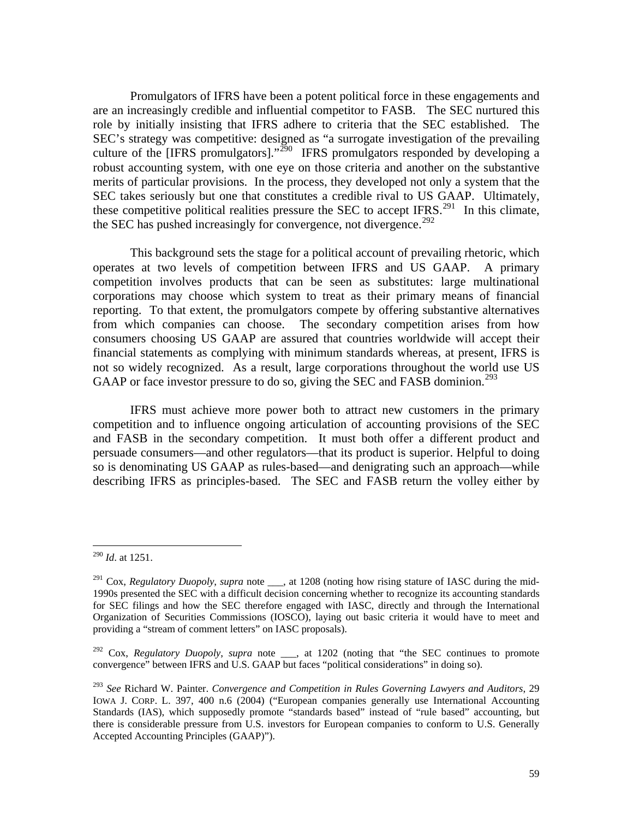Promulgators of IFRS have been a potent political force in these engagements and are an increasingly credible and influential competitor to FASB. The SEC nurtured this role by initially insisting that IFRS adhere to criteria that the SEC established. The SEC's strategy was competitive: designed as "a surrogate investigation of the prevailing culture of the [IFRS promulgators]."<sup>[290](#page-59-0)</sup> IFRS promulgators responded by developing a robust accounting system, with one eye on those criteria and another on the substantive merits of particular provisions. In the process, they developed not only a system that the SEC takes seriously but one that constitutes a credible rival to US GAAP. Ultimately, these competitive political realities pressure the SEC to accept IFRS.<sup>[291](#page-59-1)</sup> In this climate, the SEC has pushed increasingly for convergence, not divergence.<sup>[292](#page-59-2)</sup>

 This background sets the stage for a political account of prevailing rhetoric, which operates at two levels of competition between IFRS and US GAAP. A primary competition involves products that can be seen as substitutes: large multinational corporations may choose which system to treat as their primary means of financial reporting. To that extent, the promulgators compete by offering substantive alternatives from which companies can choose. The secondary competition arises from how consumers choosing US GAAP are assured that countries worldwide will accept their financial statements as complying with minimum standards whereas, at present, IFRS is not so widely recognized. As a result, large corporations throughout the world use US GAAP or face investor pressure to do so, giving the SEC and FASB dominion.<sup>[293](#page-59-3)</sup>

 IFRS must achieve more power both to attract new customers in the primary competition and to influence ongoing articulation of accounting provisions of the SEC and FASB in the secondary competition. It must both offer a different product and persuade consumers—and other regulators—that its product is superior. Helpful to doing so is denominating US GAAP as rules-based—and denigrating such an approach—while describing IFRS as principles-based. The SEC and FASB return the volley either by

<span id="page-59-0"></span><sup>290</sup> *Id*. at 1251.

<span id="page-59-1"></span><sup>&</sup>lt;sup>291</sup> Cox, *Regulatory Duopoly*, *supra* note \_\_\_, at 1208 (noting how rising stature of IASC during the mid-1990s presented the SEC with a difficult decision concerning whether to recognize its accounting standards for SEC filings and how the SEC therefore engaged with IASC, directly and through the International Organization of Securities Commissions (IOSCO), laying out basic criteria it would have to meet and providing a "stream of comment letters" on IASC proposals).

<span id="page-59-2"></span><sup>&</sup>lt;sup>292</sup> Cox, *Regulatory Duopoly*, *supra* note <sub>\_\_\_</sub>, at 1202 (noting that "the SEC continues to promote convergence" between IFRS and U.S. GAAP but faces "political considerations" in doing so).

<span id="page-59-3"></span><sup>293</sup> *See* Richard W. Painter. *Convergence and Competition in Rules Governing Lawyers and Auditors*, 29 IOWA J. CORP. L. 397, 400 n.6 (2004) ("European companies generally use International Accounting Standards (IAS), which supposedly promote "standards based" instead of "rule based" accounting, but there is considerable pressure from U.S. investors for European companies to conform to U.S. Generally Accepted Accounting Principles (GAAP)").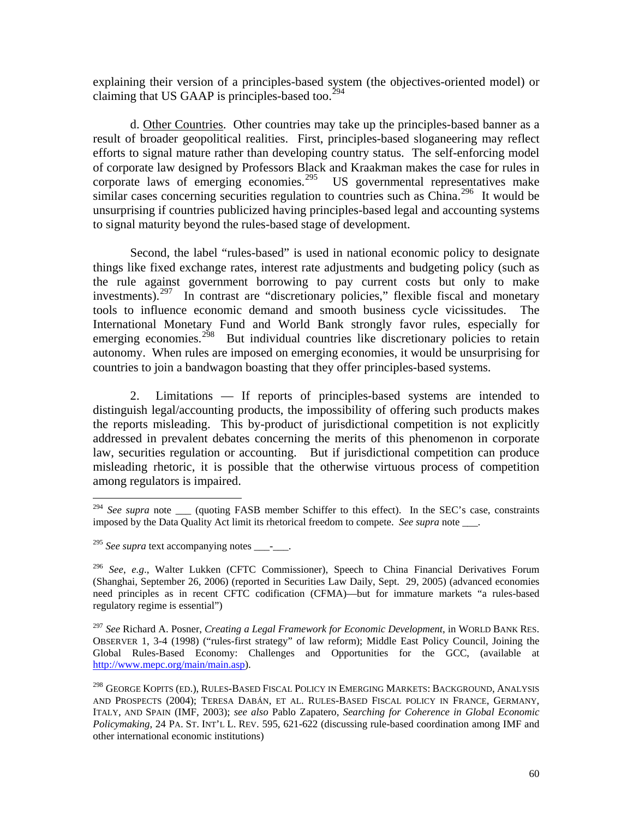explaining their version of a principles-based system (the objectives-oriented model) or claiming that US GAAP is principles-based too. $294$ 

 d. Other Countries. Other countries may take up the principles-based banner as a result of broader geopolitical realities. First, principles-based sloganeering may reflect efforts to signal mature rather than developing country status. The self-enforcing model of corporate law designed by Professors Black and Kraakman makes the case for rules in corporate laws of emerging economies.<sup>[295](#page-60-1)</sup> US governmental representatives make similar cases concerning securities regulation to countries such as China.<sup>[296](#page-60-2)</sup> It would be unsurprising if countries publicized having principles-based legal and accounting systems to signal maturity beyond the rules-based stage of development.

 Second, the label "rules-based" is used in national economic policy to designate things like fixed exchange rates, interest rate adjustments and budgeting policy (such as the rule against government borrowing to pay current costs but only to make investments).[297](#page-60-3) In contrast are "discretionary policies," flexible fiscal and monetary tools to influence economic demand and smooth business cycle vicissitudes. The International Monetary Fund and World Bank strongly favor rules, especially for emerging economies.<sup>[298](#page-60-4)</sup> But individual countries like discretionary policies to retain autonomy. When rules are imposed on emerging economies, it would be unsurprising for countries to join a bandwagon boasting that they offer principles-based systems.

 2. Limitations — If reports of principles-based systems are intended to distinguish legal/accounting products, the impossibility of offering such products makes the reports misleading. This by-product of jurisdictional competition is not explicitly addressed in prevalent debates concerning the merits of this phenomenon in corporate law, securities regulation or accounting. But if jurisdictional competition can produce misleading rhetoric, it is possible that the otherwise virtuous process of competition among regulators is impaired.

<span id="page-60-0"></span><sup>&</sup>lt;sup>294</sup> See supra note \_\_\_\_ (quoting FASB member Schiffer to this effect). In the SEC's case, constraints imposed by the Data Quality Act limit its rhetorical freedom to compete. *See supra* note \_\_\_.

<span id="page-60-1"></span><sup>&</sup>lt;sup>295</sup> *See supra* text accompanying notes - .

<span id="page-60-2"></span><sup>296</sup> *See*, *e.g*., Walter Lukken (CFTC Commissioner), Speech to China Financial Derivatives Forum (Shanghai, September 26, 2006) (reported in Securities Law Daily, Sept. 29, 2005) (advanced economies need principles as in recent CFTC codification (CFMA)—but for immature markets "a rules-based regulatory regime is essential")

<span id="page-60-3"></span><sup>297</sup> *See* Richard A. Posner, *Creating a Legal Framework for Economic Development*, in WORLD BANK RES. OBSERVER 1, 3-4 (1998) ("rules-first strategy" of law reform); Middle East Policy Council, Joining the Global Rules-Based Economy: Challenges and Opportunities for the GCC, (available at [http://www.mepc.org/main/main.asp\)](http://www.mepc.org/main/main.asp).

<span id="page-60-4"></span><sup>298</sup> GEORGE KOPITS (ED.), RULES-BASED FISCAL POLICY IN EMERGING MARKETS: BACKGROUND, ANALYSIS AND PROSPECTS (2004); TERESA DABÁN, ET AL. RULES-BASED FISCAL POLICY IN FRANCE, GERMANY, ITALY, AND SPAIN (IMF, 2003); *see also* Pablo Zapatero, *Searching for Coherence in Global Economic Policymaking*, 24 PA. ST. INT'L L. REV. 595, 621-622 (discussing rule-based coordination among IMF and other international economic institutions)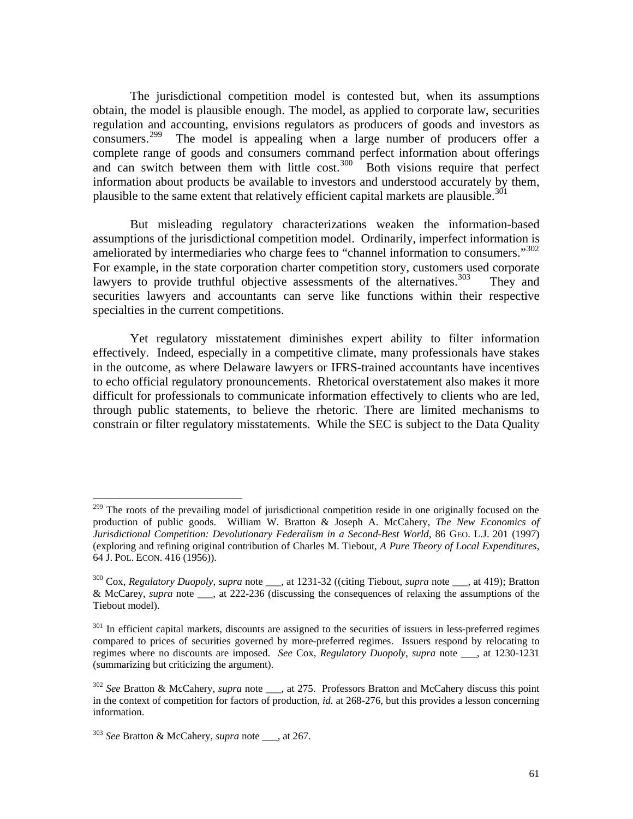The jurisdictional competition model is contested but, when its assumptions obtain, the model is plausible enough. The model, as applied to corporate law, securities regulation and accounting, envisions regulators as producers of goods and investors as consumers.[299](#page-61-0) The model is appealing when a large number of producers offer a complete range of goods and consumers command perfect information about offerings and can switch between them with little cost. $300$  Both visions require that perfect information about products be available to investors and understood accurately by them, plausible to the same extent that relatively efficient capital markets are plausible.<sup>[301](#page-61-2)</sup>

 But misleading regulatory characterizations weaken the information-based assumptions of the jurisdictional competition model. Ordinarily, imperfect information is ameliorated by intermediaries who charge fees to "channel information to consumers."[302](#page-61-3)  For example, in the state corporation charter competition story, customers used corporate lawyers to provide truthful objective assessments of the alternatives. $303$  They and securities lawyers and accountants can serve like functions within their respective specialties in the current competitions.

 Yet regulatory misstatement diminishes expert ability to filter information effectively. Indeed, especially in a competitive climate, many professionals have stakes in the outcome, as where Delaware lawyers or IFRS-trained accountants have incentives to echo official regulatory pronouncements. Rhetorical overstatement also makes it more difficult for professionals to communicate information effectively to clients who are led, through public statements, to believe the rhetoric. There are limited mechanisms to constrain or filter regulatory misstatements. While the SEC is subject to the Data Quality

<span id="page-61-0"></span><sup>&</sup>lt;sup>299</sup> The roots of the prevailing model of jurisdictional competition reside in one originally focused on the production of public goods. William W. Bratton & Joseph A. McCahery, *The New Economics of Jurisdictional Competition: Devolutionary Federalism in a Second-Best World*, 86 GEO. L.J. 201 (1997) (exploring and refining original contribution of Charles M. Tiebout, *A Pure Theory of Local Expenditures*, 64 J. POL. ECON. 416 (1956)).

<span id="page-61-1"></span><sup>300</sup> Cox, *Regulatory Duopoly*, *supra* note \_\_\_, at 1231-32 ((citing Tiebout, *supra* note \_\_\_, at 419); Bratton & McCarey, *supra* note \_\_\_, at 222-236 (discussing the consequences of relaxing the assumptions of the Tiebout model).

<span id="page-61-2"></span><sup>&</sup>lt;sup>301</sup> In efficient capital markets, discounts are assigned to the securities of issuers in less-preferred regimes compared to prices of securities governed by more-preferred regimes. Issuers respond by relocating to regimes where no discounts are imposed. *See* Cox, *Regulatory Duopoly*, *supra* note \_\_\_, at 1230-1231 (summarizing but criticizing the argument).

<span id="page-61-3"></span><sup>302</sup> *See* Bratton & McCahery, *supra* note \_\_\_, at 275. Professors Bratton and McCahery discuss this point in the context of competition for factors of production, *id.* at 268-276, but this provides a lesson concerning information.

<span id="page-61-4"></span><sup>303</sup> *See* Bratton & McCahery, *supra* note \_\_\_, at 267.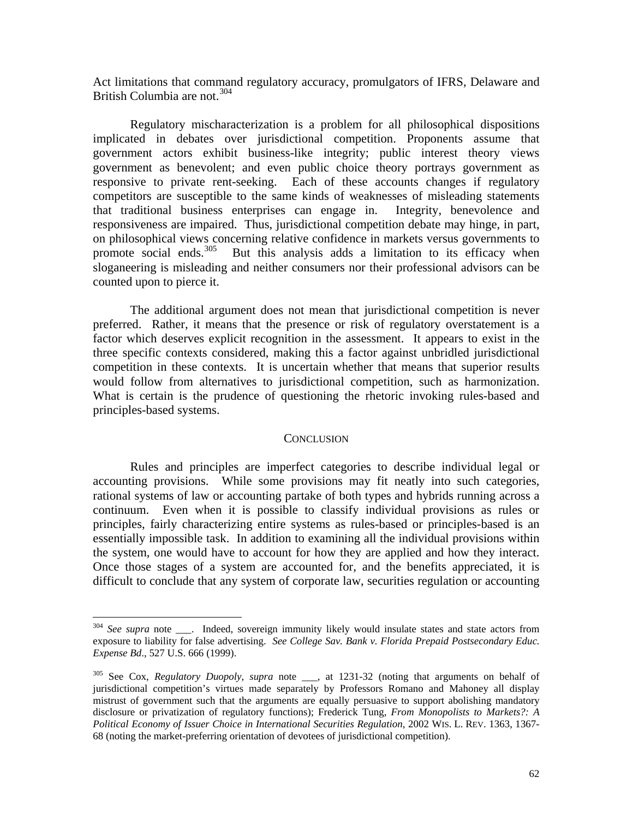Act limitations that command regulatory accuracy, promulgators of IFRS, Delaware and British Columbia are not.<sup>[304](#page-62-0)</sup>

 Regulatory mischaracterization is a problem for all philosophical dispositions implicated in debates over jurisdictional competition. Proponents assume that government actors exhibit business-like integrity; public interest theory views government as benevolent; and even public choice theory portrays government as responsive to private rent-seeking. Each of these accounts changes if regulatory competitors are susceptible to the same kinds of weaknesses of misleading statements that traditional business enterprises can engage in. Integrity, benevolence and responsiveness are impaired. Thus, jurisdictional competition debate may hinge, in part, on philosophical views concerning relative confidence in markets versus governments to promote social ends. $305$  But this analysis adds a limitation to its efficacy when sloganeering is misleading and neither consumers nor their professional advisors can be counted upon to pierce it.

 The additional argument does not mean that jurisdictional competition is never preferred. Rather, it means that the presence or risk of regulatory overstatement is a factor which deserves explicit recognition in the assessment. It appears to exist in the three specific contexts considered, making this a factor against unbridled jurisdictional competition in these contexts. It is uncertain whether that means that superior results would follow from alternatives to jurisdictional competition, such as harmonization. What is certain is the prudence of questioning the rhetoric invoking rules-based and principles-based systems.

#### **CONCLUSION**

 Rules and principles are imperfect categories to describe individual legal or accounting provisions. While some provisions may fit neatly into such categories, rational systems of law or accounting partake of both types and hybrids running across a continuum. Even when it is possible to classify individual provisions as rules or principles, fairly characterizing entire systems as rules-based or principles-based is an essentially impossible task. In addition to examining all the individual provisions within the system, one would have to account for how they are applied and how they interact. Once those stages of a system are accounted for, and the benefits appreciated, it is difficult to conclude that any system of corporate law, securities regulation or accounting

<span id="page-62-0"></span><sup>&</sup>lt;sup>304</sup> See supra note \_\_\_. Indeed, sovereign immunity likely would insulate states and state actors from exposure to liability for false advertising. *See College Sav. Bank v. Florida Prepaid Postsecondary Educ. Expense Bd*., 527 U.S. 666 (1999).

<span id="page-62-1"></span><sup>305</sup> See Cox, *Regulatory Duopoly*, *supra* note \_\_\_, at 1231-32 (noting that arguments on behalf of jurisdictional competition's virtues made separately by Professors Romano and Mahoney all display mistrust of government such that the arguments are equally persuasive to support abolishing mandatory disclosure or privatization of regulatory functions); Frederick Tung, *From Monopolists to Markets?: A Political Economy of Issuer Choice in International Securities Regulation*, 2002 WIS. L. REV. 1363, 1367- 68 (noting the market-preferring orientation of devotees of jurisdictional competition).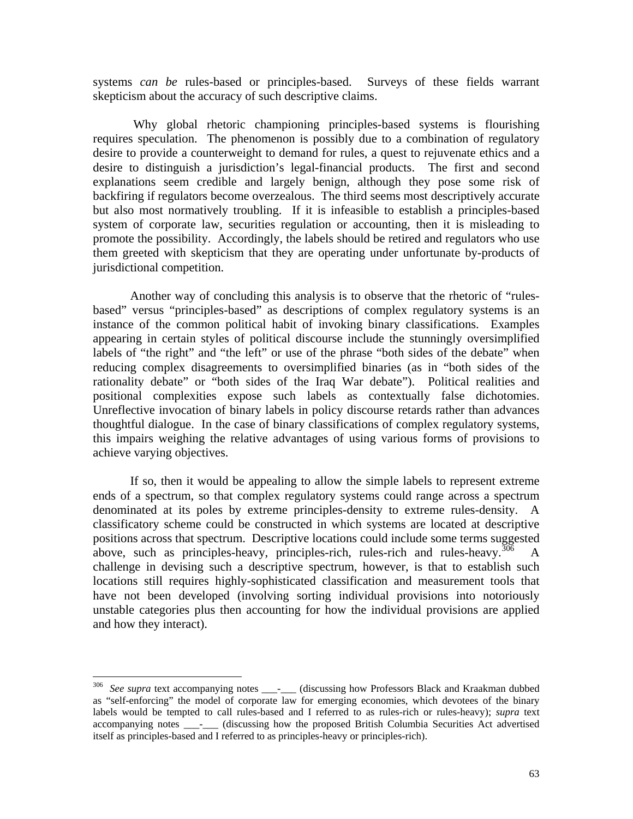systems *can be* rules-based or principles-based. Surveys of these fields warrant skepticism about the accuracy of such descriptive claims.

 Why global rhetoric championing principles-based systems is flourishing requires speculation. The phenomenon is possibly due to a combination of regulatory desire to provide a counterweight to demand for rules, a quest to rejuvenate ethics and a desire to distinguish a jurisdiction's legal-financial products. The first and second explanations seem credible and largely benign, although they pose some risk of backfiring if regulators become overzealous. The third seems most descriptively accurate but also most normatively troubling. If it is infeasible to establish a principles-based system of corporate law, securities regulation or accounting, then it is misleading to promote the possibility. Accordingly, the labels should be retired and regulators who use them greeted with skepticism that they are operating under unfortunate by-products of jurisdictional competition.

 Another way of concluding this analysis is to observe that the rhetoric of "rulesbased" versus "principles-based" as descriptions of complex regulatory systems is an instance of the common political habit of invoking binary classifications. Examples appearing in certain styles of political discourse include the stunningly oversimplified labels of "the right" and "the left" or use of the phrase "both sides of the debate" when reducing complex disagreements to oversimplified binaries (as in "both sides of the rationality debate" or "both sides of the Iraq War debate"). Political realities and positional complexities expose such labels as contextually false dichotomies. Unreflective invocation of binary labels in policy discourse retards rather than advances thoughtful dialogue. In the case of binary classifications of complex regulatory systems, this impairs weighing the relative advantages of using various forms of provisions to achieve varying objectives.

 If so, then it would be appealing to allow the simple labels to represent extreme ends of a spectrum, so that complex regulatory systems could range across a spectrum denominated at its poles by extreme principles-density to extreme rules-density. A classificatory scheme could be constructed in which systems are located at descriptive positions across that spectrum. Descriptive locations could include some terms suggested above, such as principles-heavy, principles-rich, rules-rich and rules-heavy.  $\frac{306}{100}$  $\frac{306}{100}$  $\frac{306}{100}$  A challenge in devising such a descriptive spectrum, however, is that to establish such locations still requires highly-sophisticated classification and measurement tools that have not been developed (involving sorting individual provisions into notoriously unstable categories plus then accounting for how the individual provisions are applied and how they interact).

1

<span id="page-63-0"></span><sup>&</sup>lt;sup>306</sup> See supra text accompanying notes \_\_\_\_<sup>\_</sup>\_\_\_\_ (discussing how Professors Black and Kraakman dubbed as "self-enforcing" the model of corporate law for emerging economies, which devotees of the binary labels would be tempted to call rules-based and I referred to as rules-rich or rules-heavy); *supra* text accompanying notes \_\_\_\_\_ (discussing how the proposed British Columbia Securities Act advertised itself as principles-based and I referred to as principles-heavy or principles-rich).